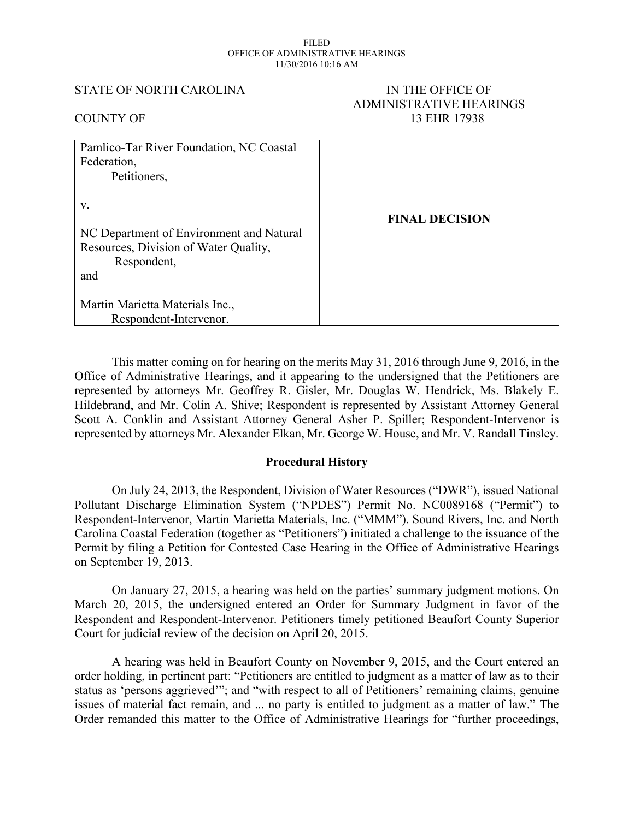#### FILED OFFICE OF ADMINISTRATIVE HEARINGS 11/30/2016 10:16 AM

STATE OF NORTH CAROLINA IN THE OFFICE OF

# ADMINISTRATIVE HEARINGS COUNTY OF 13 EHR 17938 Pamlico-Tar River Foundation, NC Coastal Federation, Petitioners, v. NC Department of Environment and Natural Resources, Division of Water Quality, Respondent, and Martin Marietta Materials Inc., Respondent-Intervenor. **FINAL DECISION**

This matter coming on for hearing on the merits May 31, 2016 through June 9, 2016, in the Office of Administrative Hearings, and it appearing to the undersigned that the Petitioners are represented by attorneys Mr. Geoffrey R. Gisler, Mr. Douglas W. Hendrick, Ms. Blakely E. Hildebrand, and Mr. Colin A. Shive; Respondent is represented by Assistant Attorney General Scott A. Conklin and Assistant Attorney General Asher P. Spiller; Respondent-Intervenor is represented by attorneys Mr. Alexander Elkan, Mr. George W. House, and Mr. V. Randall Tinsley.

#### **Procedural History**

On July 24, 2013, the Respondent, Division of Water Resources ("DWR"), issued National Pollutant Discharge Elimination System ("NPDES") Permit No. NC0089168 ("Permit") to Respondent-Intervenor, Martin Marietta Materials, Inc. ("MMM"). Sound Rivers, Inc. and North Carolina Coastal Federation (together as "Petitioners") initiated a challenge to the issuance of the Permit by filing a Petition for Contested Case Hearing in the Office of Administrative Hearings on September 19, 2013.

On January 27, 2015, a hearing was held on the parties' summary judgment motions. On March 20, 2015, the undersigned entered an Order for Summary Judgment in favor of the Respondent and Respondent-Intervenor. Petitioners timely petitioned Beaufort County Superior Court for judicial review of the decision on April 20, 2015.

A hearing was held in Beaufort County on November 9, 2015, and the Court entered an order holding, in pertinent part: "Petitioners are entitled to judgment as a matter of law as to their status as 'persons aggrieved'"; and "with respect to all of Petitioners' remaining claims, genuine issues of material fact remain, and ... no party is entitled to judgment as a matter of law." The Order remanded this matter to the Office of Administrative Hearings for "further proceedings,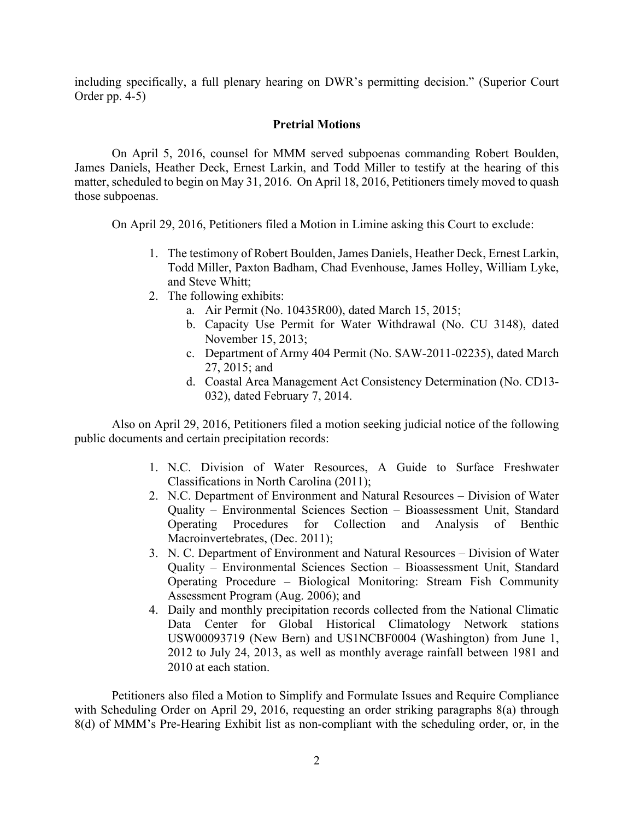including specifically, a full plenary hearing on DWR's permitting decision." (Superior Court Order pp. 4-5)

## **Pretrial Motions**

On April 5, 2016, counsel for MMM served subpoenas commanding Robert Boulden, James Daniels, Heather Deck, Ernest Larkin, and Todd Miller to testify at the hearing of this matter, scheduled to begin on May 31, 2016. On April 18, 2016, Petitioners timely moved to quash those subpoenas.

On April 29, 2016, Petitioners filed a Motion in Limine asking this Court to exclude:

- 1. The testimony of Robert Boulden, James Daniels, Heather Deck, Ernest Larkin, Todd Miller, Paxton Badham, Chad Evenhouse, James Holley, William Lyke, and Steve Whitt;
- 2. The following exhibits:
	- a. Air Permit (No. 10435R00), dated March 15, 2015;
	- b. Capacity Use Permit for Water Withdrawal (No. CU 3148), dated November 15, 2013;
	- c. Department of Army 404 Permit (No. SAW-2011-02235), dated March 27, 2015; and
	- d. Coastal Area Management Act Consistency Determination (No. CD13- 032), dated February 7, 2014.

Also on April 29, 2016, Petitioners filed a motion seeking judicial notice of the following public documents and certain precipitation records:

- 1. N.C. Division of Water Resources, A Guide to Surface Freshwater Classifications in North Carolina (2011);
- 2. N.C. Department of Environment and Natural Resources Division of Water Quality – Environmental Sciences Section – Bioassessment Unit, Standard Operating Procedures for Collection and Analysis of Benthic Macroinvertebrates, (Dec. 2011);
- 3. N. C. Department of Environment and Natural Resources Division of Water Quality – Environmental Sciences Section – Bioassessment Unit, Standard Operating Procedure – Biological Monitoring: Stream Fish Community Assessment Program (Aug. 2006); and
- 4. Daily and monthly precipitation records collected from the National Climatic Data Center for Global Historical Climatology Network stations USW00093719 (New Bern) and US1NCBF0004 (Washington) from June 1, 2012 to July 24, 2013, as well as monthly average rainfall between 1981 and 2010 at each station.

Petitioners also filed a Motion to Simplify and Formulate Issues and Require Compliance with Scheduling Order on April 29, 2016, requesting an order striking paragraphs 8(a) through 8(d) of MMM's Pre-Hearing Exhibit list as non-compliant with the scheduling order, or, in the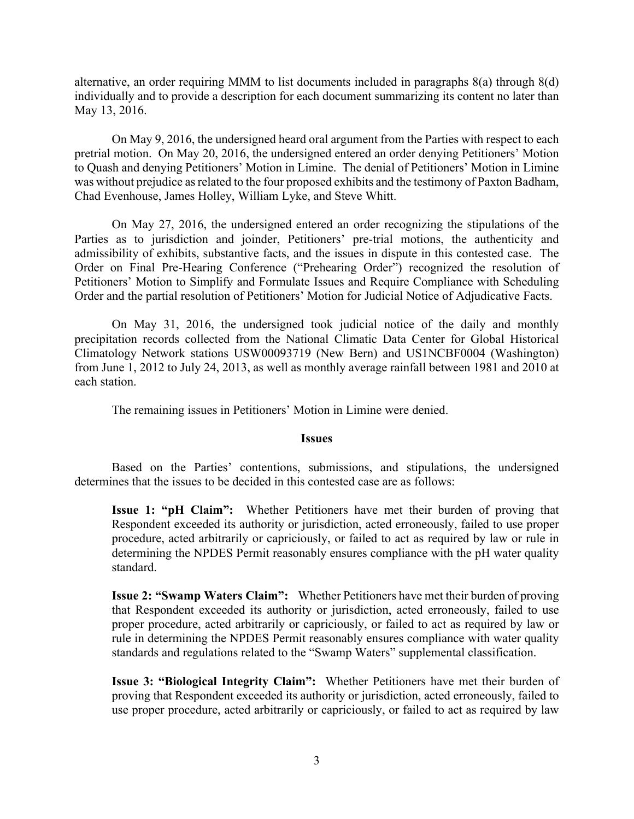alternative, an order requiring MMM to list documents included in paragraphs 8(a) through 8(d) individually and to provide a description for each document summarizing its content no later than May 13, 2016.

On May 9, 2016, the undersigned heard oral argument from the Parties with respect to each pretrial motion. On May 20, 2016, the undersigned entered an order denying Petitioners' Motion to Quash and denying Petitioners' Motion in Limine. The denial of Petitioners' Motion in Limine was without prejudice as related to the four proposed exhibits and the testimony of Paxton Badham, Chad Evenhouse, James Holley, William Lyke, and Steve Whitt.

On May 27, 2016, the undersigned entered an order recognizing the stipulations of the Parties as to jurisdiction and joinder, Petitioners' pre-trial motions, the authenticity and admissibility of exhibits, substantive facts, and the issues in dispute in this contested case. The Order on Final Pre-Hearing Conference ("Prehearing Order") recognized the resolution of Petitioners' Motion to Simplify and Formulate Issues and Require Compliance with Scheduling Order and the partial resolution of Petitioners' Motion for Judicial Notice of Adjudicative Facts.

On May 31, 2016, the undersigned took judicial notice of the daily and monthly precipitation records collected from the National Climatic Data Center for Global Historical Climatology Network stations USW00093719 (New Bern) and US1NCBF0004 (Washington) from June 1, 2012 to July 24, 2013, as well as monthly average rainfall between 1981 and 2010 at each station.

The remaining issues in Petitioners' Motion in Limine were denied.

#### **Issues**

Based on the Parties' contentions, submissions, and stipulations, the undersigned determines that the issues to be decided in this contested case are as follows:

**Issue 1: "pH Claim":** Whether Petitioners have met their burden of proving that Respondent exceeded its authority or jurisdiction, acted erroneously, failed to use proper procedure, acted arbitrarily or capriciously, or failed to act as required by law or rule in determining the NPDES Permit reasonably ensures compliance with the pH water quality standard.

**Issue 2: "Swamp Waters Claim":** Whether Petitioners have met their burden of proving that Respondent exceeded its authority or jurisdiction, acted erroneously, failed to use proper procedure, acted arbitrarily or capriciously, or failed to act as required by law or rule in determining the NPDES Permit reasonably ensures compliance with water quality standards and regulations related to the "Swamp Waters" supplemental classification.

**Issue 3: "Biological Integrity Claim":** Whether Petitioners have met their burden of proving that Respondent exceeded its authority or jurisdiction, acted erroneously, failed to use proper procedure, acted arbitrarily or capriciously, or failed to act as required by law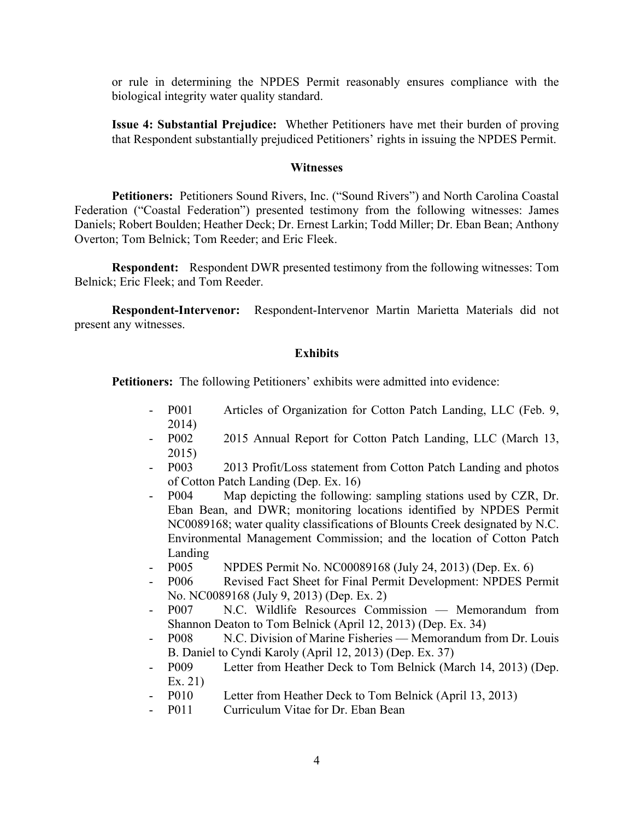or rule in determining the NPDES Permit reasonably ensures compliance with the biological integrity water quality standard.

**Issue 4: Substantial Prejudice:** Whether Petitioners have met their burden of proving that Respondent substantially prejudiced Petitioners' rights in issuing the NPDES Permit.

#### **Witnesses**

**Petitioners:** Petitioners Sound Rivers, Inc. ("Sound Rivers") and North Carolina Coastal Federation ("Coastal Federation") presented testimony from the following witnesses: James Daniels; Robert Boulden; Heather Deck; Dr. Ernest Larkin; Todd Miller; Dr. Eban Bean; Anthony Overton; Tom Belnick; Tom Reeder; and Eric Fleek.

**Respondent:** Respondent DWR presented testimony from the following witnesses: Tom Belnick; Eric Fleek; and Tom Reeder.

**Respondent-Intervenor:** Respondent-Intervenor Martin Marietta Materials did not present any witnesses.

#### **Exhibits**

**Petitioners:** The following Petitioners' exhibits were admitted into evidence:

- P001 Articles of Organization for Cotton Patch Landing, LLC (Feb. 9, 2014)
- P002 2015 Annual Report for Cotton Patch Landing, LLC (March 13, 2015)
- P003 2013 Profit/Loss statement from Cotton Patch Landing and photos of Cotton Patch Landing (Dep. Ex. 16)
- P004 Map depicting the following: sampling stations used by CZR, Dr. Eban Bean, and DWR; monitoring locations identified by NPDES Permit NC0089168; water quality classifications of Blounts Creek designated by N.C. Environmental Management Commission; and the location of Cotton Patch Landing
- P005 NPDES Permit No. NC00089168 (July 24, 2013) (Dep. Ex. 6)
- P006 Revised Fact Sheet for Final Permit Development: NPDES Permit No. NC0089168 (July 9, 2013) (Dep. Ex. 2)
- P007 N.C. Wildlife Resources Commission Memorandum from Shannon Deaton to Tom Belnick (April 12, 2013) (Dep. Ex. 34)
- P008 N.C. Division of Marine Fisheries Memorandum from Dr. Louis B. Daniel to Cyndi Karoly (April 12, 2013) (Dep. Ex. 37)
- P009 Letter from Heather Deck to Tom Belnick (March 14, 2013) (Dep. Ex. 21)
- P010 Letter from Heather Deck to Tom Belnick (April 13, 2013)
- P011 Curriculum Vitae for Dr. Eban Bean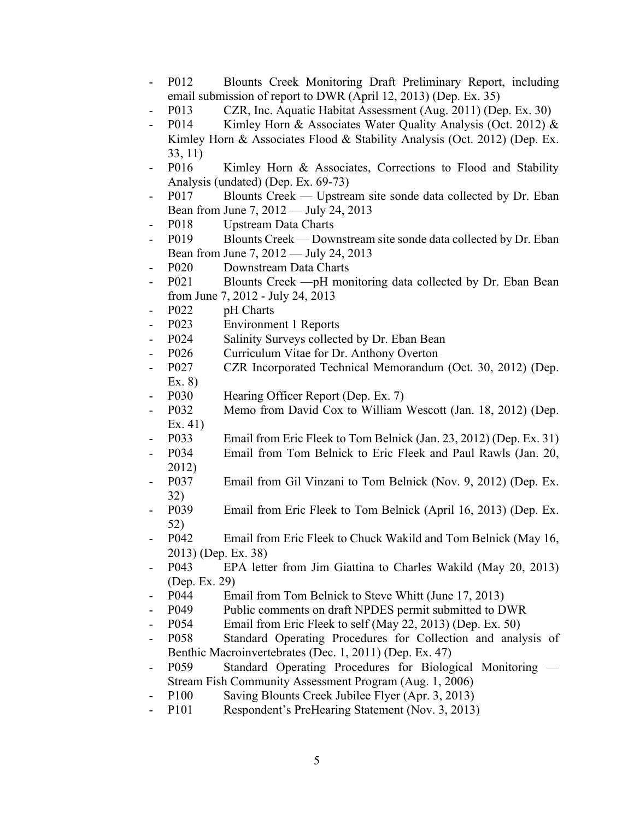- P012 Blounts Creek Monitoring Draft Preliminary Report, including email submission of report to DWR (April 12, 2013) (Dep. Ex. 35)
- P013 CZR, Inc. Aquatic Habitat Assessment (Aug. 2011) (Dep. Ex. 30)
- P014 Kimley Horn & Associates Water Quality Analysis (Oct. 2012) & Kimley Horn & Associates Flood & Stability Analysis (Oct. 2012) (Dep. Ex. 33, 11)
- P016 Kimley Horn & Associates, Corrections to Flood and Stability Analysis (undated) (Dep. Ex. 69-73)
- P017 Blounts Creek Upstream site sonde data collected by Dr. Eban Bean from June 7, 2012 — July 24, 2013
- P018 Upstream Data Charts
- P019 Blounts Creek Downstream site sonde data collected by Dr. Eban Bean from June 7, 2012 — July 24, 2013
- P020 Downstream Data Charts
- P021 Blounts Creek —pH monitoring data collected by Dr. Eban Bean from June 7, 2012 - July 24, 2013
- P022 pH Charts
- P023 Environment 1 Reports
- P024 Salinity Surveys collected by Dr. Eban Bean
- P026 Curriculum Vitae for Dr. Anthony Overton
- P027 CZR Incorporated Technical Memorandum (Oct. 30, 2012) (Dep. Ex. 8)
- P030 Hearing Officer Report (Dep. Ex. 7)
- P032 Memo from David Cox to William Wescott (Jan. 18, 2012) (Dep. Ex. 41)
- P033 Email from Eric Fleek to Tom Belnick (Jan. 23, 2012) (Dep. Ex. 31)
- P034 Email from Tom Belnick to Eric Fleek and Paul Rawls (Jan. 20, 2012)
- P037 Email from Gil Vinzani to Tom Belnick (Nov. 9, 2012) (Dep. Ex. 32)
- P039 Email from Eric Fleek to Tom Belnick (April 16, 2013) (Dep. Ex. 52)
- P042 Email from Eric Fleek to Chuck Wakild and Tom Belnick (May 16, 2013) (Dep. Ex. 38)
- P043 EPA letter from Jim Giattina to Charles Wakild (May 20, 2013) (Dep. Ex. 29)
- P044 Email from Tom Belnick to Steve Whitt (June 17, 2013)
- P049 Public comments on draft NPDES permit submitted to DWR
- P054 Email from Eric Fleek to self (May 22, 2013) (Dep. Ex. 50)
- P058 Standard Operating Procedures for Collection and analysis of Benthic Macroinvertebrates (Dec. 1, 2011) (Dep. Ex. 47)
- P059 Standard Operating Procedures for Biological Monitoring Stream Fish Community Assessment Program (Aug. 1, 2006)
- P100 Saving Blounts Creek Jubilee Flyer (Apr. 3, 2013)
- P101 Respondent's PreHearing Statement (Nov. 3, 2013)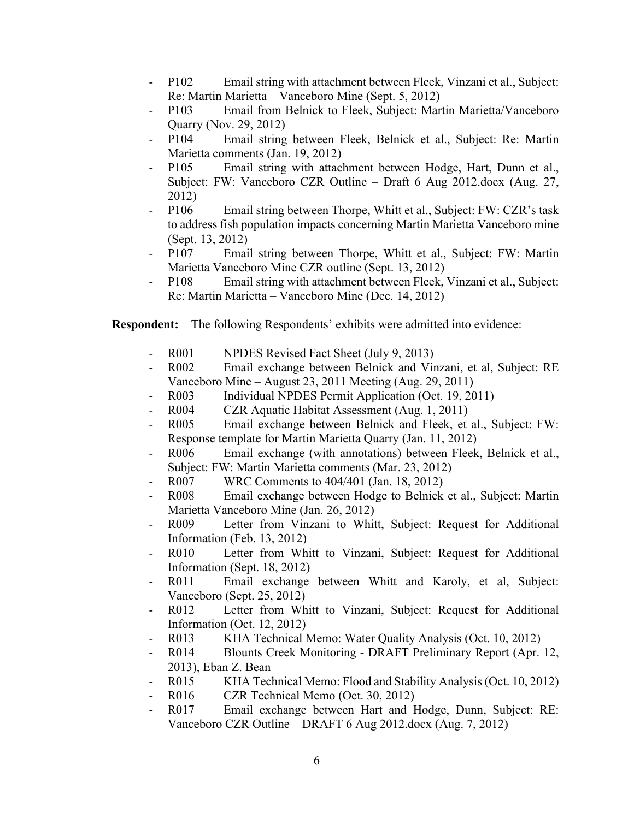- P102 Email string with attachment between Fleek, Vinzani et al., Subject: Re: Martin Marietta – Vanceboro Mine (Sept. 5, 2012)
- P103 Email from Belnick to Fleek, Subject: Martin Marietta/Vanceboro Quarry (Nov. 29, 2012)
- P104 Email string between Fleek, Belnick et al., Subject: Re: Martin Marietta comments (Jan. 19, 2012)
- P105 Email string with attachment between Hodge, Hart, Dunn et al., Subject: FW: Vanceboro CZR Outline – Draft 6 Aug 2012.docx (Aug. 27, 2012)
- P106 Email string between Thorpe, Whitt et al., Subject: FW: CZR's task to address fish population impacts concerning Martin Marietta Vanceboro mine (Sept. 13, 2012)
- P107 Email string between Thorpe, Whitt et al., Subject: FW: Martin Marietta Vanceboro Mine CZR outline (Sept. 13, 2012)
- P108 Email string with attachment between Fleek, Vinzani et al., Subject: Re: Martin Marietta – Vanceboro Mine (Dec. 14, 2012)

**Respondent:** The following Respondents' exhibits were admitted into evidence:

- R001 NPDES Revised Fact Sheet (July 9, 2013)
- R002 Email exchange between Belnick and Vinzani, et al, Subject: RE Vanceboro Mine – August 23, 2011 Meeting (Aug. 29, 2011)
- R003 Individual NPDES Permit Application (Oct. 19, 2011)
- R004 CZR Aquatic Habitat Assessment (Aug. 1, 2011)
- R005 Email exchange between Belnick and Fleek, et al., Subject: FW: Response template for Martin Marietta Quarry (Jan. 11, 2012)
- R006 Email exchange (with annotations) between Fleek, Belnick et al., Subject: FW: Martin Marietta comments (Mar. 23, 2012)
- R007 WRC Comments to 404/401 (Jan. 18, 2012)
- R008 Email exchange between Hodge to Belnick et al., Subject: Martin Marietta Vanceboro Mine (Jan. 26, 2012)
- R009 Letter from Vinzani to Whitt, Subject: Request for Additional Information (Feb. 13, 2012)
- R010 Letter from Whitt to Vinzani, Subject: Request for Additional Information (Sept. 18, 2012)
- R011 Email exchange between Whitt and Karoly, et al, Subject: Vanceboro (Sept. 25, 2012)
- R012 Letter from Whitt to Vinzani, Subject: Request for Additional Information (Oct. 12, 2012)
- R013 KHA Technical Memo: Water Quality Analysis (Oct. 10, 2012)
- R014 Blounts Creek Monitoring DRAFT Preliminary Report (Apr. 12, 2013), Eban Z. Bean
- R015 KHA Technical Memo: Flood and Stability Analysis (Oct. 10, 2012)
- R016 CZR Technical Memo (Oct. 30, 2012)
- R017 Email exchange between Hart and Hodge, Dunn, Subject: RE: Vanceboro CZR Outline – DRAFT 6 Aug 2012.docx (Aug. 7, 2012)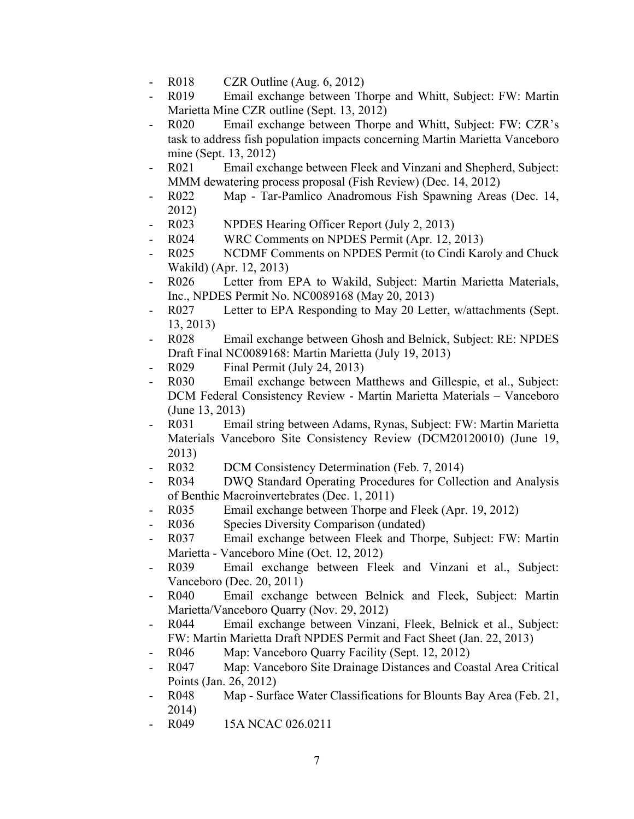- R018 CZR Outline (Aug. 6, 2012)
- R019 Email exchange between Thorpe and Whitt, Subject: FW: Martin Marietta Mine CZR outline (Sept. 13, 2012)
- R020 Email exchange between Thorpe and Whitt, Subject: FW: CZR's task to address fish population impacts concerning Martin Marietta Vanceboro mine (Sept. 13, 2012)
- R021 Email exchange between Fleek and Vinzani and Shepherd, Subject: MMM dewatering process proposal (Fish Review) (Dec. 14, 2012)
- R022 Map Tar-Pamlico Anadromous Fish Spawning Areas (Dec. 14, 2012)
- R023 NPDES Hearing Officer Report (July 2, 2013)
- R024 WRC Comments on NPDES Permit (Apr. 12, 2013)
- R025 NCDMF Comments on NPDES Permit (to Cindi Karoly and Chuck Wakild) (Apr. 12, 2013)
- R026 Letter from EPA to Wakild, Subject: Martin Marietta Materials, Inc., NPDES Permit No. NC0089168 (May 20, 2013)
- R027 Letter to EPA Responding to May 20 Letter, w/attachments (Sept. 13, 2013)
- R028 Email exchange between Ghosh and Belnick, Subject: RE: NPDES Draft Final NC0089168: Martin Marietta (July 19, 2013)
- R029 Final Permit (July 24, 2013)
- R030 Email exchange between Matthews and Gillespie, et al., Subject: DCM Federal Consistency Review - Martin Marietta Materials – Vanceboro (June 13, 2013)
- R031 Email string between Adams, Rynas, Subject: FW: Martin Marietta Materials Vanceboro Site Consistency Review (DCM20120010) (June 19, 2013)
- R032 DCM Consistency Determination (Feb. 7, 2014)
- R034 DWQ Standard Operating Procedures for Collection and Analysis of Benthic Macroinvertebrates (Dec. 1, 2011)
- R035 Email exchange between Thorpe and Fleek (Apr. 19, 2012)
- R036 Species Diversity Comparison (undated)
- R037 Email exchange between Fleek and Thorpe, Subject: FW: Martin Marietta - Vanceboro Mine (Oct. 12, 2012)
- R039 Email exchange between Fleek and Vinzani et al., Subject: Vanceboro (Dec. 20, 2011)
- R040 Email exchange between Belnick and Fleek, Subject: Martin Marietta/Vanceboro Quarry (Nov. 29, 2012)
- R044 Email exchange between Vinzani, Fleek, Belnick et al., Subject: FW: Martin Marietta Draft NPDES Permit and Fact Sheet (Jan. 22, 2013)
- R046 Map: Vanceboro Quarry Facility (Sept. 12, 2012)
- R047 Map: Vanceboro Site Drainage Distances and Coastal Area Critical Points (Jan. 26, 2012)
- R048 Map Surface Water Classifications for Blounts Bay Area (Feb. 21, 2014)
- R049 15A NCAC 026.0211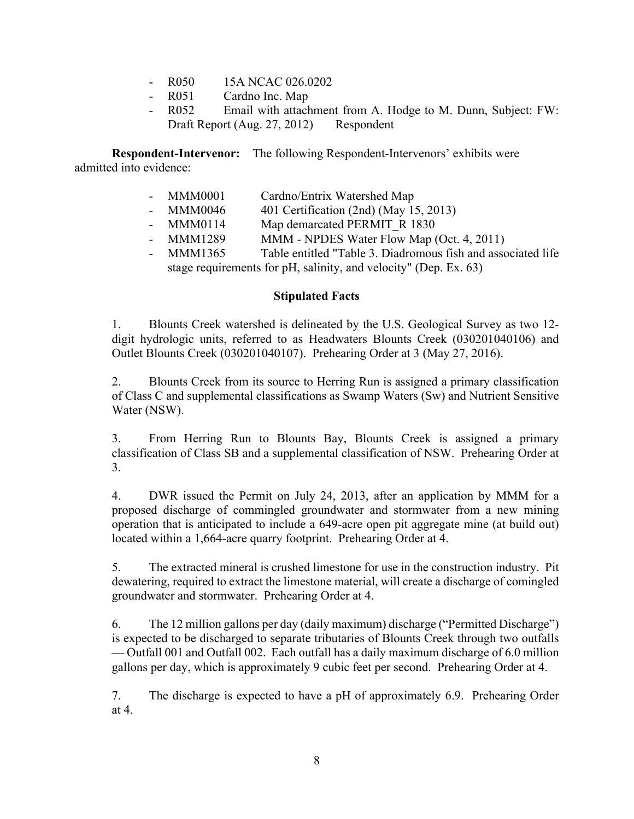- R050 15A NCAC 026.0202<br>- R051 Cardno Inc. Map
- Cardno Inc. Map
- R052 Email with attachment from A. Hodge to M. Dunn, Subject: FW: Draft Report (Aug. 27, 2012) Respondent

**Respondent-Intervenor:** The following Respondent-Intervenors' exhibits were admitted into evidence:

- MMM0001 Cardno/Entrix Watershed Map
- MMM0046 401 Certification (2nd) (May 15, 2013)
- MMM0114 Map demarcated PERMIT R 1830
- MMM1289 MMM NPDES Water Flow Map (Oct. 4, 2011)
- MMM1365 Table entitled "Table 3. Diadromous fish and associated life stage requirements for pH, salinity, and velocity" (Dep. Ex. 63)

#### **Stipulated Facts**

1. Blounts Creek watershed is delineated by the U.S. Geological Survey as two 12 digit hydrologic units, referred to as Headwaters Blounts Creek (030201040106) and Outlet Blounts Creek (030201040107). Prehearing Order at 3 (May 27, 2016).

2. Blounts Creek from its source to Herring Run is assigned a primary classification of Class C and supplemental classifications as Swamp Waters (Sw) and Nutrient Sensitive Water (NSW).

3. From Herring Run to Blounts Bay, Blounts Creek is assigned a primary classification of Class SB and a supplemental classification of NSW. Prehearing Order at 3.

4. DWR issued the Permit on July 24, 2013, after an application by MMM for a proposed discharge of commingled groundwater and stormwater from a new mining operation that is anticipated to include a 649-acre open pit aggregate mine (at build out) located within a 1,664-acre quarry footprint. Prehearing Order at 4.

5. The extracted mineral is crushed limestone for use in the construction industry. Pit dewatering, required to extract the limestone material, will create a discharge of comingled groundwater and stormwater. Prehearing Order at 4.

6. The 12 million gallons per day (daily maximum) discharge ("Permitted Discharge") is expected to be discharged to separate tributaries of Blounts Creek through two outfalls — Outfall 001 and Outfall 002. Each outfall has a daily maximum discharge of 6.0 million gallons per day, which is approximately 9 cubic feet per second. Prehearing Order at 4.

7. The discharge is expected to have a pH of approximately 6.9. Prehearing Order at 4.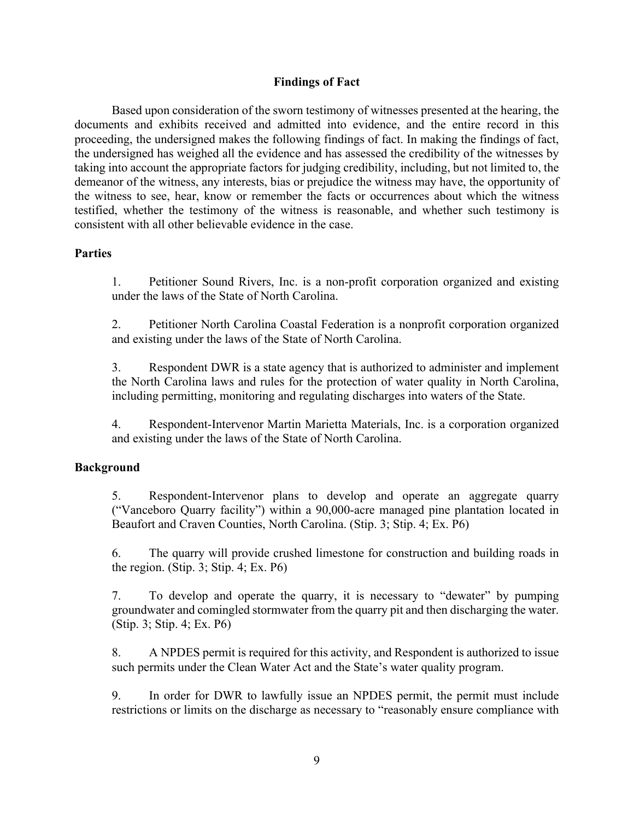#### **Findings of Fact**

Based upon consideration of the sworn testimony of witnesses presented at the hearing, the documents and exhibits received and admitted into evidence, and the entire record in this proceeding, the undersigned makes the following findings of fact. In making the findings of fact, the undersigned has weighed all the evidence and has assessed the credibility of the witnesses by taking into account the appropriate factors for judging credibility, including, but not limited to, the demeanor of the witness, any interests, bias or prejudice the witness may have, the opportunity of the witness to see, hear, know or remember the facts or occurrences about which the witness testified, whether the testimony of the witness is reasonable, and whether such testimony is consistent with all other believable evidence in the case.

#### **Parties**

1. Petitioner Sound Rivers, Inc. is a non-profit corporation organized and existing under the laws of the State of North Carolina.

2. Petitioner North Carolina Coastal Federation is a nonprofit corporation organized and existing under the laws of the State of North Carolina.

3. Respondent DWR is a state agency that is authorized to administer and implement the North Carolina laws and rules for the protection of water quality in North Carolina, including permitting, monitoring and regulating discharges into waters of the State.

4. Respondent-Intervenor Martin Marietta Materials, Inc. is a corporation organized and existing under the laws of the State of North Carolina.

#### **Background**

5. Respondent-Intervenor plans to develop and operate an aggregate quarry ("Vanceboro Quarry facility") within a 90,000-acre managed pine plantation located in Beaufort and Craven Counties, North Carolina. (Stip. 3; Stip. 4; Ex. P6)

6. The quarry will provide crushed limestone for construction and building roads in the region. (Stip. 3; Stip. 4; Ex. P6)

7. To develop and operate the quarry, it is necessary to "dewater" by pumping groundwater and comingled stormwater from the quarry pit and then discharging the water. (Stip. 3; Stip. 4; Ex. P6)

8. A NPDES permit is required for this activity, and Respondent is authorized to issue such permits under the Clean Water Act and the State's water quality program.

9. In order for DWR to lawfully issue an NPDES permit, the permit must include restrictions or limits on the discharge as necessary to "reasonably ensure compliance with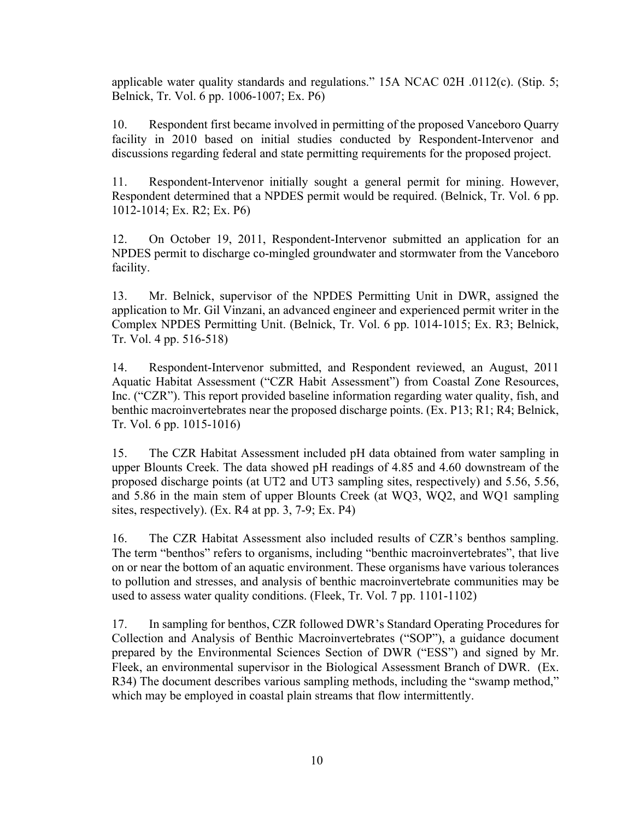applicable water quality standards and regulations." 15A NCAC 02H .0112(c). (Stip. 5; Belnick, Tr. Vol. 6 pp. 1006-1007; Ex. P6)

10. Respondent first became involved in permitting of the proposed Vanceboro Quarry facility in 2010 based on initial studies conducted by Respondent-Intervenor and discussions regarding federal and state permitting requirements for the proposed project.

11. Respondent-Intervenor initially sought a general permit for mining. However, Respondent determined that a NPDES permit would be required. (Belnick, Tr. Vol. 6 pp. 1012-1014; Ex. R2; Ex. P6)

12. On October 19, 2011, Respondent-Intervenor submitted an application for an NPDES permit to discharge co-mingled groundwater and stormwater from the Vanceboro facility.

13. Mr. Belnick, supervisor of the NPDES Permitting Unit in DWR, assigned the application to Mr. Gil Vinzani, an advanced engineer and experienced permit writer in the Complex NPDES Permitting Unit. (Belnick, Tr. Vol. 6 pp. 1014-1015; Ex. R3; Belnick, Tr. Vol. 4 pp. 516-518)

14. Respondent-Intervenor submitted, and Respondent reviewed, an August, 2011 Aquatic Habitat Assessment ("CZR Habit Assessment") from Coastal Zone Resources, Inc. ("CZR"). This report provided baseline information regarding water quality, fish, and benthic macroinvertebrates near the proposed discharge points. (Ex. P13; R1; R4; Belnick, Tr. Vol. 6 pp. 1015-1016)

15. The CZR Habitat Assessment included pH data obtained from water sampling in upper Blounts Creek. The data showed pH readings of 4.85 and 4.60 downstream of the proposed discharge points (at UT2 and UT3 sampling sites, respectively) and 5.56, 5.56, and 5.86 in the main stem of upper Blounts Creek (at WQ3, WQ2, and WQ1 sampling sites, respectively). (Ex. R4 at pp. 3, 7-9; Ex. P4)

16. The CZR Habitat Assessment also included results of CZR's benthos sampling. The term "benthos" refers to organisms, including "benthic macroinvertebrates", that live on or near the bottom of an aquatic environment. These organisms have various tolerances to pollution and stresses, and analysis of benthic macroinvertebrate communities may be used to assess water quality conditions. (Fleek, Tr. Vol. 7 pp. 1101-1102)

17. In sampling for benthos, CZR followed DWR's Standard Operating Procedures for Collection and Analysis of Benthic Macroinvertebrates ("SOP"), a guidance document prepared by the Environmental Sciences Section of DWR ("ESS") and signed by Mr. Fleek, an environmental supervisor in the Biological Assessment Branch of DWR. (Ex. R34) The document describes various sampling methods, including the "swamp method," which may be employed in coastal plain streams that flow intermittently.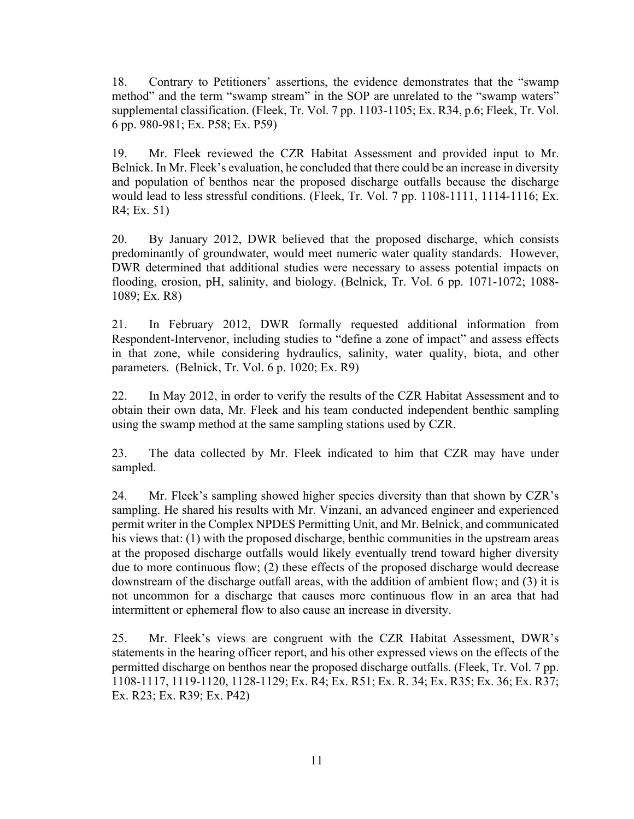18. Contrary to Petitioners' assertions, the evidence demonstrates that the "swamp method" and the term "swamp stream" in the SOP are unrelated to the "swamp waters" supplemental classification. (Fleek, Tr. Vol. 7 pp. 1103-1105; Ex. R34, p.6; Fleek, Tr. Vol. 6 pp. 980-981; Ex. P58; Ex. P59)

19. Mr. Fleek reviewed the CZR Habitat Assessment and provided input to Mr. Belnick. In Mr. Fleek's evaluation, he concluded that there could be an increase in diversity and population of benthos near the proposed discharge outfalls because the discharge would lead to less stressful conditions. (Fleek, Tr. Vol. 7 pp. 1108-1111, 1114-1116; Ex. R4; Ex. 51)

20. By January 2012, DWR believed that the proposed discharge, which consists predominantly of groundwater, would meet numeric water quality standards. However, DWR determined that additional studies were necessary to assess potential impacts on flooding, erosion, pH, salinity, and biology. (Belnick, Tr. Vol. 6 pp. 1071-1072; 1088- 1089; Ex. R8)

21. In February 2012, DWR formally requested additional information from Respondent-Intervenor, including studies to "define a zone of impact" and assess effects in that zone, while considering hydraulics, salinity, water quality, biota, and other parameters. (Belnick, Tr. Vol. 6 p. 1020; Ex. R9)

22. In May 2012, in order to verify the results of the CZR Habitat Assessment and to obtain their own data, Mr. Fleek and his team conducted independent benthic sampling using the swamp method at the same sampling stations used by CZR.

23. The data collected by Mr. Fleek indicated to him that CZR may have under sampled.

24. Mr. Fleek's sampling showed higher species diversity than that shown by CZR's sampling. He shared his results with Mr. Vinzani, an advanced engineer and experienced permit writer in the Complex NPDES Permitting Unit, and Mr. Belnick, and communicated his views that: (1) with the proposed discharge, benthic communities in the upstream areas at the proposed discharge outfalls would likely eventually trend toward higher diversity due to more continuous flow; (2) these effects of the proposed discharge would decrease downstream of the discharge outfall areas, with the addition of ambient flow; and (3) it is not uncommon for a discharge that causes more continuous flow in an area that had intermittent or ephemeral flow to also cause an increase in diversity.

25. Mr. Fleek's views are congruent with the CZR Habitat Assessment, DWR's statements in the hearing officer report, and his other expressed views on the effects of the permitted discharge on benthos near the proposed discharge outfalls. (Fleek, Tr. Vol. 7 pp. 1108-1117, 1119-1120, 1128-1129; Ex. R4; Ex. R51; Ex. R. 34; Ex. R35; Ex. 36; Ex. R37; Ex. R23; Ex. R39; Ex. P42)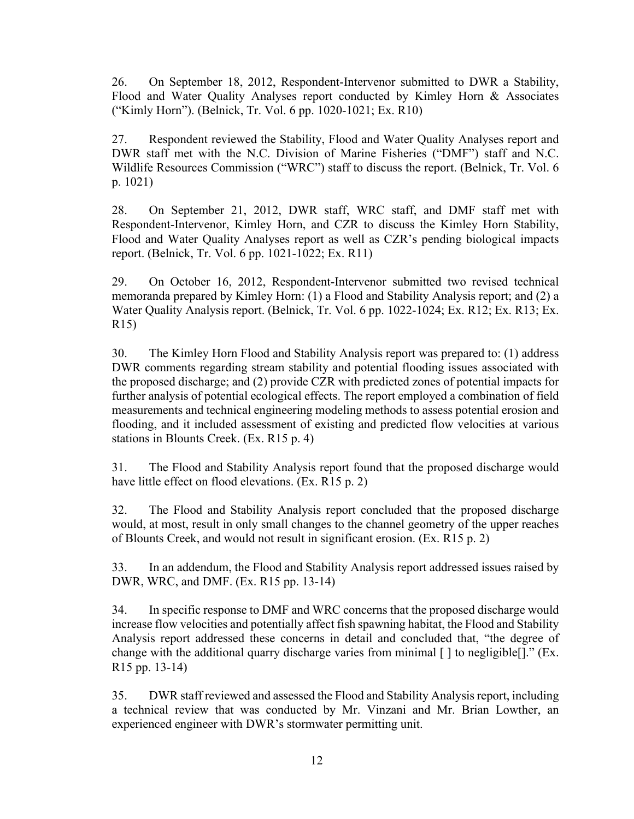26. On September 18, 2012, Respondent-Intervenor submitted to DWR a Stability, Flood and Water Quality Analyses report conducted by Kimley Horn & Associates ("Kimly Horn"). (Belnick, Tr. Vol. 6 pp. 1020-1021; Ex. R10)

27. Respondent reviewed the Stability, Flood and Water Quality Analyses report and DWR staff met with the N.C. Division of Marine Fisheries ("DMF") staff and N.C. Wildlife Resources Commission ("WRC") staff to discuss the report. (Belnick, Tr. Vol. 6 p. 1021)

28. On September 21, 2012, DWR staff, WRC staff, and DMF staff met with Respondent-Intervenor, Kimley Horn, and CZR to discuss the Kimley Horn Stability, Flood and Water Quality Analyses report as well as CZR's pending biological impacts report. (Belnick, Tr. Vol. 6 pp. 1021-1022; Ex. R11)

29. On October 16, 2012, Respondent-Intervenor submitted two revised technical memoranda prepared by Kimley Horn: (1) a Flood and Stability Analysis report; and (2) a Water Quality Analysis report. (Belnick, Tr. Vol. 6 pp. 1022-1024; Ex. R12; Ex. R13; Ex. R15)

30. The Kimley Horn Flood and Stability Analysis report was prepared to: (1) address DWR comments regarding stream stability and potential flooding issues associated with the proposed discharge; and (2) provide CZR with predicted zones of potential impacts for further analysis of potential ecological effects. The report employed a combination of field measurements and technical engineering modeling methods to assess potential erosion and flooding, and it included assessment of existing and predicted flow velocities at various stations in Blounts Creek. (Ex. R15 p. 4)

31. The Flood and Stability Analysis report found that the proposed discharge would have little effect on flood elevations. (Ex. R15 p. 2)

32. The Flood and Stability Analysis report concluded that the proposed discharge would, at most, result in only small changes to the channel geometry of the upper reaches of Blounts Creek, and would not result in significant erosion. (Ex. R15 p. 2)

33. In an addendum, the Flood and Stability Analysis report addressed issues raised by DWR, WRC, and DMF. (Ex. R15 pp. 13-14)

34. In specific response to DMF and WRC concerns that the proposed discharge would increase flow velocities and potentially affect fish spawning habitat, the Flood and Stability Analysis report addressed these concerns in detail and concluded that, "the degree of change with the additional quarry discharge varies from minimal [ ] to negligible[]." (Ex. R15 pp. 13-14)

35. DWR staff reviewed and assessed the Flood and Stability Analysisreport, including a technical review that was conducted by Mr. Vinzani and Mr. Brian Lowther, an experienced engineer with DWR's stormwater permitting unit.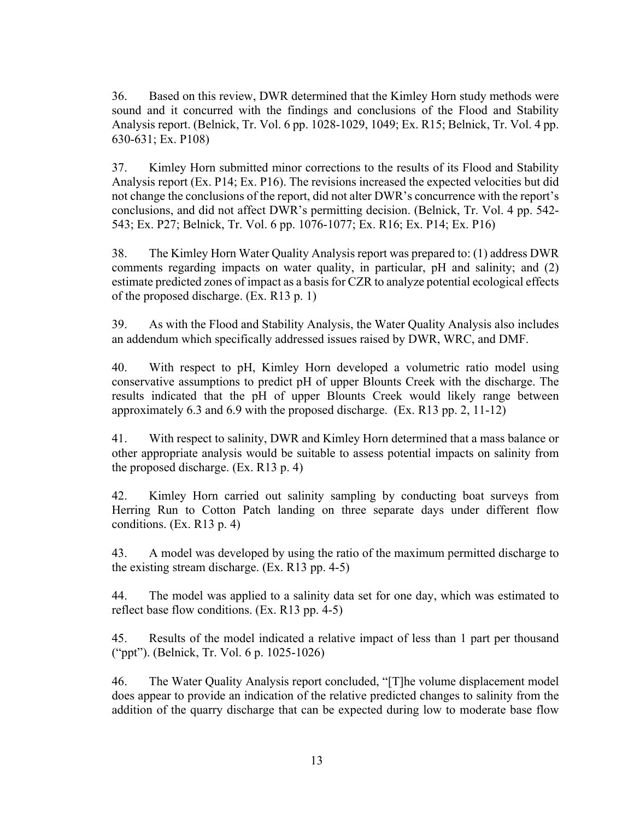36. Based on this review, DWR determined that the Kimley Horn study methods were sound and it concurred with the findings and conclusions of the Flood and Stability Analysis report. (Belnick, Tr. Vol. 6 pp. 1028-1029, 1049; Ex. R15; Belnick, Tr. Vol. 4 pp. 630-631; Ex. P108)

37. Kimley Horn submitted minor corrections to the results of its Flood and Stability Analysis report (Ex. P14; Ex. P16). The revisions increased the expected velocities but did not change the conclusions of the report, did not alter DWR's concurrence with the report's conclusions, and did not affect DWR's permitting decision. (Belnick, Tr. Vol. 4 pp. 542- 543; Ex. P27; Belnick, Tr. Vol. 6 pp. 1076-1077; Ex. R16; Ex. P14; Ex. P16)

38. The Kimley Horn Water Quality Analysis report was prepared to: (1) address DWR comments regarding impacts on water quality, in particular, pH and salinity; and (2) estimate predicted zones of impact as a basis for CZR to analyze potential ecological effects of the proposed discharge. (Ex. R13 p. 1)

39. As with the Flood and Stability Analysis, the Water Quality Analysis also includes an addendum which specifically addressed issues raised by DWR, WRC, and DMF.

40. With respect to pH, Kimley Horn developed a volumetric ratio model using conservative assumptions to predict pH of upper Blounts Creek with the discharge. The results indicated that the pH of upper Blounts Creek would likely range between approximately 6.3 and 6.9 with the proposed discharge. (Ex. R13 pp. 2, 11-12)

41. With respect to salinity, DWR and Kimley Horn determined that a mass balance or other appropriate analysis would be suitable to assess potential impacts on salinity from the proposed discharge. (Ex. R13 p. 4)

42. Kimley Horn carried out salinity sampling by conducting boat surveys from Herring Run to Cotton Patch landing on three separate days under different flow conditions. (Ex. R13 p. 4)

43. A model was developed by using the ratio of the maximum permitted discharge to the existing stream discharge. (Ex. R13 pp. 4-5)

44. The model was applied to a salinity data set for one day, which was estimated to reflect base flow conditions. (Ex. R13 pp. 4-5)

45. Results of the model indicated a relative impact of less than 1 part per thousand ("ppt"). (Belnick, Tr. Vol. 6 p. 1025-1026)

46. The Water Quality Analysis report concluded, "[T]he volume displacement model does appear to provide an indication of the relative predicted changes to salinity from the addition of the quarry discharge that can be expected during low to moderate base flow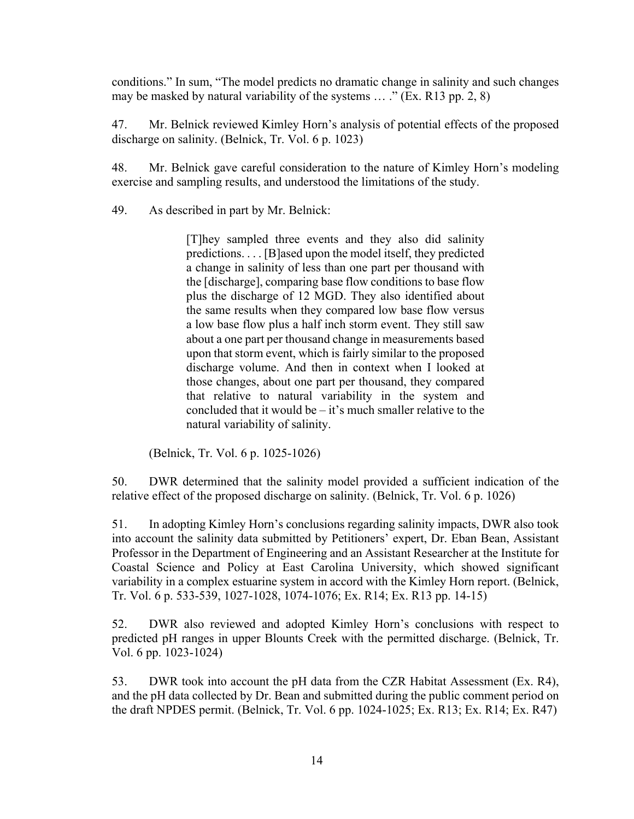conditions." In sum, "The model predicts no dramatic change in salinity and such changes may be masked by natural variability of the systems … ." (Ex. R13 pp. 2, 8)

47. Mr. Belnick reviewed Kimley Horn's analysis of potential effects of the proposed discharge on salinity. (Belnick, Tr. Vol. 6 p. 1023)

48. Mr. Belnick gave careful consideration to the nature of Kimley Horn's modeling exercise and sampling results, and understood the limitations of the study.

49. As described in part by Mr. Belnick:

[T]hey sampled three events and they also did salinity predictions. . . . [B]ased upon the model itself, they predicted a change in salinity of less than one part per thousand with the [discharge], comparing base flow conditions to base flow plus the discharge of 12 MGD. They also identified about the same results when they compared low base flow versus a low base flow plus a half inch storm event. They still saw about a one part per thousand change in measurements based upon that storm event, which is fairly similar to the proposed discharge volume. And then in context when I looked at those changes, about one part per thousand, they compared that relative to natural variability in the system and concluded that it would be  $-$  it's much smaller relative to the natural variability of salinity.

(Belnick, Tr. Vol. 6 p. 1025-1026)

50. DWR determined that the salinity model provided a sufficient indication of the relative effect of the proposed discharge on salinity. (Belnick, Tr. Vol. 6 p. 1026)

51. In adopting Kimley Horn's conclusions regarding salinity impacts, DWR also took into account the salinity data submitted by Petitioners' expert, Dr. Eban Bean, Assistant Professor in the Department of Engineering and an Assistant Researcher at the Institute for Coastal Science and Policy at East Carolina University, which showed significant variability in a complex estuarine system in accord with the Kimley Horn report. (Belnick, Tr. Vol. 6 p. 533-539, 1027-1028, 1074-1076; Ex. R14; Ex. R13 pp. 14-15)

52. DWR also reviewed and adopted Kimley Horn's conclusions with respect to predicted pH ranges in upper Blounts Creek with the permitted discharge. (Belnick, Tr. Vol. 6 pp. 1023-1024)

53. DWR took into account the pH data from the CZR Habitat Assessment (Ex. R4), and the pH data collected by Dr. Bean and submitted during the public comment period on the draft NPDES permit. (Belnick, Tr. Vol. 6 pp. 1024-1025; Ex. R13; Ex. R14; Ex. R47)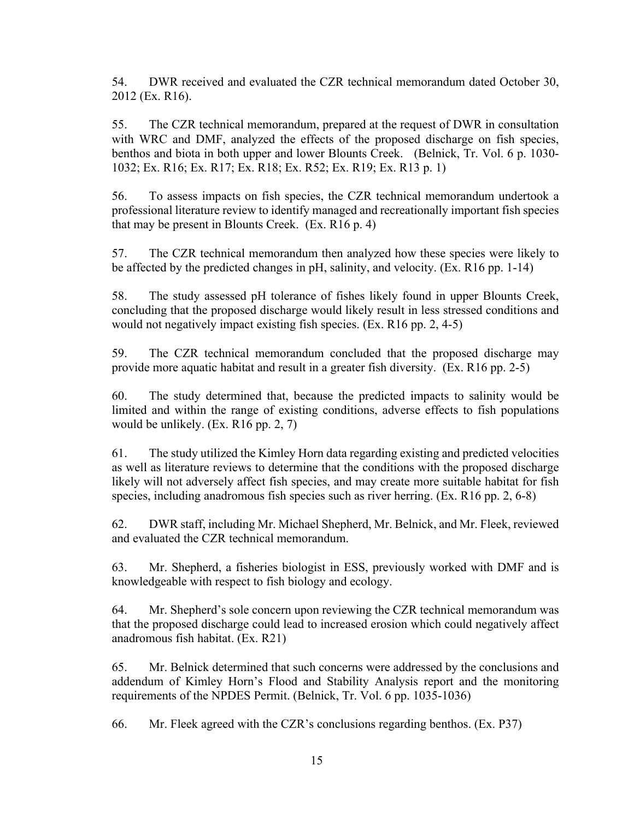54. DWR received and evaluated the CZR technical memorandum dated October 30, 2012 (Ex. R16).

55. The CZR technical memorandum, prepared at the request of DWR in consultation with WRC and DMF, analyzed the effects of the proposed discharge on fish species, benthos and biota in both upper and lower Blounts Creek. (Belnick, Tr. Vol. 6 p. 1030- 1032; Ex. R16; Ex. R17; Ex. R18; Ex. R52; Ex. R19; Ex. R13 p. 1)

56. To assess impacts on fish species, the CZR technical memorandum undertook a professional literature review to identify managed and recreationally important fish species that may be present in Blounts Creek. (Ex. R16 p. 4)

57. The CZR technical memorandum then analyzed how these species were likely to be affected by the predicted changes in pH, salinity, and velocity. (Ex. R16 pp. 1-14)

58. The study assessed pH tolerance of fishes likely found in upper Blounts Creek, concluding that the proposed discharge would likely result in less stressed conditions and would not negatively impact existing fish species. (Ex. R16 pp. 2, 4-5)

59. The CZR technical memorandum concluded that the proposed discharge may provide more aquatic habitat and result in a greater fish diversity. (Ex. R16 pp. 2-5)

60. The study determined that, because the predicted impacts to salinity would be limited and within the range of existing conditions, adverse effects to fish populations would be unlikely. (Ex. R16 pp. 2, 7)

61. The study utilized the Kimley Horn data regarding existing and predicted velocities as well as literature reviews to determine that the conditions with the proposed discharge likely will not adversely affect fish species, and may create more suitable habitat for fish species, including anadromous fish species such as river herring. (Ex. R16 pp. 2, 6-8)

62. DWR staff, including Mr. Michael Shepherd, Mr. Belnick, and Mr. Fleek, reviewed and evaluated the CZR technical memorandum.

63. Mr. Shepherd, a fisheries biologist in ESS, previously worked with DMF and is knowledgeable with respect to fish biology and ecology.

64. Mr. Shepherd's sole concern upon reviewing the CZR technical memorandum was that the proposed discharge could lead to increased erosion which could negatively affect anadromous fish habitat. (Ex. R21)

65. Mr. Belnick determined that such concerns were addressed by the conclusions and addendum of Kimley Horn's Flood and Stability Analysis report and the monitoring requirements of the NPDES Permit. (Belnick, Tr. Vol. 6 pp. 1035-1036)

66. Mr. Fleek agreed with the CZR's conclusions regarding benthos. (Ex. P37)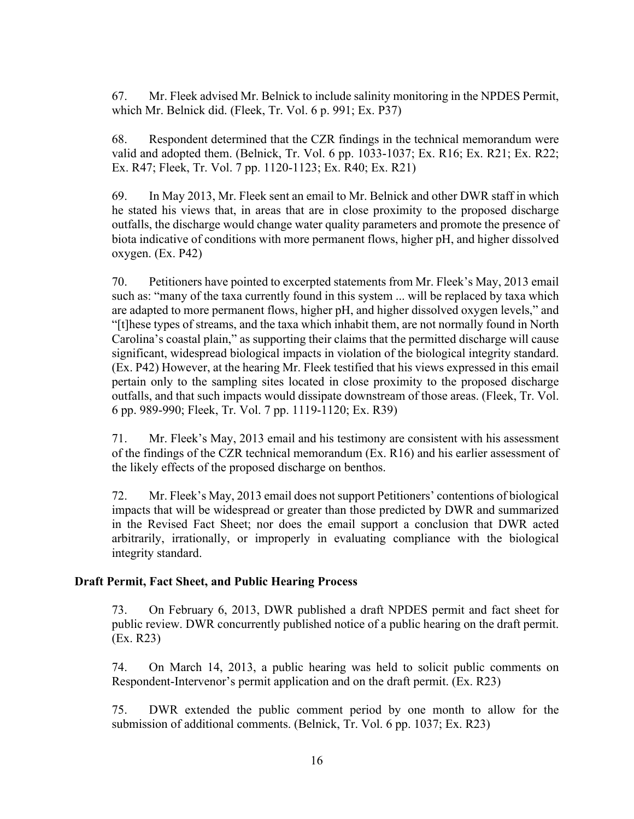67. Mr. Fleek advised Mr. Belnick to include salinity monitoring in the NPDES Permit, which Mr. Belnick did. (Fleek, Tr. Vol. 6 p. 991; Ex. P37)

68. Respondent determined that the CZR findings in the technical memorandum were valid and adopted them. (Belnick, Tr. Vol. 6 pp. 1033-1037; Ex. R16; Ex. R21; Ex. R22; Ex. R47; Fleek, Tr. Vol. 7 pp. 1120-1123; Ex. R40; Ex. R21)

69. In May 2013, Mr. Fleek sent an email to Mr. Belnick and other DWR staff in which he stated his views that, in areas that are in close proximity to the proposed discharge outfalls, the discharge would change water quality parameters and promote the presence of biota indicative of conditions with more permanent flows, higher pH, and higher dissolved oxygen. (Ex. P42)

70. Petitioners have pointed to excerpted statements from Mr. Fleek's May, 2013 email such as: "many of the taxa currently found in this system ... will be replaced by taxa which are adapted to more permanent flows, higher pH, and higher dissolved oxygen levels," and "[t]hese types of streams, and the taxa which inhabit them, are not normally found in North Carolina's coastal plain," as supporting their claims that the permitted discharge will cause significant, widespread biological impacts in violation of the biological integrity standard. (Ex. P42) However, at the hearing Mr. Fleek testified that his views expressed in this email pertain only to the sampling sites located in close proximity to the proposed discharge outfalls, and that such impacts would dissipate downstream of those areas. (Fleek, Tr. Vol. 6 pp. 989-990; Fleek, Tr. Vol. 7 pp. 1119-1120; Ex. R39)

71. Mr. Fleek's May, 2013 email and his testimony are consistent with his assessment of the findings of the CZR technical memorandum (Ex. R16) and his earlier assessment of the likely effects of the proposed discharge on benthos.

72. Mr. Fleek's May, 2013 email does notsupport Petitioners' contentions of biological impacts that will be widespread or greater than those predicted by DWR and summarized in the Revised Fact Sheet; nor does the email support a conclusion that DWR acted arbitrarily, irrationally, or improperly in evaluating compliance with the biological integrity standard.

#### **Draft Permit, Fact Sheet, and Public Hearing Process**

73. On February 6, 2013, DWR published a draft NPDES permit and fact sheet for public review. DWR concurrently published notice of a public hearing on the draft permit. (Ex. R23)

74. On March 14, 2013, a public hearing was held to solicit public comments on Respondent-Intervenor's permit application and on the draft permit. (Ex. R23)

75. DWR extended the public comment period by one month to allow for the submission of additional comments. (Belnick, Tr. Vol. 6 pp. 1037; Ex. R23)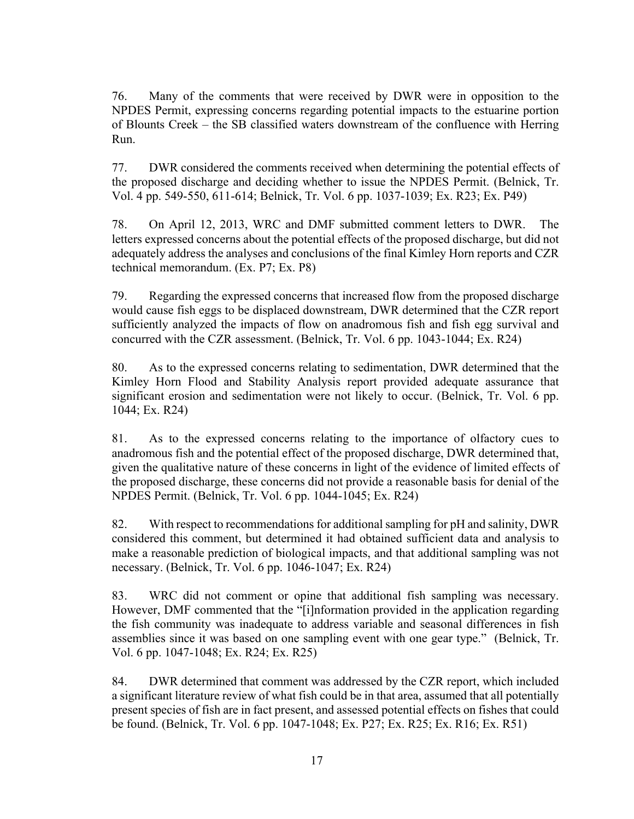76. Many of the comments that were received by DWR were in opposition to the NPDES Permit, expressing concerns regarding potential impacts to the estuarine portion of Blounts Creek – the SB classified waters downstream of the confluence with Herring Run.

77. DWR considered the comments received when determining the potential effects of the proposed discharge and deciding whether to issue the NPDES Permit. (Belnick, Tr. Vol. 4 pp. 549-550, 611-614; Belnick, Tr. Vol. 6 pp. 1037-1039; Ex. R23; Ex. P49)

78. On April 12, 2013, WRC and DMF submitted comment letters to DWR. The letters expressed concerns about the potential effects of the proposed discharge, but did not adequately address the analyses and conclusions of the final Kimley Horn reports and CZR technical memorandum. (Ex. P7; Ex. P8)

79. Regarding the expressed concerns that increased flow from the proposed discharge would cause fish eggs to be displaced downstream, DWR determined that the CZR report sufficiently analyzed the impacts of flow on anadromous fish and fish egg survival and concurred with the CZR assessment. (Belnick, Tr. Vol. 6 pp. 1043-1044; Ex. R24)

80. As to the expressed concerns relating to sedimentation, DWR determined that the Kimley Horn Flood and Stability Analysis report provided adequate assurance that significant erosion and sedimentation were not likely to occur. (Belnick, Tr. Vol. 6 pp. 1044; Ex. R24)

81. As to the expressed concerns relating to the importance of olfactory cues to anadromous fish and the potential effect of the proposed discharge, DWR determined that, given the qualitative nature of these concerns in light of the evidence of limited effects of the proposed discharge, these concerns did not provide a reasonable basis for denial of the NPDES Permit. (Belnick, Tr. Vol. 6 pp. 1044-1045; Ex. R24)

82. With respect to recommendations for additional sampling for pH and salinity, DWR considered this comment, but determined it had obtained sufficient data and analysis to make a reasonable prediction of biological impacts, and that additional sampling was not necessary. (Belnick, Tr. Vol. 6 pp. 1046-1047; Ex. R24)

83. WRC did not comment or opine that additional fish sampling was necessary. However, DMF commented that the "[i]nformation provided in the application regarding the fish community was inadequate to address variable and seasonal differences in fish assemblies since it was based on one sampling event with one gear type." (Belnick, Tr. Vol. 6 pp. 1047-1048; Ex. R24; Ex. R25)

84. DWR determined that comment was addressed by the CZR report, which included a significant literature review of what fish could be in that area, assumed that all potentially present species of fish are in fact present, and assessed potential effects on fishes that could be found. (Belnick, Tr. Vol. 6 pp. 1047-1048; Ex. P27; Ex. R25; Ex. R16; Ex. R51)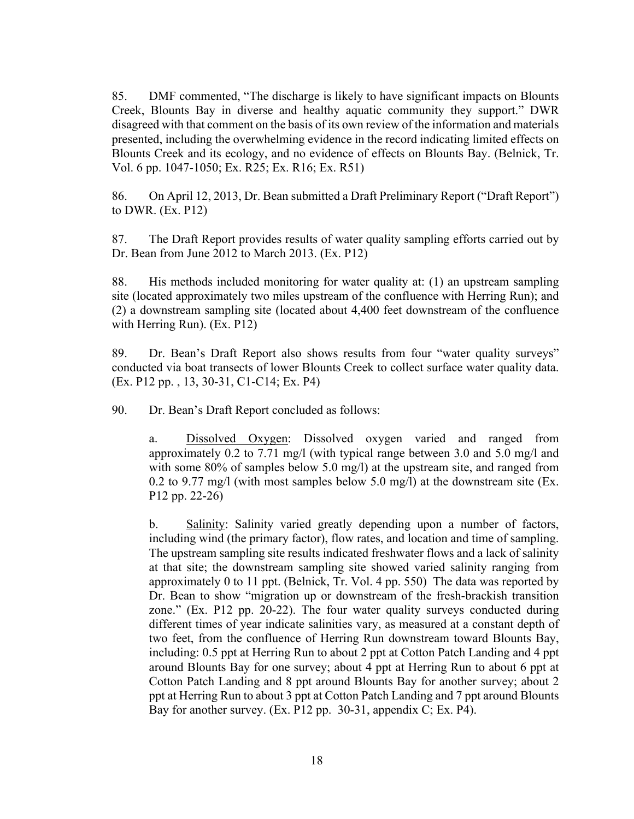85. DMF commented, "The discharge is likely to have significant impacts on Blounts Creek, Blounts Bay in diverse and healthy aquatic community they support." DWR disagreed with that comment on the basis of its own review of the information and materials presented, including the overwhelming evidence in the record indicating limited effects on Blounts Creek and its ecology, and no evidence of effects on Blounts Bay. (Belnick, Tr. Vol. 6 pp. 1047-1050; Ex. R25; Ex. R16; Ex. R51)

86. On April 12, 2013, Dr. Bean submitted a Draft Preliminary Report ("Draft Report") to DWR. (Ex. P12)

87. The Draft Report provides results of water quality sampling efforts carried out by Dr. Bean from June 2012 to March 2013. (Ex. P12)

88. His methods included monitoring for water quality at: (1) an upstream sampling site (located approximately two miles upstream of the confluence with Herring Run); and (2) a downstream sampling site (located about 4,400 feet downstream of the confluence with Herring Run). (Ex. P12)

89. Dr. Bean's Draft Report also shows results from four "water quality surveys" conducted via boat transects of lower Blounts Creek to collect surface water quality data. (Ex. P12 pp. , 13, 30-31, C1-C14; Ex. P4)

90. Dr. Bean's Draft Report concluded as follows:

a. Dissolved Oxygen: Dissolved oxygen varied and ranged from approximately 0.2 to 7.71 mg/l (with typical range between 3.0 and 5.0 mg/l and with some 80% of samples below 5.0 mg/l) at the upstream site, and ranged from 0.2 to 9.77 mg/l (with most samples below 5.0 mg/l) at the downstream site (Ex. P12 pp. 22-26)

b. Salinity: Salinity varied greatly depending upon a number of factors, including wind (the primary factor), flow rates, and location and time of sampling. The upstream sampling site results indicated freshwater flows and a lack of salinity at that site; the downstream sampling site showed varied salinity ranging from approximately 0 to 11 ppt. (Belnick, Tr. Vol. 4 pp. 550) The data was reported by Dr. Bean to show "migration up or downstream of the fresh-brackish transition zone." (Ex. P12 pp. 20-22). The four water quality surveys conducted during different times of year indicate salinities vary, as measured at a constant depth of two feet, from the confluence of Herring Run downstream toward Blounts Bay, including: 0.5 ppt at Herring Run to about 2 ppt at Cotton Patch Landing and 4 ppt around Blounts Bay for one survey; about 4 ppt at Herring Run to about 6 ppt at Cotton Patch Landing and 8 ppt around Blounts Bay for another survey; about 2 ppt at Herring Run to about 3 ppt at Cotton Patch Landing and 7 ppt around Blounts Bay for another survey. (Ex. P12 pp. 30-31, appendix C; Ex. P4).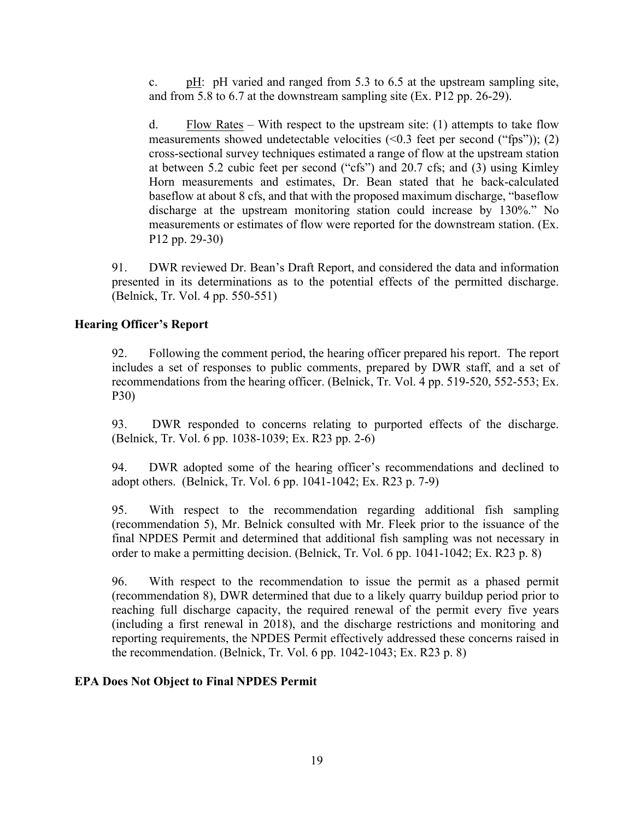c. pH: pH varied and ranged from 5.3 to 6.5 at the upstream sampling site, and from 5.8 to 6.7 at the downstream sampling site (Ex. P12 pp. 26-29).

d. Flow Rates – With respect to the upstream site: (1) attempts to take flow measurements showed undetectable velocities  $(\leq 0.3$  feet per second ("fps")); (2) cross-sectional survey techniques estimated a range of flow at the upstream station at between 5.2 cubic feet per second ("cfs") and 20.7 cfs; and (3) using Kimley Horn measurements and estimates, Dr. Bean stated that he back-calculated baseflow at about 8 cfs, and that with the proposed maximum discharge, "baseflow discharge at the upstream monitoring station could increase by 130%." No measurements or estimates of flow were reported for the downstream station. (Ex. P12 pp. 29-30)

91. DWR reviewed Dr. Bean's Draft Report, and considered the data and information presented in its determinations as to the potential effects of the permitted discharge. (Belnick, Tr. Vol. 4 pp. 550-551)

# **Hearing Officer's Report**

92. Following the comment period, the hearing officer prepared his report. The report includes a set of responses to public comments, prepared by DWR staff, and a set of recommendations from the hearing officer. (Belnick, Tr. Vol. 4 pp. 519-520, 552-553; Ex. P30)

93. DWR responded to concerns relating to purported effects of the discharge. (Belnick, Tr. Vol. 6 pp. 1038-1039; Ex. R23 pp. 2-6)

94. DWR adopted some of the hearing officer's recommendations and declined to adopt others. (Belnick, Tr. Vol. 6 pp. 1041-1042; Ex. R23 p. 7-9)

95. With respect to the recommendation regarding additional fish sampling (recommendation 5), Mr. Belnick consulted with Mr. Fleek prior to the issuance of the final NPDES Permit and determined that additional fish sampling was not necessary in order to make a permitting decision. (Belnick, Tr. Vol. 6 pp. 1041-1042; Ex. R23 p. 8)

96. With respect to the recommendation to issue the permit as a phased permit (recommendation 8), DWR determined that due to a likely quarry buildup period prior to reaching full discharge capacity, the required renewal of the permit every five years (including a first renewal in 2018), and the discharge restrictions and monitoring and reporting requirements, the NPDES Permit effectively addressed these concerns raised in the recommendation. (Belnick, Tr. Vol. 6 pp. 1042-1043; Ex. R23 p. 8)

#### **EPA Does Not Object to Final NPDES Permit**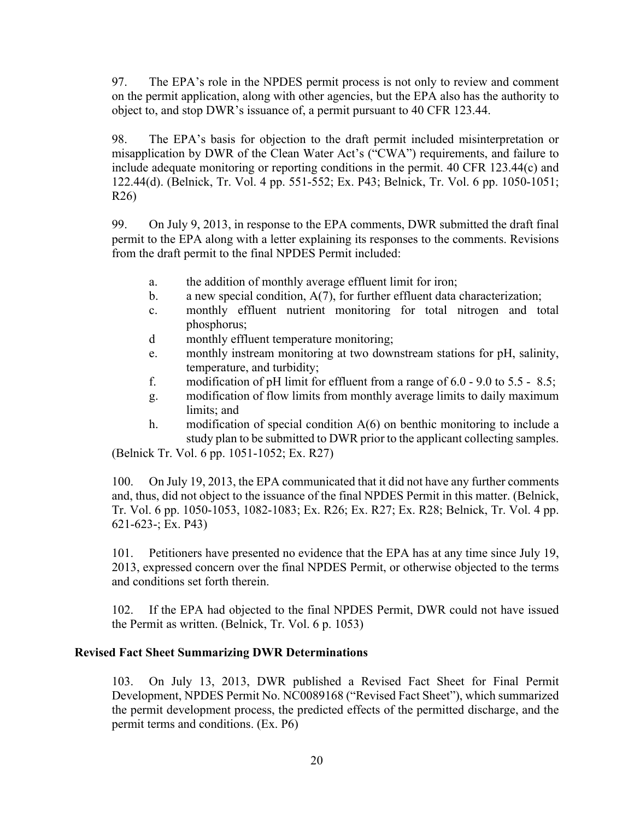97. The EPA's role in the NPDES permit process is not only to review and comment on the permit application, along with other agencies, but the EPA also has the authority to object to, and stop DWR's issuance of, a permit pursuant to 40 CFR 123.44.

98. The EPA's basis for objection to the draft permit included misinterpretation or misapplication by DWR of the Clean Water Act's ("CWA") requirements, and failure to include adequate monitoring or reporting conditions in the permit. 40 CFR 123.44(c) and 122.44(d). (Belnick, Tr. Vol. 4 pp. 551-552; Ex. P43; Belnick, Tr. Vol. 6 pp. 1050-1051; R26)

99. On July 9, 2013, in response to the EPA comments, DWR submitted the draft final permit to the EPA along with a letter explaining its responses to the comments. Revisions from the draft permit to the final NPDES Permit included:

- a. the addition of monthly average effluent limit for iron;
- b. a new special condition, A(7), for further effluent data characterization;
- c. monthly effluent nutrient monitoring for total nitrogen and total phosphorus;
- d monthly effluent temperature monitoring;
- e. monthly instream monitoring at two downstream stations for pH, salinity, temperature, and turbidity;
- f. modification of pH limit for effluent from a range of  $6.0 9.0$  to  $5.5 8.5$ ;
- g. modification of flow limits from monthly average limits to daily maximum limits; and
- h. modification of special condition  $A(6)$  on benthic monitoring to include a study plan to be submitted to DWR prior to the applicant collecting samples.

(Belnick Tr. Vol. 6 pp. 1051-1052; Ex. R27)

100. On July 19, 2013, the EPA communicated that it did not have any further comments and, thus, did not object to the issuance of the final NPDES Permit in this matter. (Belnick, Tr. Vol. 6 pp. 1050-1053, 1082-1083; Ex. R26; Ex. R27; Ex. R28; Belnick, Tr. Vol. 4 pp. 621-623-; Ex. P43)

101. Petitioners have presented no evidence that the EPA has at any time since July 19, 2013, expressed concern over the final NPDES Permit, or otherwise objected to the terms and conditions set forth therein.

102. If the EPA had objected to the final NPDES Permit, DWR could not have issued the Permit as written. (Belnick, Tr. Vol. 6 p. 1053)

#### **Revised Fact Sheet Summarizing DWR Determinations**

103. On July 13, 2013, DWR published a Revised Fact Sheet for Final Permit Development, NPDES Permit No. NC0089168 ("Revised Fact Sheet"), which summarized the permit development process, the predicted effects of the permitted discharge, and the permit terms and conditions. (Ex. P6)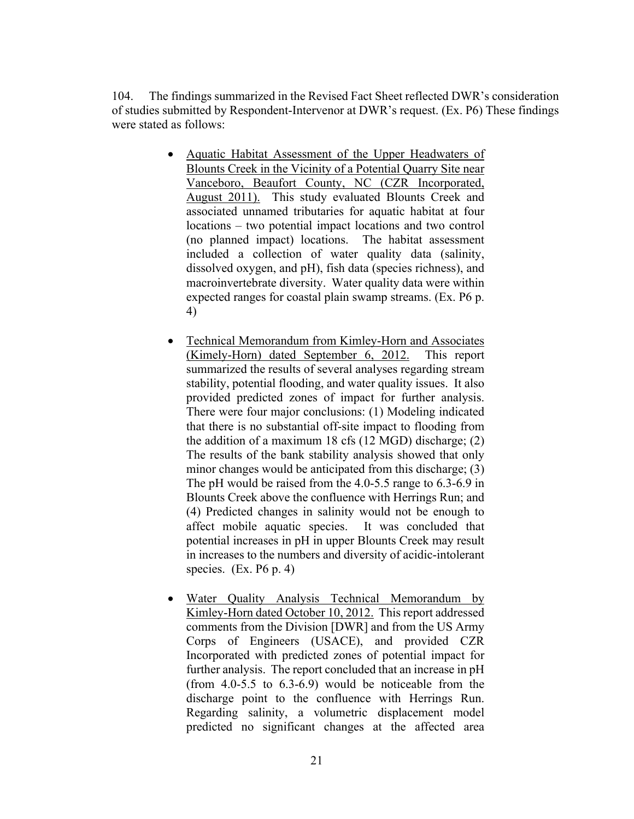104. The findings summarized in the Revised Fact Sheet reflected DWR's consideration of studies submitted by Respondent-Intervenor at DWR's request. (Ex. P6) These findings were stated as follows:

- Aquatic Habitat Assessment of the Upper Headwaters of Blounts Creek in the Vicinity of a Potential Quarry Site near Vanceboro, Beaufort County, NC (CZR Incorporated, August 2011). This study evaluated Blounts Creek and associated unnamed tributaries for aquatic habitat at four locations – two potential impact locations and two control (no planned impact) locations. The habitat assessment included a collection of water quality data (salinity, dissolved oxygen, and pH), fish data (species richness), and macroinvertebrate diversity. Water quality data were within expected ranges for coastal plain swamp streams. (Ex. P6 p. 4)
- Technical Memorandum from Kimley-Horn and Associates (Kimely-Horn) dated September 6, 2012. This report summarized the results of several analyses regarding stream stability, potential flooding, and water quality issues. It also provided predicted zones of impact for further analysis. There were four major conclusions: (1) Modeling indicated that there is no substantial off-site impact to flooding from the addition of a maximum 18 cfs (12 MGD) discharge; (2) The results of the bank stability analysis showed that only minor changes would be anticipated from this discharge; (3) The pH would be raised from the 4.0-5.5 range to 6.3-6.9 in Blounts Creek above the confluence with Herrings Run; and (4) Predicted changes in salinity would not be enough to affect mobile aquatic species. It was concluded that potential increases in pH in upper Blounts Creek may result in increases to the numbers and diversity of acidic-intolerant species.  $(Ex. P6 p. 4)$
- Water Quality Analysis Technical Memorandum by Kimley-Horn dated October 10, 2012. This report addressed comments from the Division [DWR] and from the US Army Corps of Engineers (USACE), and provided CZR Incorporated with predicted zones of potential impact for further analysis. The report concluded that an increase in pH (from 4.0-5.5 to 6.3-6.9) would be noticeable from the discharge point to the confluence with Herrings Run. Regarding salinity, a volumetric displacement model predicted no significant changes at the affected area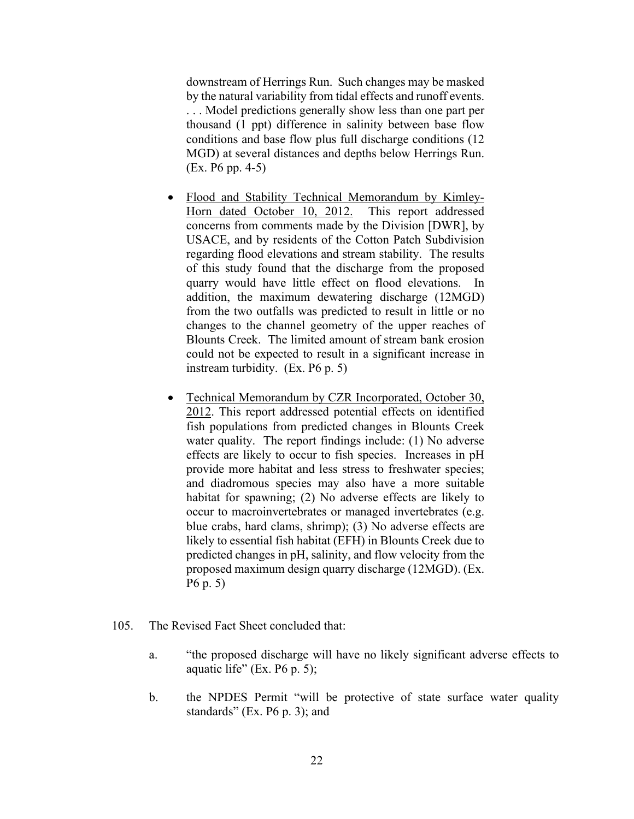downstream of Herrings Run. Such changes may be masked by the natural variability from tidal effects and runoff events. . . . Model predictions generally show less than one part per thousand (1 ppt) difference in salinity between base flow conditions and base flow plus full discharge conditions (12 MGD) at several distances and depths below Herrings Run. (Ex. P6 pp. 4-5)

- Flood and Stability Technical Memorandum by Kimley-Horn dated October 10, 2012. This report addressed concerns from comments made by the Division [DWR], by USACE, and by residents of the Cotton Patch Subdivision regarding flood elevations and stream stability. The results of this study found that the discharge from the proposed quarry would have little effect on flood elevations. In addition, the maximum dewatering discharge (12MGD) from the two outfalls was predicted to result in little or no changes to the channel geometry of the upper reaches of Blounts Creek. The limited amount of stream bank erosion could not be expected to result in a significant increase in instream turbidity. (Ex. P6 p. 5)
- Technical Memorandum by CZR Incorporated, October 30, 2012. This report addressed potential effects on identified fish populations from predicted changes in Blounts Creek water quality. The report findings include: (1) No adverse effects are likely to occur to fish species. Increases in pH provide more habitat and less stress to freshwater species; and diadromous species may also have a more suitable habitat for spawning; (2) No adverse effects are likely to occur to macroinvertebrates or managed invertebrates (e.g. blue crabs, hard clams, shrimp); (3) No adverse effects are likely to essential fish habitat (EFH) in Blounts Creek due to predicted changes in pH, salinity, and flow velocity from the proposed maximum design quarry discharge (12MGD). (Ex. P6 p. 5)
- 105. The Revised Fact Sheet concluded that:
	- a. "the proposed discharge will have no likely significant adverse effects to aquatic life" (Ex.  $P6$  p. 5);
	- b. the NPDES Permit "will be protective of state surface water quality standards" (Ex. P6 p. 3); and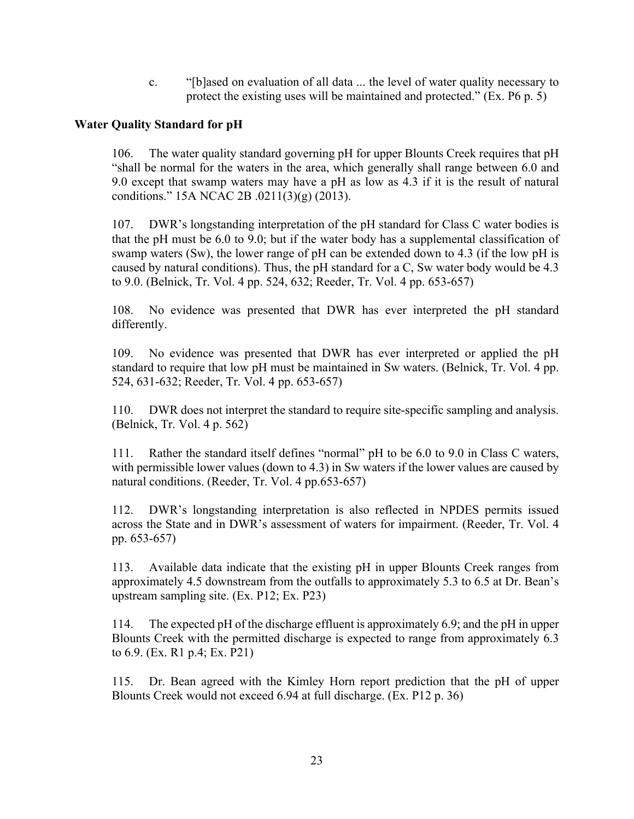c. "[b]ased on evaluation of all data ... the level of water quality necessary to protect the existing uses will be maintained and protected." (Ex. P6 p. 5)

## **Water Quality Standard for pH**

106. The water quality standard governing pH for upper Blounts Creek requires that pH "shall be normal for the waters in the area, which generally shall range between 6.0 and 9.0 except that swamp waters may have a pH as low as 4.3 if it is the result of natural conditions." 15A NCAC 2B .0211(3)(g) (2013).

107. DWR's longstanding interpretation of the pH standard for Class C water bodies is that the pH must be 6.0 to 9.0; but if the water body has a supplemental classification of swamp waters (Sw), the lower range of pH can be extended down to 4.3 (if the low pH is caused by natural conditions). Thus, the pH standard for a C, Sw water body would be 4.3 to 9.0. (Belnick, Tr. Vol. 4 pp. 524, 632; Reeder, Tr. Vol. 4 pp. 653-657)

108. No evidence was presented that DWR has ever interpreted the pH standard differently.

109. No evidence was presented that DWR has ever interpreted or applied the pH standard to require that low pH must be maintained in Sw waters. (Belnick, Tr. Vol. 4 pp. 524, 631-632; Reeder, Tr. Vol. 4 pp. 653-657)

110. DWR does not interpret the standard to require site-specific sampling and analysis. (Belnick, Tr. Vol. 4 p. 562)

111. Rather the standard itself defines "normal" pH to be 6.0 to 9.0 in Class C waters, with permissible lower values (down to 4.3) in Sw waters if the lower values are caused by natural conditions. (Reeder, Tr. Vol. 4 pp.653-657)

112. DWR's longstanding interpretation is also reflected in NPDES permits issued across the State and in DWR's assessment of waters for impairment. (Reeder, Tr. Vol. 4 pp. 653-657)

113. Available data indicate that the existing pH in upper Blounts Creek ranges from approximately 4.5 downstream from the outfalls to approximately 5.3 to 6.5 at Dr. Bean's upstream sampling site. (Ex. P12; Ex. P23)

114. The expected pH of the discharge effluent is approximately 6.9; and the pH in upper Blounts Creek with the permitted discharge is expected to range from approximately 6.3 to 6.9. (Ex. R1 p.4; Ex. P21)

115. Dr. Bean agreed with the Kimley Horn report prediction that the pH of upper Blounts Creek would not exceed 6.94 at full discharge. (Ex. P12 p. 36)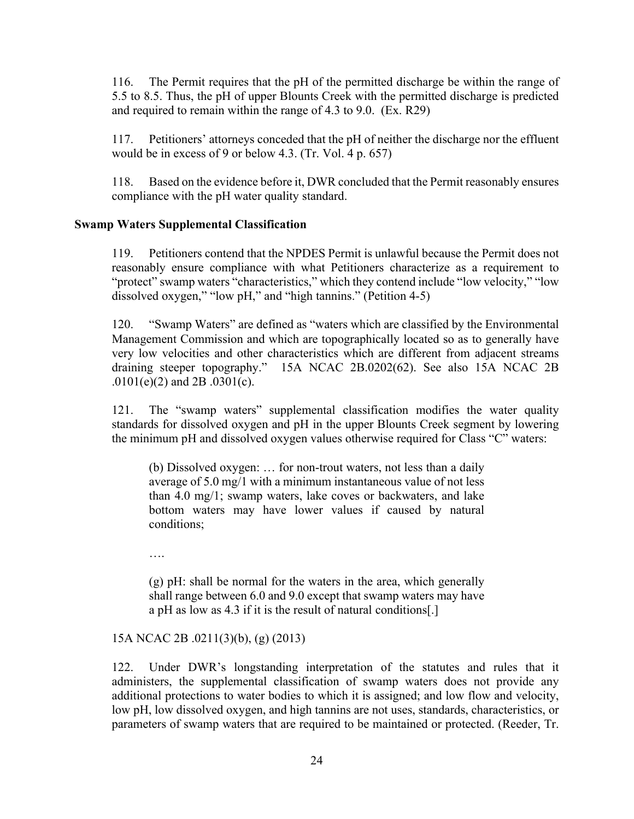116. The Permit requires that the pH of the permitted discharge be within the range of 5.5 to 8.5. Thus, the pH of upper Blounts Creek with the permitted discharge is predicted and required to remain within the range of 4.3 to 9.0. (Ex. R29)

117. Petitioners' attorneys conceded that the pH of neither the discharge nor the effluent would be in excess of 9 or below 4.3. (Tr. Vol. 4 p. 657)

118. Based on the evidence before it, DWR concluded that the Permit reasonably ensures compliance with the pH water quality standard.

## **Swamp Waters Supplemental Classification**

119. Petitioners contend that the NPDES Permit is unlawful because the Permit does not reasonably ensure compliance with what Petitioners characterize as a requirement to "protect" swamp waters "characteristics," which they contend include "low velocity," "low dissolved oxygen," "low pH," and "high tannins." (Petition 4-5)

120. "Swamp Waters" are defined as "waters which are classified by the Environmental Management Commission and which are topographically located so as to generally have very low velocities and other characteristics which are different from adjacent streams draining steeper topography." 15A NCAC 2B.0202(62). See also 15A NCAC 2B .0101(e)(2) and 2B .0301(c).

121. The "swamp waters" supplemental classification modifies the water quality standards for dissolved oxygen and pH in the upper Blounts Creek segment by lowering the minimum pH and dissolved oxygen values otherwise required for Class "C" waters:

(b) Dissolved oxygen: … for non-trout waters, not less than a daily average of 5.0 mg/1 with a minimum instantaneous value of not less than 4.0 mg/1; swamp waters, lake coves or backwaters, and lake bottom waters may have lower values if caused by natural conditions;

….

(g) pH: shall be normal for the waters in the area, which generally shall range between 6.0 and 9.0 except that swamp waters may have a pH as low as 4.3 if it is the result of natural conditions[.]

#### 15A NCAC 2B .0211(3)(b), (g) (2013)

122. Under DWR's longstanding interpretation of the statutes and rules that it administers, the supplemental classification of swamp waters does not provide any additional protections to water bodies to which it is assigned; and low flow and velocity, low pH, low dissolved oxygen, and high tannins are not uses, standards, characteristics, or parameters of swamp waters that are required to be maintained or protected. (Reeder, Tr.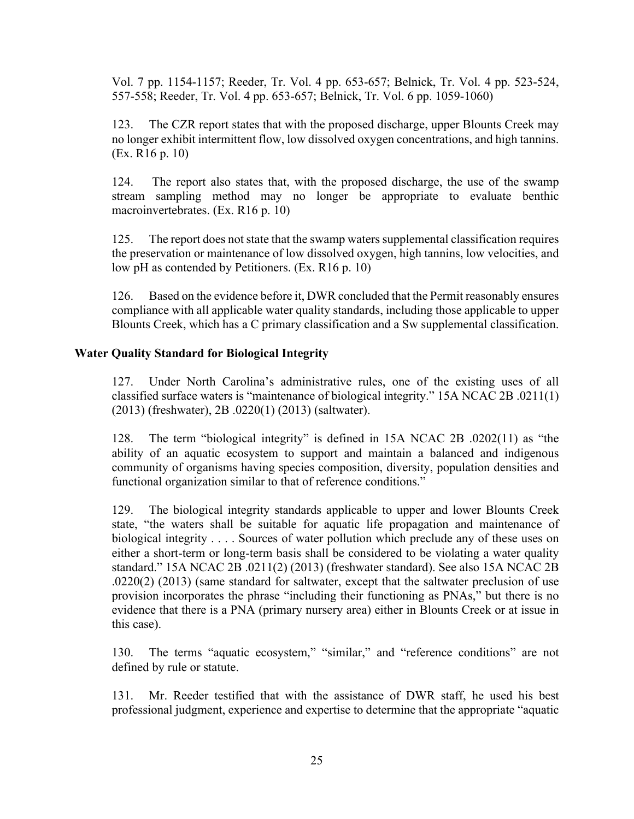Vol. 7 pp. 1154-1157; Reeder, Tr. Vol. 4 pp. 653-657; Belnick, Tr. Vol. 4 pp. 523-524, 557-558; Reeder, Tr. Vol. 4 pp. 653-657; Belnick, Tr. Vol. 6 pp. 1059-1060)

123. The CZR report states that with the proposed discharge, upper Blounts Creek may no longer exhibit intermittent flow, low dissolved oxygen concentrations, and high tannins. (Ex. R16 p. 10)

124. The report also states that, with the proposed discharge, the use of the swamp stream sampling method may no longer be appropriate to evaluate benthic macroinvertebrates. (Ex. R16 p. 10)

125. The report does not state that the swamp waters supplemental classification requires the preservation or maintenance of low dissolved oxygen, high tannins, low velocities, and low pH as contended by Petitioners. (Ex. R16 p. 10)

126. Based on the evidence before it, DWR concluded that the Permit reasonably ensures compliance with all applicable water quality standards, including those applicable to upper Blounts Creek, which has a C primary classification and a Sw supplemental classification.

## **Water Quality Standard for Biological Integrity**

127. Under North Carolina's administrative rules, one of the existing uses of all classified surface waters is "maintenance of biological integrity." 15A NCAC 2B .0211(1) (2013) (freshwater), 2B .0220(1) (2013) (saltwater).

128. The term "biological integrity" is defined in 15A NCAC 2B .0202(11) as "the ability of an aquatic ecosystem to support and maintain a balanced and indigenous community of organisms having species composition, diversity, population densities and functional organization similar to that of reference conditions."

129. The biological integrity standards applicable to upper and lower Blounts Creek state, "the waters shall be suitable for aquatic life propagation and maintenance of biological integrity . . . . Sources of water pollution which preclude any of these uses on either a short-term or long-term basis shall be considered to be violating a water quality standard." 15A NCAC 2B .0211(2) (2013) (freshwater standard). See also 15A NCAC 2B .0220(2) (2013) (same standard for saltwater, except that the saltwater preclusion of use provision incorporates the phrase "including their functioning as PNAs," but there is no evidence that there is a PNA (primary nursery area) either in Blounts Creek or at issue in this case).

130. The terms "aquatic ecosystem," "similar," and "reference conditions" are not defined by rule or statute.

131. Mr. Reeder testified that with the assistance of DWR staff, he used his best professional judgment, experience and expertise to determine that the appropriate "aquatic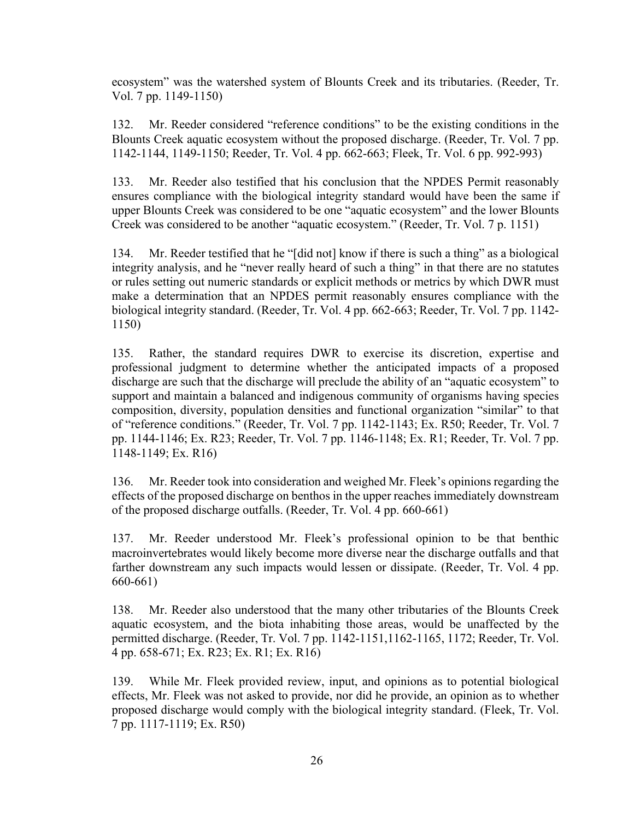ecosystem" was the watershed system of Blounts Creek and its tributaries. (Reeder, Tr. Vol. 7 pp. 1149-1150)

132. Mr. Reeder considered "reference conditions" to be the existing conditions in the Blounts Creek aquatic ecosystem without the proposed discharge. (Reeder, Tr. Vol. 7 pp. 1142-1144, 1149-1150; Reeder, Tr. Vol. 4 pp. 662-663; Fleek, Tr. Vol. 6 pp. 992-993)

133. Mr. Reeder also testified that his conclusion that the NPDES Permit reasonably ensures compliance with the biological integrity standard would have been the same if upper Blounts Creek was considered to be one "aquatic ecosystem" and the lower Blounts Creek was considered to be another "aquatic ecosystem." (Reeder, Tr. Vol. 7 p. 1151)

134. Mr. Reeder testified that he "[did not] know if there is such a thing" as a biological integrity analysis, and he "never really heard of such a thing" in that there are no statutes or rules setting out numeric standards or explicit methods or metrics by which DWR must make a determination that an NPDES permit reasonably ensures compliance with the biological integrity standard. (Reeder, Tr. Vol. 4 pp. 662-663; Reeder, Tr. Vol. 7 pp. 1142- 1150)

135. Rather, the standard requires DWR to exercise its discretion, expertise and professional judgment to determine whether the anticipated impacts of a proposed discharge are such that the discharge will preclude the ability of an "aquatic ecosystem" to support and maintain a balanced and indigenous community of organisms having species composition, diversity, population densities and functional organization "similar" to that of "reference conditions." (Reeder, Tr. Vol. 7 pp. 1142-1143; Ex. R50; Reeder, Tr. Vol. 7 pp. 1144-1146; Ex. R23; Reeder, Tr. Vol. 7 pp. 1146-1148; Ex. R1; Reeder, Tr. Vol. 7 pp. 1148-1149; Ex. R16)

136. Mr. Reeder took into consideration and weighed Mr. Fleek's opinions regarding the effects of the proposed discharge on benthos in the upper reaches immediately downstream of the proposed discharge outfalls. (Reeder, Tr. Vol. 4 pp. 660-661)

137. Mr. Reeder understood Mr. Fleek's professional opinion to be that benthic macroinvertebrates would likely become more diverse near the discharge outfalls and that farther downstream any such impacts would lessen or dissipate. (Reeder, Tr. Vol. 4 pp. 660-661)

138. Mr. Reeder also understood that the many other tributaries of the Blounts Creek aquatic ecosystem, and the biota inhabiting those areas, would be unaffected by the permitted discharge. (Reeder, Tr. Vol. 7 pp. 1142-1151,1162-1165, 1172; Reeder, Tr. Vol. 4 pp. 658-671; Ex. R23; Ex. R1; Ex. R16)

139. While Mr. Fleek provided review, input, and opinions as to potential biological effects, Mr. Fleek was not asked to provide, nor did he provide, an opinion as to whether proposed discharge would comply with the biological integrity standard. (Fleek, Tr. Vol. 7 pp. 1117-1119; Ex. R50)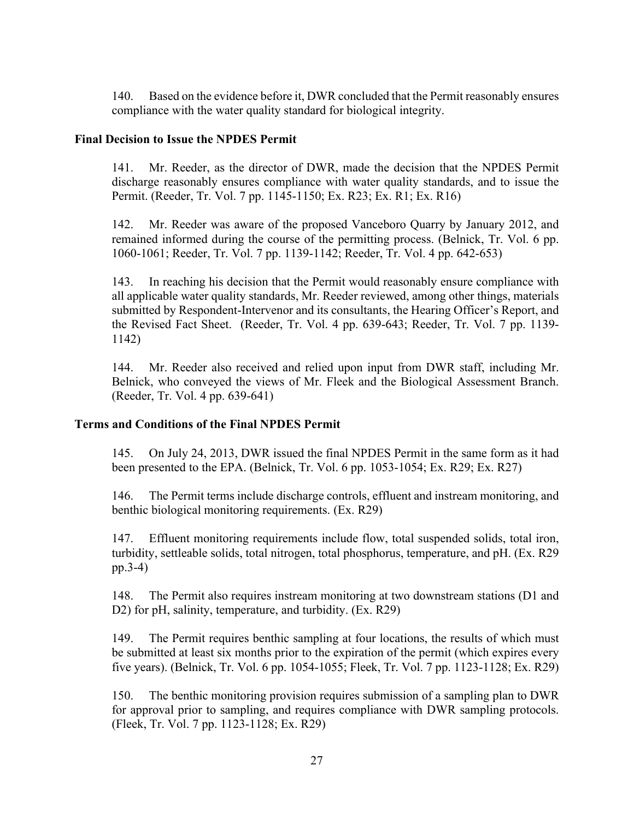140. Based on the evidence before it, DWR concluded that the Permit reasonably ensures compliance with the water quality standard for biological integrity.

#### **Final Decision to Issue the NPDES Permit**

141. Mr. Reeder, as the director of DWR, made the decision that the NPDES Permit discharge reasonably ensures compliance with water quality standards, and to issue the Permit. (Reeder, Tr. Vol. 7 pp. 1145-1150; Ex. R23; Ex. R1; Ex. R16)

142. Mr. Reeder was aware of the proposed Vanceboro Quarry by January 2012, and remained informed during the course of the permitting process. (Belnick, Tr. Vol. 6 pp. 1060-1061; Reeder, Tr. Vol. 7 pp. 1139-1142; Reeder, Tr. Vol. 4 pp. 642-653)

143. In reaching his decision that the Permit would reasonably ensure compliance with all applicable water quality standards, Mr. Reeder reviewed, among other things, materials submitted by Respondent-Intervenor and its consultants, the Hearing Officer's Report, and the Revised Fact Sheet. (Reeder, Tr. Vol. 4 pp. 639-643; Reeder, Tr. Vol. 7 pp. 1139- 1142)

144. Mr. Reeder also received and relied upon input from DWR staff, including Mr. Belnick, who conveyed the views of Mr. Fleek and the Biological Assessment Branch. (Reeder, Tr. Vol. 4 pp. 639-641)

# **Terms and Conditions of the Final NPDES Permit**

145. On July 24, 2013, DWR issued the final NPDES Permit in the same form as it had been presented to the EPA. (Belnick, Tr. Vol. 6 pp. 1053-1054; Ex. R29; Ex. R27)

146. The Permit terms include discharge controls, effluent and instream monitoring, and benthic biological monitoring requirements. (Ex. R29)

147. Effluent monitoring requirements include flow, total suspended solids, total iron, turbidity, settleable solids, total nitrogen, total phosphorus, temperature, and pH. (Ex. R29 pp.3-4)

148. The Permit also requires instream monitoring at two downstream stations (D1 and D2) for pH, salinity, temperature, and turbidity. (Ex. R29)

149. The Permit requires benthic sampling at four locations, the results of which must be submitted at least six months prior to the expiration of the permit (which expires every five years). (Belnick, Tr. Vol. 6 pp. 1054-1055; Fleek, Tr. Vol. 7 pp. 1123-1128; Ex. R29)

150. The benthic monitoring provision requires submission of a sampling plan to DWR for approval prior to sampling, and requires compliance with DWR sampling protocols. (Fleek, Tr. Vol. 7 pp. 1123-1128; Ex. R29)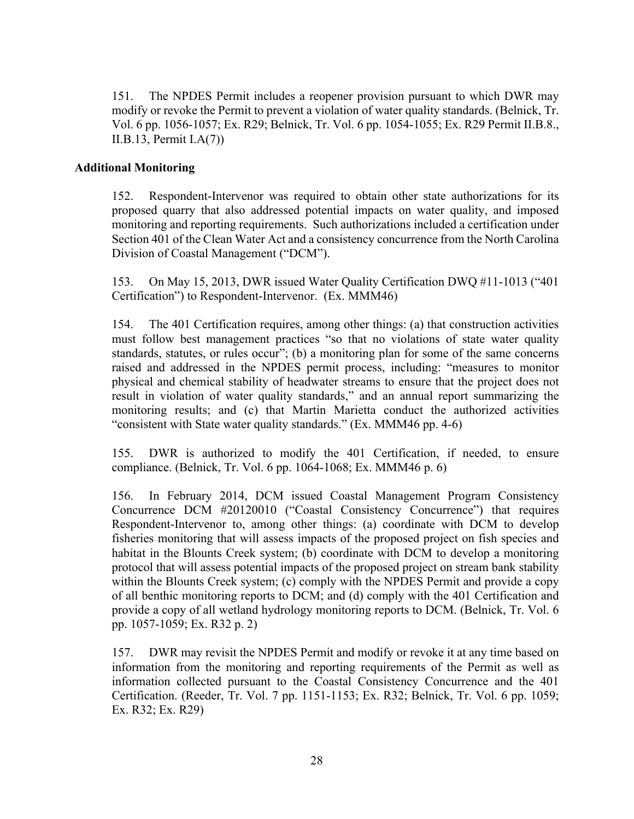151. The NPDES Permit includes a reopener provision pursuant to which DWR may modify or revoke the Permit to prevent a violation of water quality standards. (Belnick, Tr. Vol. 6 pp. 1056-1057; Ex. R29; Belnick, Tr. Vol. 6 pp. 1054-1055; Ex. R29 Permit II.B.8., II.B.13, Permit I.A(7))

#### **Additional Monitoring**

152. Respondent-Intervenor was required to obtain other state authorizations for its proposed quarry that also addressed potential impacts on water quality, and imposed monitoring and reporting requirements. Such authorizations included a certification under Section 401 of the Clean Water Act and a consistency concurrence from the North Carolina Division of Coastal Management ("DCM").

153. On May 15, 2013, DWR issued Water Quality Certification DWQ #11-1013 ("401 Certification") to Respondent-Intervenor. (Ex. MMM46)

154. The 401 Certification requires, among other things: (a) that construction activities must follow best management practices "so that no violations of state water quality standards, statutes, or rules occur"; (b) a monitoring plan for some of the same concerns raised and addressed in the NPDES permit process, including: "measures to monitor physical and chemical stability of headwater streams to ensure that the project does not result in violation of water quality standards," and an annual report summarizing the monitoring results; and (c) that Martin Marietta conduct the authorized activities "consistent with State water quality standards." (Ex. MMM46 pp. 4-6)

155. DWR is authorized to modify the 401 Certification, if needed, to ensure compliance. (Belnick, Tr. Vol. 6 pp. 1064-1068; Ex. MMM46 p. 6)

156. In February 2014, DCM issued Coastal Management Program Consistency Concurrence DCM #20120010 ("Coastal Consistency Concurrence") that requires Respondent-Intervenor to, among other things: (a) coordinate with DCM to develop fisheries monitoring that will assess impacts of the proposed project on fish species and habitat in the Blounts Creek system; (b) coordinate with DCM to develop a monitoring protocol that will assess potential impacts of the proposed project on stream bank stability within the Blounts Creek system; (c) comply with the NPDES Permit and provide a copy of all benthic monitoring reports to DCM; and (d) comply with the 401 Certification and provide a copy of all wetland hydrology monitoring reports to DCM. (Belnick, Tr. Vol. 6 pp. 1057-1059; Ex. R32 p. 2)

157. DWR may revisit the NPDES Permit and modify or revoke it at any time based on information from the monitoring and reporting requirements of the Permit as well as information collected pursuant to the Coastal Consistency Concurrence and the 401 Certification. (Reeder, Tr. Vol. 7 pp. 1151-1153; Ex. R32; Belnick, Tr. Vol. 6 pp. 1059; Ex. R32; Ex. R29)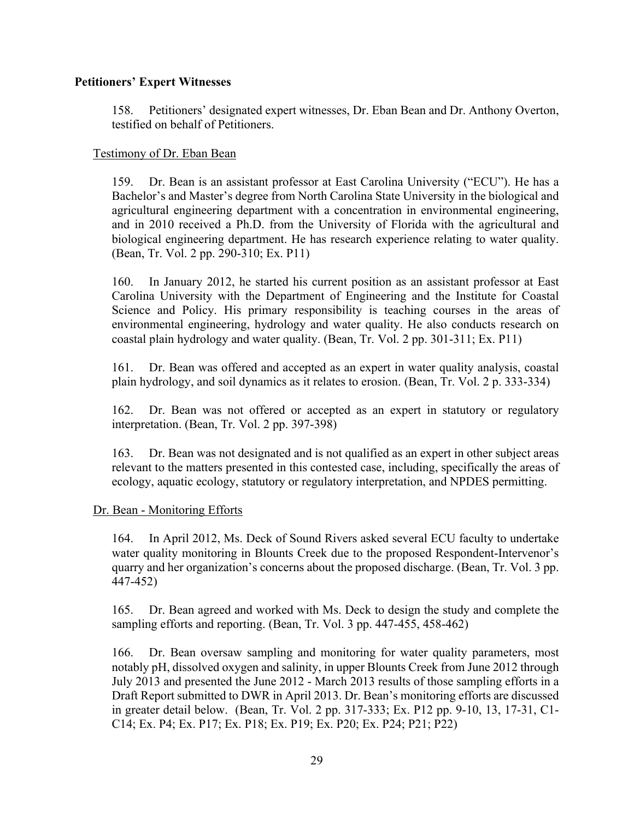#### **Petitioners' Expert Witnesses**

158. Petitioners' designated expert witnesses, Dr. Eban Bean and Dr. Anthony Overton, testified on behalf of Petitioners.

#### Testimony of Dr. Eban Bean

159. Dr. Bean is an assistant professor at East Carolina University ("ECU"). He has a Bachelor's and Master's degree from North Carolina State University in the biological and agricultural engineering department with a concentration in environmental engineering, and in 2010 received a Ph.D. from the University of Florida with the agricultural and biological engineering department. He has research experience relating to water quality. (Bean, Tr. Vol. 2 pp. 290-310; Ex. P11)

160. In January 2012, he started his current position as an assistant professor at East Carolina University with the Department of Engineering and the Institute for Coastal Science and Policy. His primary responsibility is teaching courses in the areas of environmental engineering, hydrology and water quality. He also conducts research on coastal plain hydrology and water quality. (Bean, Tr. Vol. 2 pp. 301-311; Ex. P11)

161. Dr. Bean was offered and accepted as an expert in water quality analysis, coastal plain hydrology, and soil dynamics as it relates to erosion. (Bean, Tr. Vol. 2 p. 333-334)

162. Dr. Bean was not offered or accepted as an expert in statutory or regulatory interpretation. (Bean, Tr. Vol. 2 pp. 397-398)

163. Dr. Bean was not designated and is not qualified as an expert in other subject areas relevant to the matters presented in this contested case, including, specifically the areas of ecology, aquatic ecology, statutory or regulatory interpretation, and NPDES permitting.

#### Dr. Bean - Monitoring Efforts

164. In April 2012, Ms. Deck of Sound Rivers asked several ECU faculty to undertake water quality monitoring in Blounts Creek due to the proposed Respondent-Intervenor's quarry and her organization's concerns about the proposed discharge. (Bean, Tr. Vol. 3 pp. 447-452)

165. Dr. Bean agreed and worked with Ms. Deck to design the study and complete the sampling efforts and reporting. (Bean, Tr. Vol. 3 pp. 447-455, 458-462)

166. Dr. Bean oversaw sampling and monitoring for water quality parameters, most notably pH, dissolved oxygen and salinity, in upper Blounts Creek from June 2012 through July 2013 and presented the June 2012 - March 2013 results of those sampling efforts in a Draft Report submitted to DWR in April 2013. Dr. Bean's monitoring efforts are discussed in greater detail below. (Bean, Tr. Vol. 2 pp. 317-333; Ex. P12 pp. 9-10, 13, 17-31, C1- C14; Ex. P4; Ex. P17; Ex. P18; Ex. P19; Ex. P20; Ex. P24; P21; P22)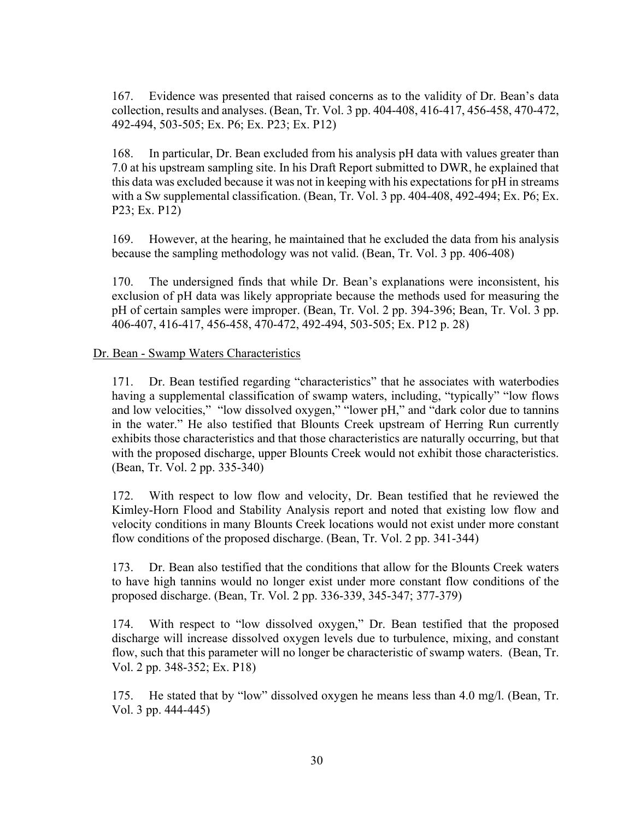167. Evidence was presented that raised concerns as to the validity of Dr. Bean's data collection, results and analyses. (Bean, Tr. Vol. 3 pp. 404-408, 416-417, 456-458, 470-472, 492-494, 503-505; Ex. P6; Ex. P23; Ex. P12)

168. In particular, Dr. Bean excluded from his analysis pH data with values greater than 7.0 at his upstream sampling site. In his Draft Report submitted to DWR, he explained that this data was excluded because it was not in keeping with his expectations for pH in streams with a Sw supplemental classification. (Bean, Tr. Vol. 3 pp. 404-408, 492-494; Ex. P6; Ex. P23; Ex. P12)

169. However, at the hearing, he maintained that he excluded the data from his analysis because the sampling methodology was not valid. (Bean, Tr. Vol. 3 pp. 406-408)

170. The undersigned finds that while Dr. Bean's explanations were inconsistent, his exclusion of pH data was likely appropriate because the methods used for measuring the pH of certain samples were improper. (Bean, Tr. Vol. 2 pp. 394-396; Bean, Tr. Vol. 3 pp. 406-407, 416-417, 456-458, 470-472, 492-494, 503-505; Ex. P12 p. 28)

#### Dr. Bean - Swamp Waters Characteristics

171. Dr. Bean testified regarding "characteristics" that he associates with waterbodies having a supplemental classification of swamp waters, including, "typically" "low flows and low velocities," "low dissolved oxygen," "lower pH," and "dark color due to tannins in the water." He also testified that Blounts Creek upstream of Herring Run currently exhibits those characteristics and that those characteristics are naturally occurring, but that with the proposed discharge, upper Blounts Creek would not exhibit those characteristics. (Bean, Tr. Vol. 2 pp. 335-340)

172. With respect to low flow and velocity, Dr. Bean testified that he reviewed the Kimley-Horn Flood and Stability Analysis report and noted that existing low flow and velocity conditions in many Blounts Creek locations would not exist under more constant flow conditions of the proposed discharge. (Bean, Tr. Vol. 2 pp. 341-344)

173. Dr. Bean also testified that the conditions that allow for the Blounts Creek waters to have high tannins would no longer exist under more constant flow conditions of the proposed discharge. (Bean, Tr. Vol. 2 pp. 336-339, 345-347; 377-379)

174. With respect to "low dissolved oxygen," Dr. Bean testified that the proposed discharge will increase dissolved oxygen levels due to turbulence, mixing, and constant flow, such that this parameter will no longer be characteristic of swamp waters. (Bean, Tr. Vol. 2 pp. 348-352; Ex. P18)

175. He stated that by "low" dissolved oxygen he means less than 4.0 mg/l. (Bean, Tr. Vol. 3 pp. 444-445)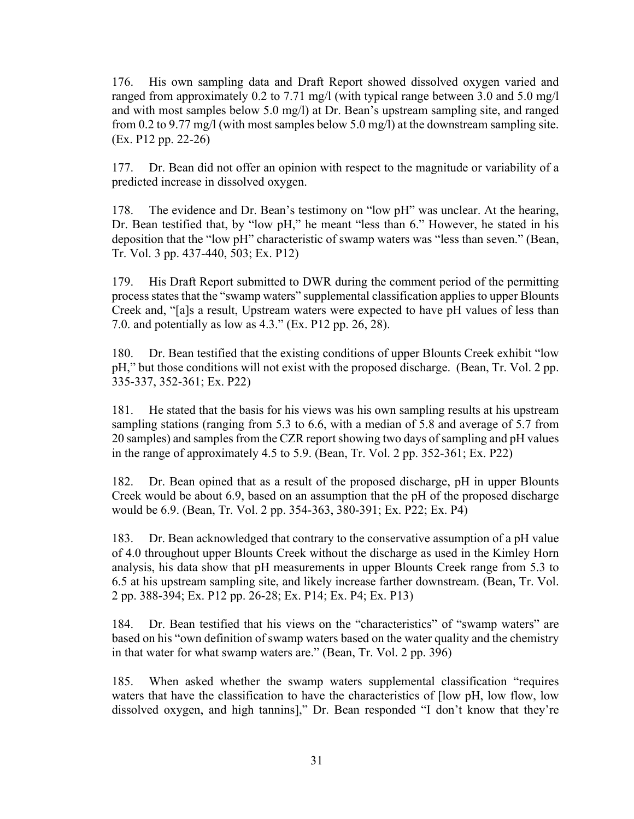176. His own sampling data and Draft Report showed dissolved oxygen varied and ranged from approximately 0.2 to 7.71 mg/l (with typical range between 3.0 and 5.0 mg/l and with most samples below 5.0 mg/l) at Dr. Bean's upstream sampling site, and ranged from 0.2 to 9.77 mg/l (with most samples below 5.0 mg/l) at the downstream sampling site. (Ex. P12 pp. 22-26)

177. Dr. Bean did not offer an opinion with respect to the magnitude or variability of a predicted increase in dissolved oxygen.

178. The evidence and Dr. Bean's testimony on "low pH" was unclear. At the hearing, Dr. Bean testified that, by "low pH," he meant "less than 6." However, he stated in his deposition that the "low pH" characteristic of swamp waters was "less than seven." (Bean, Tr. Vol. 3 pp. 437-440, 503; Ex. P12)

179. His Draft Report submitted to DWR during the comment period of the permitting process states that the "swamp waters" supplemental classification applies to upper Blounts Creek and, "[a]s a result, Upstream waters were expected to have pH values of less than 7.0. and potentially as low as 4.3." (Ex. P12 pp. 26, 28).

180. Dr. Bean testified that the existing conditions of upper Blounts Creek exhibit "low pH," but those conditions will not exist with the proposed discharge. (Bean, Tr. Vol. 2 pp. 335-337, 352-361; Ex. P22)

181. He stated that the basis for his views was his own sampling results at his upstream sampling stations (ranging from 5.3 to 6.6, with a median of 5.8 and average of 5.7 from 20 samples) and samples from the CZR report showing two days of sampling and pH values in the range of approximately 4.5 to 5.9. (Bean, Tr. Vol. 2 pp. 352-361; Ex. P22)

182. Dr. Bean opined that as a result of the proposed discharge, pH in upper Blounts Creek would be about 6.9, based on an assumption that the pH of the proposed discharge would be 6.9. (Bean, Tr. Vol. 2 pp. 354-363, 380-391; Ex. P22; Ex. P4)

183. Dr. Bean acknowledged that contrary to the conservative assumption of a pH value of 4.0 throughout upper Blounts Creek without the discharge as used in the Kimley Horn analysis, his data show that pH measurements in upper Blounts Creek range from 5.3 to 6.5 at his upstream sampling site, and likely increase farther downstream. (Bean, Tr. Vol. 2 pp. 388-394; Ex. P12 pp. 26-28; Ex. P14; Ex. P4; Ex. P13)

184. Dr. Bean testified that his views on the "characteristics" of "swamp waters" are based on his "own definition of swamp waters based on the water quality and the chemistry in that water for what swamp waters are." (Bean, Tr. Vol. 2 pp. 396)

185. When asked whether the swamp waters supplemental classification "requires waters that have the classification to have the characteristics of [low pH, low flow, low dissolved oxygen, and high tannins]," Dr. Bean responded "I don't know that they're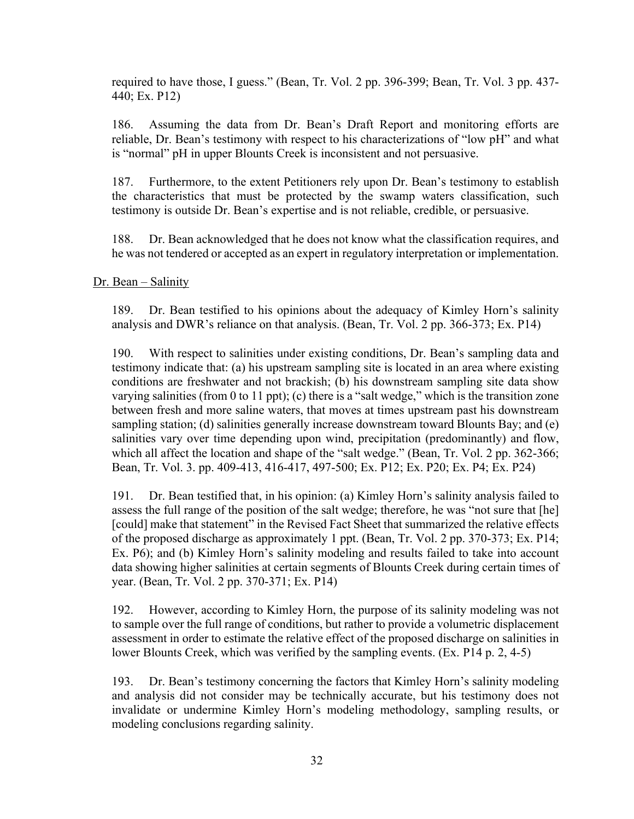required to have those, I guess." (Bean, Tr. Vol. 2 pp. 396-399; Bean, Tr. Vol. 3 pp. 437- 440; Ex. P12)

186. Assuming the data from Dr. Bean's Draft Report and monitoring efforts are reliable, Dr. Bean's testimony with respect to his characterizations of "low pH" and what is "normal" pH in upper Blounts Creek is inconsistent and not persuasive.

187. Furthermore, to the extent Petitioners rely upon Dr. Bean's testimony to establish the characteristics that must be protected by the swamp waters classification, such testimony is outside Dr. Bean's expertise and is not reliable, credible, or persuasive.

188. Dr. Bean acknowledged that he does not know what the classification requires, and he was not tendered or accepted as an expert in regulatory interpretation or implementation.

#### Dr. Bean – Salinity

189. Dr. Bean testified to his opinions about the adequacy of Kimley Horn's salinity analysis and DWR's reliance on that analysis. (Bean, Tr. Vol. 2 pp. 366-373; Ex. P14)

190. With respect to salinities under existing conditions, Dr. Bean's sampling data and testimony indicate that: (a) his upstream sampling site is located in an area where existing conditions are freshwater and not brackish; (b) his downstream sampling site data show varying salinities (from 0 to 11 ppt); (c) there is a "salt wedge," which is the transition zone between fresh and more saline waters, that moves at times upstream past his downstream sampling station; (d) salinities generally increase downstream toward Blounts Bay; and (e) salinities vary over time depending upon wind, precipitation (predominantly) and flow, which all affect the location and shape of the "salt wedge." (Bean, Tr. Vol. 2 pp. 362-366; Bean, Tr. Vol. 3. pp. 409-413, 416-417, 497-500; Ex. P12; Ex. P20; Ex. P4; Ex. P24)

191. Dr. Bean testified that, in his opinion: (a) Kimley Horn's salinity analysis failed to assess the full range of the position of the salt wedge; therefore, he was "not sure that [he] [could] make that statement" in the Revised Fact Sheet that summarized the relative effects of the proposed discharge as approximately 1 ppt. (Bean, Tr. Vol. 2 pp. 370-373; Ex. P14; Ex. P6); and (b) Kimley Horn's salinity modeling and results failed to take into account data showing higher salinities at certain segments of Blounts Creek during certain times of year. (Bean, Tr. Vol. 2 pp. 370-371; Ex. P14)

192. However, according to Kimley Horn, the purpose of its salinity modeling was not to sample over the full range of conditions, but rather to provide a volumetric displacement assessment in order to estimate the relative effect of the proposed discharge on salinities in lower Blounts Creek, which was verified by the sampling events. (Ex. P14 p. 2, 4-5)

193. Dr. Bean's testimony concerning the factors that Kimley Horn's salinity modeling and analysis did not consider may be technically accurate, but his testimony does not invalidate or undermine Kimley Horn's modeling methodology, sampling results, or modeling conclusions regarding salinity.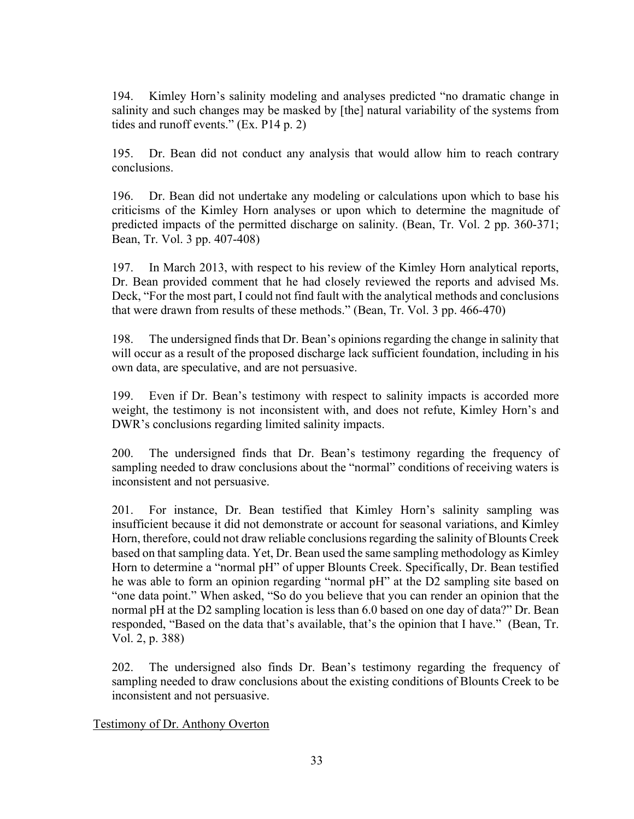194. Kimley Horn's salinity modeling and analyses predicted "no dramatic change in salinity and such changes may be masked by [the] natural variability of the systems from tides and runoff events." (Ex. P14 p. 2)

195. Dr. Bean did not conduct any analysis that would allow him to reach contrary conclusions.

196. Dr. Bean did not undertake any modeling or calculations upon which to base his criticisms of the Kimley Horn analyses or upon which to determine the magnitude of predicted impacts of the permitted discharge on salinity. (Bean, Tr. Vol. 2 pp. 360-371; Bean, Tr. Vol. 3 pp. 407-408)

197. In March 2013, with respect to his review of the Kimley Horn analytical reports, Dr. Bean provided comment that he had closely reviewed the reports and advised Ms. Deck, "For the most part, I could not find fault with the analytical methods and conclusions that were drawn from results of these methods." (Bean, Tr. Vol. 3 pp. 466-470)

198. The undersigned finds that Dr. Bean's opinions regarding the change in salinity that will occur as a result of the proposed discharge lack sufficient foundation, including in his own data, are speculative, and are not persuasive.

199. Even if Dr. Bean's testimony with respect to salinity impacts is accorded more weight, the testimony is not inconsistent with, and does not refute, Kimley Horn's and DWR's conclusions regarding limited salinity impacts.

200. The undersigned finds that Dr. Bean's testimony regarding the frequency of sampling needed to draw conclusions about the "normal" conditions of receiving waters is inconsistent and not persuasive.

201. For instance, Dr. Bean testified that Kimley Horn's salinity sampling was insufficient because it did not demonstrate or account for seasonal variations, and Kimley Horn, therefore, could not draw reliable conclusionsregarding the salinity of Blounts Creek based on that sampling data. Yet, Dr. Bean used the same sampling methodology as Kimley Horn to determine a "normal pH" of upper Blounts Creek. Specifically, Dr. Bean testified he was able to form an opinion regarding "normal pH" at the D2 sampling site based on "one data point." When asked, "So do you believe that you can render an opinion that the normal pH at the D2 sampling location is less than 6.0 based on one day of data?" Dr. Bean responded, "Based on the data that's available, that's the opinion that I have." (Bean, Tr. Vol. 2, p. 388)

202. The undersigned also finds Dr. Bean's testimony regarding the frequency of sampling needed to draw conclusions about the existing conditions of Blounts Creek to be inconsistent and not persuasive.

#### Testimony of Dr. Anthony Overton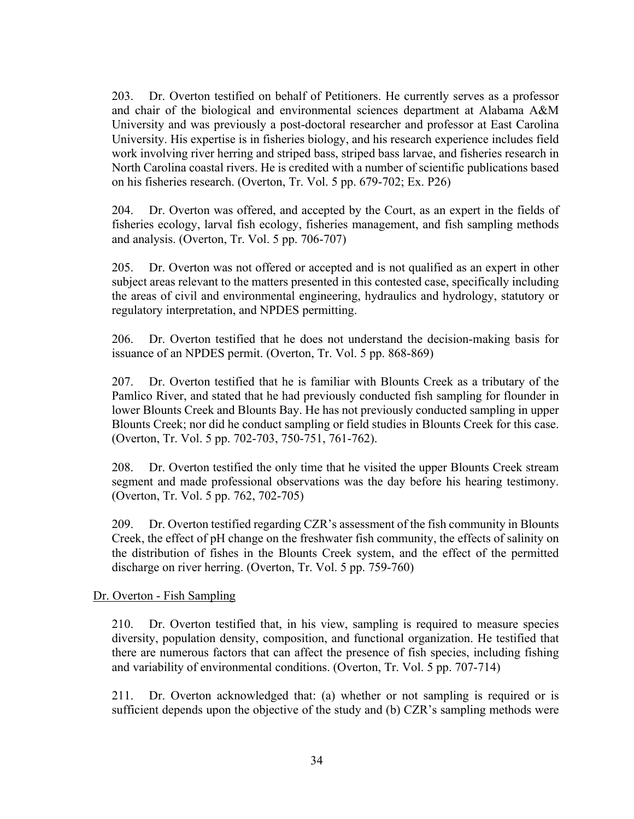203. Dr. Overton testified on behalf of Petitioners. He currently serves as a professor and chair of the biological and environmental sciences department at Alabama A&M University and was previously a post-doctoral researcher and professor at East Carolina University. His expertise is in fisheries biology, and his research experience includes field work involving river herring and striped bass, striped bass larvae, and fisheries research in North Carolina coastal rivers. He is credited with a number of scientific publications based on his fisheries research. (Overton, Tr. Vol. 5 pp. 679-702; Ex. P26)

204. Dr. Overton was offered, and accepted by the Court, as an expert in the fields of fisheries ecology, larval fish ecology, fisheries management, and fish sampling methods and analysis. (Overton, Tr. Vol. 5 pp. 706-707)

205. Dr. Overton was not offered or accepted and is not qualified as an expert in other subject areas relevant to the matters presented in this contested case, specifically including the areas of civil and environmental engineering, hydraulics and hydrology, statutory or regulatory interpretation, and NPDES permitting.

206. Dr. Overton testified that he does not understand the decision-making basis for issuance of an NPDES permit. (Overton, Tr. Vol. 5 pp. 868-869)

207. Dr. Overton testified that he is familiar with Blounts Creek as a tributary of the Pamlico River, and stated that he had previously conducted fish sampling for flounder in lower Blounts Creek and Blounts Bay. He has not previously conducted sampling in upper Blounts Creek; nor did he conduct sampling or field studies in Blounts Creek for this case. (Overton, Tr. Vol. 5 pp. 702-703, 750-751, 761-762).

208. Dr. Overton testified the only time that he visited the upper Blounts Creek stream segment and made professional observations was the day before his hearing testimony. (Overton, Tr. Vol. 5 pp. 762, 702-705)

209. Dr. Overton testified regarding CZR's assessment of the fish community in Blounts Creek, the effect of pH change on the freshwater fish community, the effects of salinity on the distribution of fishes in the Blounts Creek system, and the effect of the permitted discharge on river herring. (Overton, Tr. Vol. 5 pp. 759-760)

#### Dr. Overton - Fish Sampling

210. Dr. Overton testified that, in his view, sampling is required to measure species diversity, population density, composition, and functional organization. He testified that there are numerous factors that can affect the presence of fish species, including fishing and variability of environmental conditions. (Overton, Tr. Vol. 5 pp. 707-714)

211. Dr. Overton acknowledged that: (a) whether or not sampling is required or is sufficient depends upon the objective of the study and (b) CZR's sampling methods were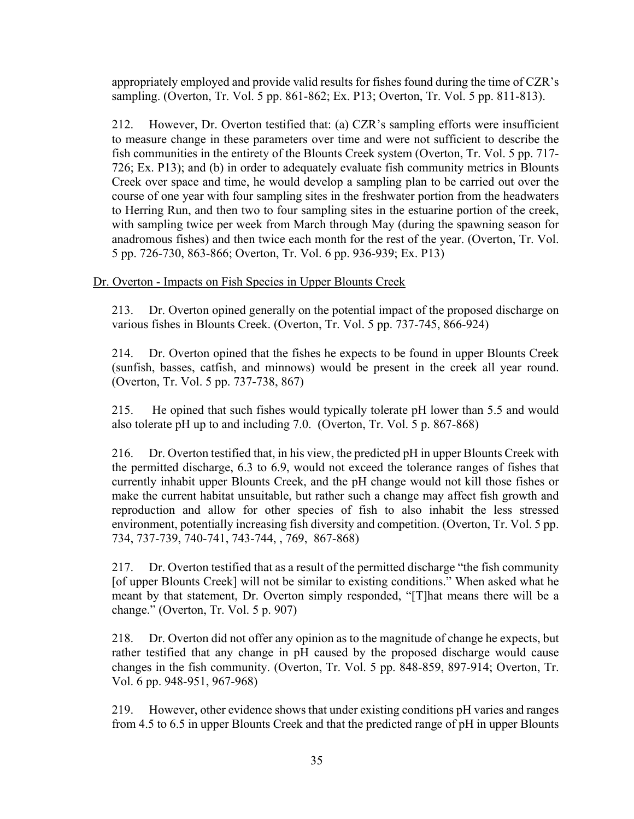appropriately employed and provide valid results for fishes found during the time of CZR's sampling. (Overton, Tr. Vol. 5 pp. 861-862; Ex. P13; Overton, Tr. Vol. 5 pp. 811-813).

212. However, Dr. Overton testified that: (a) CZR's sampling efforts were insufficient to measure change in these parameters over time and were not sufficient to describe the fish communities in the entirety of the Blounts Creek system (Overton, Tr. Vol. 5 pp. 717- 726; Ex. P13); and (b) in order to adequately evaluate fish community metrics in Blounts Creek over space and time, he would develop a sampling plan to be carried out over the course of one year with four sampling sites in the freshwater portion from the headwaters to Herring Run, and then two to four sampling sites in the estuarine portion of the creek, with sampling twice per week from March through May (during the spawning season for anadromous fishes) and then twice each month for the rest of the year. (Overton, Tr. Vol. 5 pp. 726-730, 863-866; Overton, Tr. Vol. 6 pp. 936-939; Ex. P13)

## Dr. Overton - Impacts on Fish Species in Upper Blounts Creek

213. Dr. Overton opined generally on the potential impact of the proposed discharge on various fishes in Blounts Creek. (Overton, Tr. Vol. 5 pp. 737-745, 866-924)

214. Dr. Overton opined that the fishes he expects to be found in upper Blounts Creek (sunfish, basses, catfish, and minnows) would be present in the creek all year round. (Overton, Tr. Vol. 5 pp. 737-738, 867)

215. He opined that such fishes would typically tolerate pH lower than 5.5 and would also tolerate pH up to and including 7.0. (Overton, Tr. Vol. 5 p. 867-868)

216. Dr. Overton testified that, in his view, the predicted pH in upper Blounts Creek with the permitted discharge, 6.3 to 6.9, would not exceed the tolerance ranges of fishes that currently inhabit upper Blounts Creek, and the pH change would not kill those fishes or make the current habitat unsuitable, but rather such a change may affect fish growth and reproduction and allow for other species of fish to also inhabit the less stressed environment, potentially increasing fish diversity and competition. (Overton, Tr. Vol. 5 pp. 734, 737-739, 740-741, 743-744, , 769, 867-868)

217. Dr. Overton testified that as a result of the permitted discharge "the fish community [of upper Blounts Creek] will not be similar to existing conditions." When asked what he meant by that statement, Dr. Overton simply responded, "[T]hat means there will be a change." (Overton, Tr. Vol. 5 p. 907)

218. Dr. Overton did not offer any opinion as to the magnitude of change he expects, but rather testified that any change in pH caused by the proposed discharge would cause changes in the fish community. (Overton, Tr. Vol. 5 pp. 848-859, 897-914; Overton, Tr. Vol. 6 pp. 948-951, 967-968)

219. However, other evidence shows that under existing conditions pH varies and ranges from 4.5 to 6.5 in upper Blounts Creek and that the predicted range of pH in upper Blounts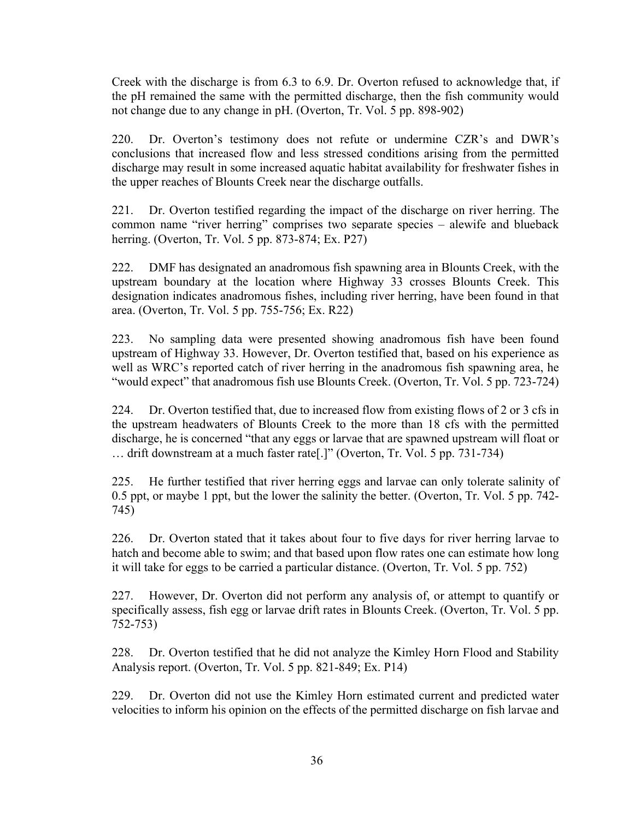Creek with the discharge is from 6.3 to 6.9. Dr. Overton refused to acknowledge that, if the pH remained the same with the permitted discharge, then the fish community would not change due to any change in pH. (Overton, Tr. Vol. 5 pp. 898-902)

220. Dr. Overton's testimony does not refute or undermine CZR's and DWR's conclusions that increased flow and less stressed conditions arising from the permitted discharge may result in some increased aquatic habitat availability for freshwater fishes in the upper reaches of Blounts Creek near the discharge outfalls.

221. Dr. Overton testified regarding the impact of the discharge on river herring. The common name "river herring" comprises two separate species – alewife and blueback herring. (Overton, Tr. Vol. 5 pp. 873-874; Ex. P27)

222. DMF has designated an anadromous fish spawning area in Blounts Creek, with the upstream boundary at the location where Highway 33 crosses Blounts Creek. This designation indicates anadromous fishes, including river herring, have been found in that area. (Overton, Tr. Vol. 5 pp. 755-756; Ex. R22)

223. No sampling data were presented showing anadromous fish have been found upstream of Highway 33. However, Dr. Overton testified that, based on his experience as well as WRC's reported catch of river herring in the anadromous fish spawning area, he "would expect" that anadromous fish use Blounts Creek. (Overton, Tr. Vol. 5 pp. 723-724)

224. Dr. Overton testified that, due to increased flow from existing flows of 2 or 3 cfs in the upstream headwaters of Blounts Creek to the more than 18 cfs with the permitted discharge, he is concerned "that any eggs or larvae that are spawned upstream will float or … drift downstream at a much faster rate[.]" (Overton, Tr. Vol. 5 pp. 731-734)

225. He further testified that river herring eggs and larvae can only tolerate salinity of 0.5 ppt, or maybe 1 ppt, but the lower the salinity the better. (Overton, Tr. Vol. 5 pp. 742- 745)

226. Dr. Overton stated that it takes about four to five days for river herring larvae to hatch and become able to swim; and that based upon flow rates one can estimate how long it will take for eggs to be carried a particular distance. (Overton, Tr. Vol. 5 pp. 752)

227. However, Dr. Overton did not perform any analysis of, or attempt to quantify or specifically assess, fish egg or larvae drift rates in Blounts Creek. (Overton, Tr. Vol. 5 pp. 752-753)

228. Dr. Overton testified that he did not analyze the Kimley Horn Flood and Stability Analysis report. (Overton, Tr. Vol. 5 pp. 821-849; Ex. P14)

229. Dr. Overton did not use the Kimley Horn estimated current and predicted water velocities to inform his opinion on the effects of the permitted discharge on fish larvae and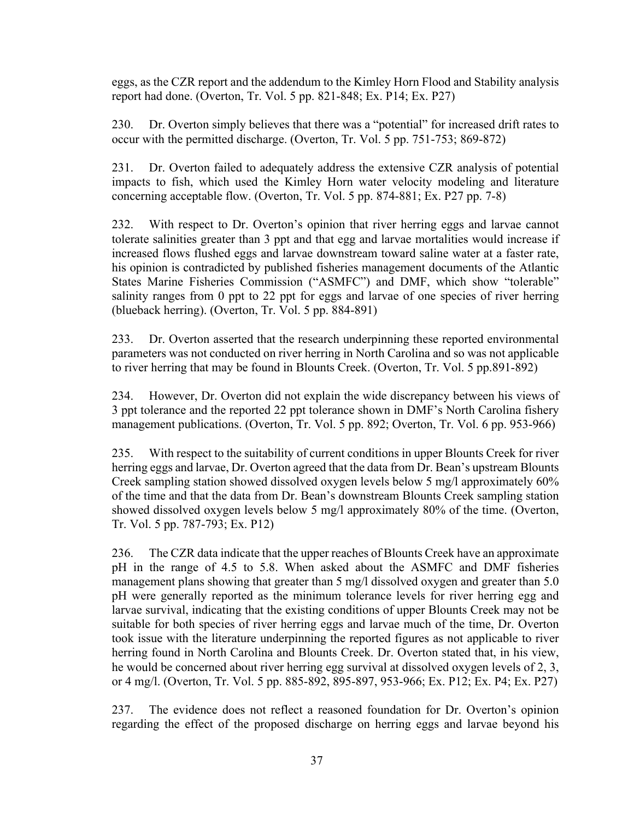eggs, as the CZR report and the addendum to the Kimley Horn Flood and Stability analysis report had done. (Overton, Tr. Vol. 5 pp. 821-848; Ex. P14; Ex. P27)

230. Dr. Overton simply believes that there was a "potential" for increased drift rates to occur with the permitted discharge. (Overton, Tr. Vol. 5 pp. 751-753; 869-872)

231. Dr. Overton failed to adequately address the extensive CZR analysis of potential impacts to fish, which used the Kimley Horn water velocity modeling and literature concerning acceptable flow. (Overton, Tr. Vol. 5 pp. 874-881; Ex. P27 pp. 7-8)

232. With respect to Dr. Overton's opinion that river herring eggs and larvae cannot tolerate salinities greater than 3 ppt and that egg and larvae mortalities would increase if increased flows flushed eggs and larvae downstream toward saline water at a faster rate, his opinion is contradicted by published fisheries management documents of the Atlantic States Marine Fisheries Commission ("ASMFC") and DMF, which show "tolerable" salinity ranges from 0 ppt to 22 ppt for eggs and larvae of one species of river herring (blueback herring). (Overton, Tr. Vol. 5 pp. 884-891)

233. Dr. Overton asserted that the research underpinning these reported environmental parameters was not conducted on river herring in North Carolina and so was not applicable to river herring that may be found in Blounts Creek. (Overton, Tr. Vol. 5 pp.891-892)

234. However, Dr. Overton did not explain the wide discrepancy between his views of 3 ppt tolerance and the reported 22 ppt tolerance shown in DMF's North Carolina fishery management publications. (Overton, Tr. Vol. 5 pp. 892; Overton, Tr. Vol. 6 pp. 953-966)

235. With respect to the suitability of current conditions in upper Blounts Creek for river herring eggs and larvae, Dr. Overton agreed that the data from Dr. Bean's upstream Blounts Creek sampling station showed dissolved oxygen levels below 5 mg/l approximately 60% of the time and that the data from Dr. Bean's downstream Blounts Creek sampling station showed dissolved oxygen levels below 5 mg/l approximately 80% of the time. (Overton, Tr. Vol. 5 pp. 787-793; Ex. P12)

236. The CZR data indicate that the upper reaches of Blounts Creek have an approximate pH in the range of 4.5 to 5.8. When asked about the ASMFC and DMF fisheries management plans showing that greater than 5 mg/l dissolved oxygen and greater than 5.0 pH were generally reported as the minimum tolerance levels for river herring egg and larvae survival, indicating that the existing conditions of upper Blounts Creek may not be suitable for both species of river herring eggs and larvae much of the time, Dr. Overton took issue with the literature underpinning the reported figures as not applicable to river herring found in North Carolina and Blounts Creek. Dr. Overton stated that, in his view, he would be concerned about river herring egg survival at dissolved oxygen levels of 2, 3, or 4 mg/l. (Overton, Tr. Vol. 5 pp. 885-892, 895-897, 953-966; Ex. P12; Ex. P4; Ex. P27)

237. The evidence does not reflect a reasoned foundation for Dr. Overton's opinion regarding the effect of the proposed discharge on herring eggs and larvae beyond his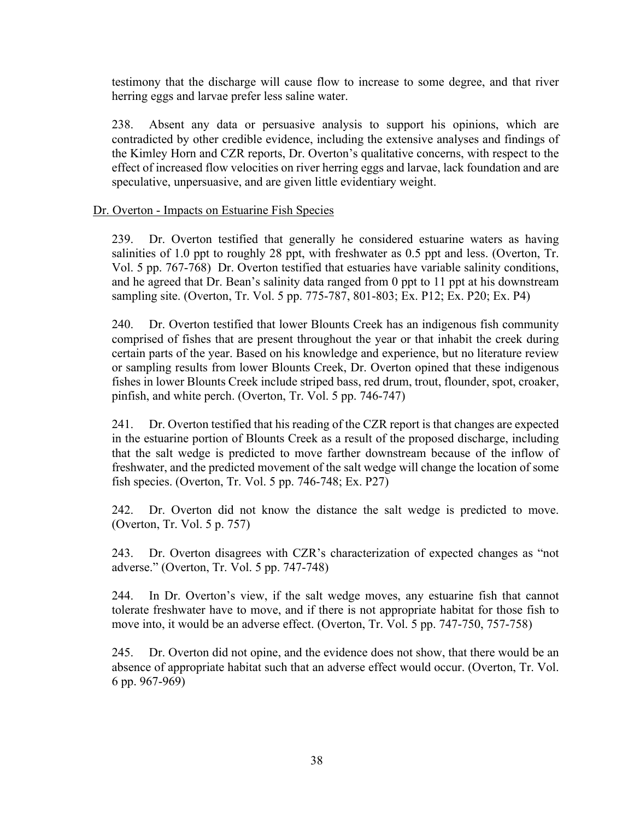testimony that the discharge will cause flow to increase to some degree, and that river herring eggs and larvae prefer less saline water.

238. Absent any data or persuasive analysis to support his opinions, which are contradicted by other credible evidence, including the extensive analyses and findings of the Kimley Horn and CZR reports, Dr. Overton's qualitative concerns, with respect to the effect of increased flow velocities on river herring eggs and larvae, lack foundation and are speculative, unpersuasive, and are given little evidentiary weight.

#### Dr. Overton - Impacts on Estuarine Fish Species

239. Dr. Overton testified that generally he considered estuarine waters as having salinities of 1.0 ppt to roughly 28 ppt, with freshwater as 0.5 ppt and less. (Overton, Tr. Vol. 5 pp. 767-768) Dr. Overton testified that estuaries have variable salinity conditions, and he agreed that Dr. Bean's salinity data ranged from 0 ppt to 11 ppt at his downstream sampling site. (Overton, Tr. Vol. 5 pp. 775-787, 801-803; Ex. P12; Ex. P20; Ex. P4)

240. Dr. Overton testified that lower Blounts Creek has an indigenous fish community comprised of fishes that are present throughout the year or that inhabit the creek during certain parts of the year. Based on his knowledge and experience, but no literature review or sampling results from lower Blounts Creek, Dr. Overton opined that these indigenous fishes in lower Blounts Creek include striped bass, red drum, trout, flounder, spot, croaker, pinfish, and white perch. (Overton, Tr. Vol. 5 pp. 746-747)

241. Dr. Overton testified that his reading of the CZR report is that changes are expected in the estuarine portion of Blounts Creek as a result of the proposed discharge, including that the salt wedge is predicted to move farther downstream because of the inflow of freshwater, and the predicted movement of the salt wedge will change the location of some fish species. (Overton, Tr. Vol. 5 pp. 746-748; Ex. P27)

242. Dr. Overton did not know the distance the salt wedge is predicted to move. (Overton, Tr. Vol. 5 p. 757)

243. Dr. Overton disagrees with CZR's characterization of expected changes as "not adverse." (Overton, Tr. Vol. 5 pp. 747-748)

244. In Dr. Overton's view, if the salt wedge moves, any estuarine fish that cannot tolerate freshwater have to move, and if there is not appropriate habitat for those fish to move into, it would be an adverse effect. (Overton, Tr. Vol. 5 pp. 747-750, 757-758)

245. Dr. Overton did not opine, and the evidence does not show, that there would be an absence of appropriate habitat such that an adverse effect would occur. (Overton, Tr. Vol. 6 pp. 967-969)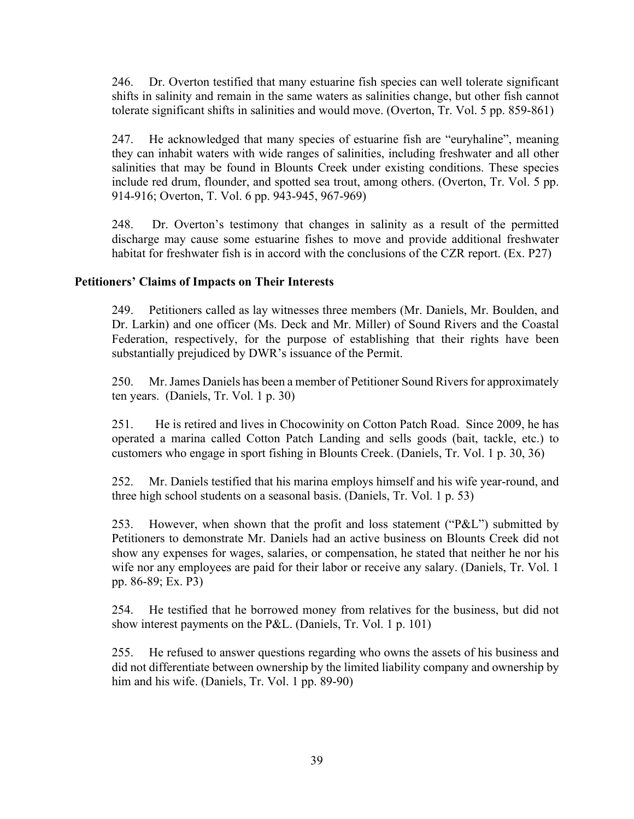246. Dr. Overton testified that many estuarine fish species can well tolerate significant shifts in salinity and remain in the same waters as salinities change, but other fish cannot tolerate significant shifts in salinities and would move. (Overton, Tr. Vol. 5 pp. 859-861)

247. He acknowledged that many species of estuarine fish are "euryhaline", meaning they can inhabit waters with wide ranges of salinities, including freshwater and all other salinities that may be found in Blounts Creek under existing conditions. These species include red drum, flounder, and spotted sea trout, among others. (Overton, Tr. Vol. 5 pp. 914-916; Overton, T. Vol. 6 pp. 943-945, 967-969)

248. Dr. Overton's testimony that changes in salinity as a result of the permitted discharge may cause some estuarine fishes to move and provide additional freshwater habitat for freshwater fish is in accord with the conclusions of the CZR report. (Ex. P27)

## **Petitioners' Claims of Impacts on Their Interests**

249. Petitioners called as lay witnesses three members (Mr. Daniels, Mr. Boulden, and Dr. Larkin) and one officer (Ms. Deck and Mr. Miller) of Sound Rivers and the Coastal Federation, respectively, for the purpose of establishing that their rights have been substantially prejudiced by DWR's issuance of the Permit.

250. Mr.James Daniels has been a member of Petitioner Sound Riversfor approximately ten years. (Daniels, Tr. Vol. 1 p. 30)

251. He is retired and lives in Chocowinity on Cotton Patch Road. Since 2009, he has operated a marina called Cotton Patch Landing and sells goods (bait, tackle, etc.) to customers who engage in sport fishing in Blounts Creek. (Daniels, Tr. Vol. 1 p. 30, 36)

252. Mr. Daniels testified that his marina employs himself and his wife year-round, and three high school students on a seasonal basis. (Daniels, Tr. Vol. 1 p. 53)

253. However, when shown that the profit and loss statement ("P&L") submitted by Petitioners to demonstrate Mr. Daniels had an active business on Blounts Creek did not show any expenses for wages, salaries, or compensation, he stated that neither he nor his wife nor any employees are paid for their labor or receive any salary. (Daniels, Tr. Vol. 1 pp. 86-89; Ex. P3)

254. He testified that he borrowed money from relatives for the business, but did not show interest payments on the P&L. (Daniels, Tr. Vol. 1 p. 101)

255. He refused to answer questions regarding who owns the assets of his business and did not differentiate between ownership by the limited liability company and ownership by him and his wife. (Daniels, Tr. Vol. 1 pp. 89-90)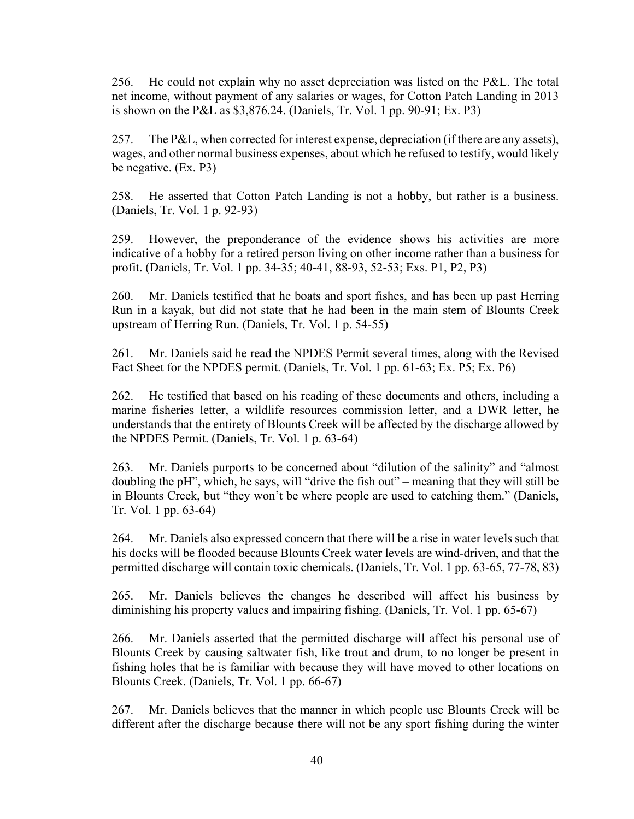256. He could not explain why no asset depreciation was listed on the P&L. The total net income, without payment of any salaries or wages, for Cotton Patch Landing in 2013 is shown on the P&L as \$3,876.24. (Daniels, Tr. Vol. 1 pp. 90-91; Ex. P3)

257. The P&L, when corrected for interest expense, depreciation (if there are any assets), wages, and other normal business expenses, about which he refused to testify, would likely be negative. (Ex. P3)

258. He asserted that Cotton Patch Landing is not a hobby, but rather is a business. (Daniels, Tr. Vol. 1 p. 92-93)

259. However, the preponderance of the evidence shows his activities are more indicative of a hobby for a retired person living on other income rather than a business for profit. (Daniels, Tr. Vol. 1 pp. 34-35; 40-41, 88-93, 52-53; Exs. P1, P2, P3)

260. Mr. Daniels testified that he boats and sport fishes, and has been up past Herring Run in a kayak, but did not state that he had been in the main stem of Blounts Creek upstream of Herring Run. (Daniels, Tr. Vol. 1 p. 54-55)

261. Mr. Daniels said he read the NPDES Permit several times, along with the Revised Fact Sheet for the NPDES permit. (Daniels, Tr. Vol. 1 pp. 61-63; Ex. P5; Ex. P6)

262. He testified that based on his reading of these documents and others, including a marine fisheries letter, a wildlife resources commission letter, and a DWR letter, he understands that the entirety of Blounts Creek will be affected by the discharge allowed by the NPDES Permit. (Daniels, Tr. Vol. 1 p. 63-64)

263. Mr. Daniels purports to be concerned about "dilution of the salinity" and "almost doubling the pH", which, he says, will "drive the fish out" – meaning that they will still be in Blounts Creek, but "they won't be where people are used to catching them." (Daniels, Tr. Vol. 1 pp. 63-64)

264. Mr. Daniels also expressed concern that there will be a rise in water levels such that his docks will be flooded because Blounts Creek water levels are wind-driven, and that the permitted discharge will contain toxic chemicals. (Daniels, Tr. Vol. 1 pp. 63-65, 77-78, 83)

265. Mr. Daniels believes the changes he described will affect his business by diminishing his property values and impairing fishing. (Daniels, Tr. Vol. 1 pp. 65-67)

266. Mr. Daniels asserted that the permitted discharge will affect his personal use of Blounts Creek by causing saltwater fish, like trout and drum, to no longer be present in fishing holes that he is familiar with because they will have moved to other locations on Blounts Creek. (Daniels, Tr. Vol. 1 pp. 66-67)

267. Mr. Daniels believes that the manner in which people use Blounts Creek will be different after the discharge because there will not be any sport fishing during the winter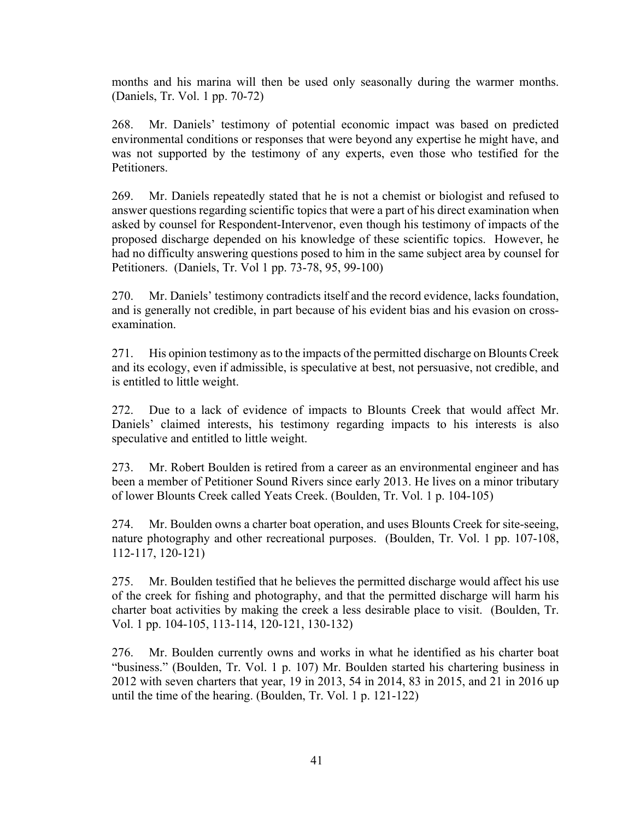months and his marina will then be used only seasonally during the warmer months. (Daniels, Tr. Vol. 1 pp. 70-72)

268. Mr. Daniels' testimony of potential economic impact was based on predicted environmental conditions or responses that were beyond any expertise he might have, and was not supported by the testimony of any experts, even those who testified for the Petitioners.

269. Mr. Daniels repeatedly stated that he is not a chemist or biologist and refused to answer questions regarding scientific topics that were a part of his direct examination when asked by counsel for Respondent-Intervenor, even though his testimony of impacts of the proposed discharge depended on his knowledge of these scientific topics. However, he had no difficulty answering questions posed to him in the same subject area by counsel for Petitioners. (Daniels, Tr. Vol 1 pp. 73-78, 95, 99-100)

270. Mr. Daniels' testimony contradicts itself and the record evidence, lacks foundation, and is generally not credible, in part because of his evident bias and his evasion on crossexamination.

271. His opinion testimony asto the impacts of the permitted discharge on Blounts Creek and its ecology, even if admissible, is speculative at best, not persuasive, not credible, and is entitled to little weight.

272. Due to a lack of evidence of impacts to Blounts Creek that would affect Mr. Daniels' claimed interests, his testimony regarding impacts to his interests is also speculative and entitled to little weight.

273. Mr. Robert Boulden is retired from a career as an environmental engineer and has been a member of Petitioner Sound Rivers since early 2013. He lives on a minor tributary of lower Blounts Creek called Yeats Creek. (Boulden, Tr. Vol. 1 p. 104-105)

274. Mr. Boulden owns a charter boat operation, and uses Blounts Creek for site-seeing, nature photography and other recreational purposes. (Boulden, Tr. Vol. 1 pp. 107-108, 112-117, 120-121)

275. Mr. Boulden testified that he believes the permitted discharge would affect his use of the creek for fishing and photography, and that the permitted discharge will harm his charter boat activities by making the creek a less desirable place to visit. (Boulden, Tr. Vol. 1 pp. 104-105, 113-114, 120-121, 130-132)

276. Mr. Boulden currently owns and works in what he identified as his charter boat "business." (Boulden, Tr. Vol. 1 p. 107) Mr. Boulden started his chartering business in 2012 with seven charters that year, 19 in 2013, 54 in 2014, 83 in 2015, and 21 in 2016 up until the time of the hearing. (Boulden, Tr. Vol. 1 p. 121-122)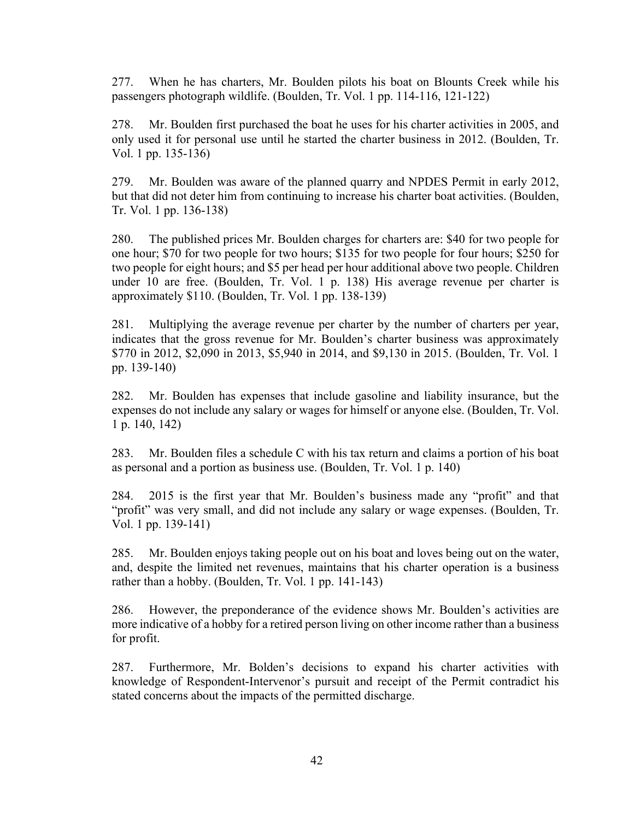277. When he has charters, Mr. Boulden pilots his boat on Blounts Creek while his passengers photograph wildlife. (Boulden, Tr. Vol. 1 pp. 114-116, 121-122)

278. Mr. Boulden first purchased the boat he uses for his charter activities in 2005, and only used it for personal use until he started the charter business in 2012. (Boulden, Tr. Vol. 1 pp. 135-136)

279. Mr. Boulden was aware of the planned quarry and NPDES Permit in early 2012, but that did not deter him from continuing to increase his charter boat activities. (Boulden, Tr. Vol. 1 pp. 136-138)

280. The published prices Mr. Boulden charges for charters are: \$40 for two people for one hour; \$70 for two people for two hours; \$135 for two people for four hours; \$250 for two people for eight hours; and \$5 per head per hour additional above two people. Children under 10 are free. (Boulden, Tr. Vol. 1 p. 138) His average revenue per charter is approximately \$110. (Boulden, Tr. Vol. 1 pp. 138-139)

281. Multiplying the average revenue per charter by the number of charters per year, indicates that the gross revenue for Mr. Boulden's charter business was approximately \$770 in 2012, \$2,090 in 2013, \$5,940 in 2014, and \$9,130 in 2015. (Boulden, Tr. Vol. 1 pp. 139-140)

282. Mr. Boulden has expenses that include gasoline and liability insurance, but the expenses do not include any salary or wages for himself or anyone else. (Boulden, Tr. Vol. 1 p. 140, 142)

283. Mr. Boulden files a schedule C with his tax return and claims a portion of his boat as personal and a portion as business use. (Boulden, Tr. Vol. 1 p. 140)

284. 2015 is the first year that Mr. Boulden's business made any "profit" and that "profit" was very small, and did not include any salary or wage expenses. (Boulden, Tr. Vol. 1 pp. 139-141)

285. Mr. Boulden enjoys taking people out on his boat and loves being out on the water, and, despite the limited net revenues, maintains that his charter operation is a business rather than a hobby. (Boulden, Tr. Vol. 1 pp. 141-143)

286. However, the preponderance of the evidence shows Mr. Boulden's activities are more indicative of a hobby for a retired person living on other income rather than a business for profit.

287. Furthermore, Mr. Bolden's decisions to expand his charter activities with knowledge of Respondent-Intervenor's pursuit and receipt of the Permit contradict his stated concerns about the impacts of the permitted discharge.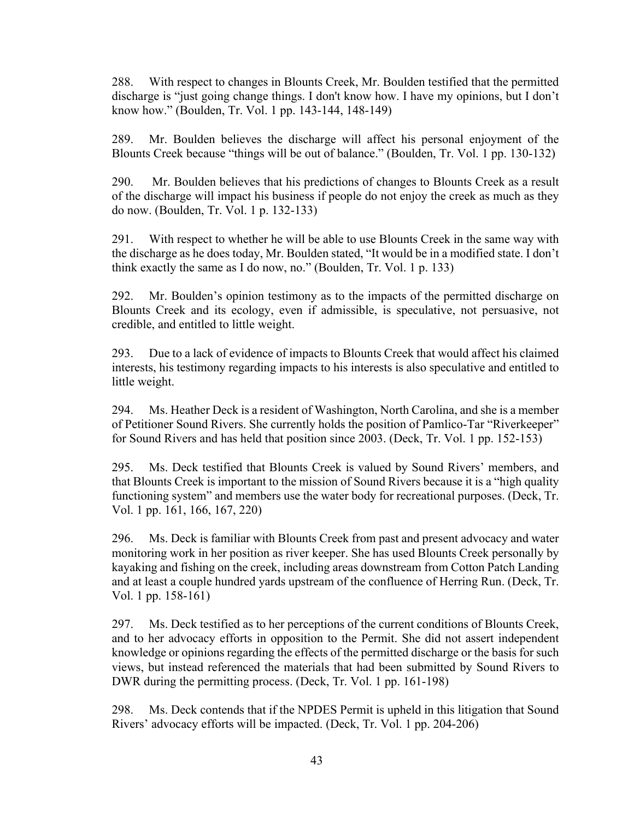288. With respect to changes in Blounts Creek, Mr. Boulden testified that the permitted discharge is "just going change things. I don't know how. I have my opinions, but I don't know how." (Boulden, Tr. Vol. 1 pp. 143-144, 148-149)

289. Mr. Boulden believes the discharge will affect his personal enjoyment of the Blounts Creek because "things will be out of balance." (Boulden, Tr. Vol. 1 pp. 130-132)

290. Mr. Boulden believes that his predictions of changes to Blounts Creek as a result of the discharge will impact his business if people do not enjoy the creek as much as they do now. (Boulden, Tr. Vol. 1 p. 132-133)

291. With respect to whether he will be able to use Blounts Creek in the same way with the discharge as he does today, Mr. Boulden stated, "It would be in a modified state. I don't think exactly the same as I do now, no." (Boulden, Tr. Vol. 1 p. 133)

292. Mr. Boulden's opinion testimony as to the impacts of the permitted discharge on Blounts Creek and its ecology, even if admissible, is speculative, not persuasive, not credible, and entitled to little weight.

293. Due to a lack of evidence of impacts to Blounts Creek that would affect his claimed interests, his testimony regarding impacts to his interests is also speculative and entitled to little weight.

294. Ms. Heather Deck is a resident of Washington, North Carolina, and she is a member of Petitioner Sound Rivers. She currently holds the position of Pamlico-Tar "Riverkeeper" for Sound Rivers and has held that position since 2003. (Deck, Tr. Vol. 1 pp. 152-153)

295. Ms. Deck testified that Blounts Creek is valued by Sound Rivers' members, and that Blounts Creek is important to the mission of Sound Rivers because it is a "high quality functioning system" and members use the water body for recreational purposes. (Deck, Tr. Vol. 1 pp. 161, 166, 167, 220)

296. Ms. Deck is familiar with Blounts Creek from past and present advocacy and water monitoring work in her position as river keeper. She has used Blounts Creek personally by kayaking and fishing on the creek, including areas downstream from Cotton Patch Landing and at least a couple hundred yards upstream of the confluence of Herring Run. (Deck, Tr. Vol. 1 pp. 158-161)

297. Ms. Deck testified as to her perceptions of the current conditions of Blounts Creek, and to her advocacy efforts in opposition to the Permit. She did not assert independent knowledge or opinions regarding the effects of the permitted discharge or the basis for such views, but instead referenced the materials that had been submitted by Sound Rivers to DWR during the permitting process. (Deck, Tr. Vol. 1 pp. 161-198)

298. Ms. Deck contends that if the NPDES Permit is upheld in this litigation that Sound Rivers' advocacy efforts will be impacted. (Deck, Tr. Vol. 1 pp. 204-206)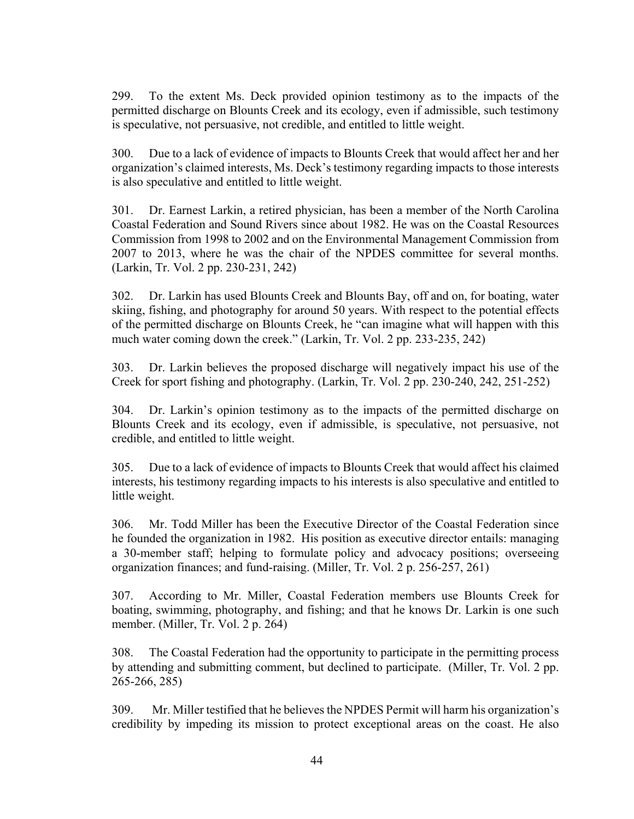299. To the extent Ms. Deck provided opinion testimony as to the impacts of the permitted discharge on Blounts Creek and its ecology, even if admissible, such testimony is speculative, not persuasive, not credible, and entitled to little weight.

300. Due to a lack of evidence of impacts to Blounts Creek that would affect her and her organization's claimed interests, Ms. Deck's testimony regarding impacts to those interests is also speculative and entitled to little weight.

301. Dr. Earnest Larkin, a retired physician, has been a member of the North Carolina Coastal Federation and Sound Rivers since about 1982. He was on the Coastal Resources Commission from 1998 to 2002 and on the Environmental Management Commission from 2007 to 2013, where he was the chair of the NPDES committee for several months. (Larkin, Tr. Vol. 2 pp. 230-231, 242)

302. Dr. Larkin has used Blounts Creek and Blounts Bay, off and on, for boating, water skiing, fishing, and photography for around 50 years. With respect to the potential effects of the permitted discharge on Blounts Creek, he "can imagine what will happen with this much water coming down the creek." (Larkin, Tr. Vol. 2 pp. 233-235, 242)

303. Dr. Larkin believes the proposed discharge will negatively impact his use of the Creek for sport fishing and photography. (Larkin, Tr. Vol. 2 pp. 230-240, 242, 251-252)

304. Dr. Larkin's opinion testimony as to the impacts of the permitted discharge on Blounts Creek and its ecology, even if admissible, is speculative, not persuasive, not credible, and entitled to little weight.

305. Due to a lack of evidence of impacts to Blounts Creek that would affect his claimed interests, his testimony regarding impacts to his interests is also speculative and entitled to little weight.

306. Mr. Todd Miller has been the Executive Director of the Coastal Federation since he founded the organization in 1982. His position as executive director entails: managing a 30-member staff; helping to formulate policy and advocacy positions; overseeing organization finances; and fund-raising. (Miller, Tr. Vol. 2 p. 256-257, 261)

307. According to Mr. Miller, Coastal Federation members use Blounts Creek for boating, swimming, photography, and fishing; and that he knows Dr. Larkin is one such member. (Miller, Tr. Vol. 2 p. 264)

308. The Coastal Federation had the opportunity to participate in the permitting process by attending and submitting comment, but declined to participate. (Miller, Tr. Vol. 2 pp. 265-266, 285)

309. Mr. Miller testified that he believes the NPDES Permit will harm his organization's credibility by impeding its mission to protect exceptional areas on the coast. He also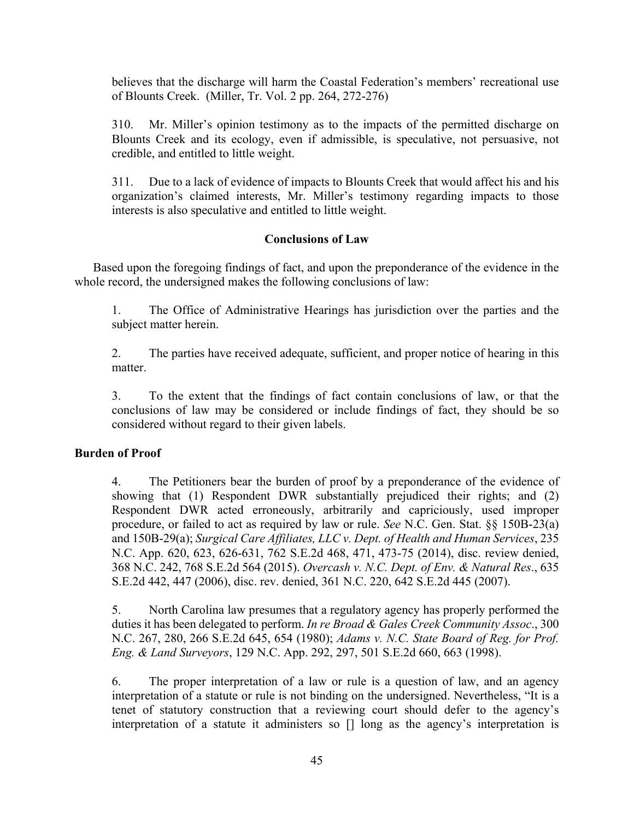believes that the discharge will harm the Coastal Federation's members' recreational use of Blounts Creek. (Miller, Tr. Vol. 2 pp. 264, 272-276)

310. Mr. Miller's opinion testimony as to the impacts of the permitted discharge on Blounts Creek and its ecology, even if admissible, is speculative, not persuasive, not credible, and entitled to little weight.

311. Due to a lack of evidence of impacts to Blounts Creek that would affect his and his organization's claimed interests, Mr. Miller's testimony regarding impacts to those interests is also speculative and entitled to little weight.

## **Conclusions of Law**

Based upon the foregoing findings of fact, and upon the preponderance of the evidence in the whole record, the undersigned makes the following conclusions of law:

1. The Office of Administrative Hearings has jurisdiction over the parties and the subject matter herein.

2. The parties have received adequate, sufficient, and proper notice of hearing in this matter.

3. To the extent that the findings of fact contain conclusions of law, or that the conclusions of law may be considered or include findings of fact, they should be so considered without regard to their given labels.

#### **Burden of Proof**

4. The Petitioners bear the burden of proof by a preponderance of the evidence of showing that (1) Respondent DWR substantially prejudiced their rights; and (2) Respondent DWR acted erroneously, arbitrarily and capriciously, used improper procedure, or failed to act as required by law or rule. *See* N.C. Gen. Stat. §§ 150B-23(a) and 150B-29(a); *Surgical Care Affiliates, LLC v. Dept. of Health and Human Services*, 235 N.C. App. 620, 623, 626-631, 762 S.E.2d 468, 471, 473-75 (2014), disc. review denied, 368 N.C. 242, 768 S.E.2d 564 (2015). *Overcash v. N.C. Dept. of Env. & Natural Res*., 635 S.E.2d 442, 447 (2006), disc. rev. denied, 361 N.C. 220, 642 S.E.2d 445 (2007).

5. North Carolina law presumes that a regulatory agency has properly performed the duties it has been delegated to perform. *In re Broad & Gales Creek Community Assoc*., 300 N.C. 267, 280, 266 S.E.2d 645, 654 (1980); *Adams v. N.C. State Board of Reg. for Prof. Eng. & Land Surveyors*, 129 N.C. App. 292, 297, 501 S.E.2d 660, 663 (1998).

6. The proper interpretation of a law or rule is a question of law, and an agency interpretation of a statute or rule is not binding on the undersigned. Nevertheless, "It is a tenet of statutory construction that a reviewing court should defer to the agency's interpretation of a statute it administers so [] long as the agency's interpretation is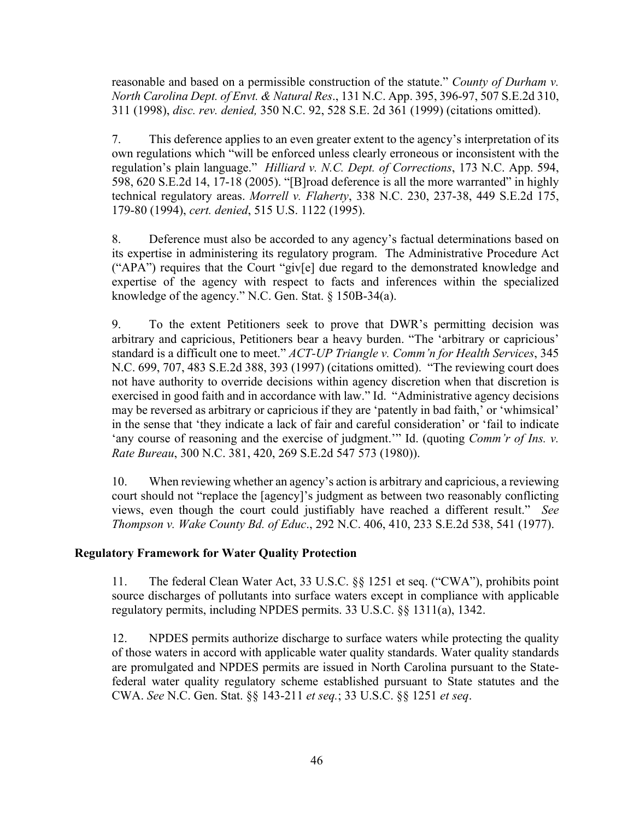reasonable and based on a permissible construction of the statute." *County of Durham v. North Carolina Dept. of Envt. & Natural Res*., 131 N.C. App. 395, 396-97, 507 S.E.2d 310, 311 (1998), *disc. rev. denied,* 350 N.C. 92, 528 S.E. 2d 361 (1999) (citations omitted).

7. This deference applies to an even greater extent to the agency's interpretation of its own regulations which "will be enforced unless clearly erroneous or inconsistent with the regulation's plain language." *Hilliard v. N.C. Dept. of Corrections*, 173 N.C. App. 594, 598, 620 S.E.2d 14, 17-18 (2005). "[B]road deference is all the more warranted" in highly technical regulatory areas. *Morrell v. Flaherty*, 338 N.C. 230, 237-38, 449 S.E.2d 175, 179-80 (1994), *cert. denied*, 515 U.S. 1122 (1995).

8. Deference must also be accorded to any agency's factual determinations based on its expertise in administering its regulatory program. The Administrative Procedure Act ("APA") requires that the Court "giv[e] due regard to the demonstrated knowledge and expertise of the agency with respect to facts and inferences within the specialized knowledge of the agency." N.C. Gen. Stat. § 150B-34(a).

9. To the extent Petitioners seek to prove that DWR's permitting decision was arbitrary and capricious, Petitioners bear a heavy burden. "The 'arbitrary or capricious' standard is a difficult one to meet." *ACT-UP Triangle v. Comm'n for Health Services*, 345 N.C. 699, 707, 483 S.E.2d 388, 393 (1997) (citations omitted). "The reviewing court does not have authority to override decisions within agency discretion when that discretion is exercised in good faith and in accordance with law." Id. "Administrative agency decisions may be reversed as arbitrary or capricious if they are 'patently in bad faith,' or 'whimsical' in the sense that 'they indicate a lack of fair and careful consideration' or 'fail to indicate 'any course of reasoning and the exercise of judgment.'" Id. (quoting *Comm'r of Ins. v. Rate Bureau*, 300 N.C. 381, 420, 269 S.E.2d 547 573 (1980)).

10. When reviewing whether an agency's action is arbitrary and capricious, a reviewing court should not "replace the [agency]'s judgment as between two reasonably conflicting views, even though the court could justifiably have reached a different result." *See Thompson v. Wake County Bd. of Educ*., 292 N.C. 406, 410, 233 S.E.2d 538, 541 (1977).

# **Regulatory Framework for Water Quality Protection**

11. The federal Clean Water Act, 33 U.S.C. §§ 1251 et seq. ("CWA"), prohibits point source discharges of pollutants into surface waters except in compliance with applicable regulatory permits, including NPDES permits. 33 U.S.C. §§ 1311(a), 1342.

12. NPDES permits authorize discharge to surface waters while protecting the quality of those waters in accord with applicable water quality standards. Water quality standards are promulgated and NPDES permits are issued in North Carolina pursuant to the Statefederal water quality regulatory scheme established pursuant to State statutes and the CWA. *See* N.C. Gen. Stat. §§ 143-211 *et seq.*; 33 U.S.C. §§ 1251 *et seq*.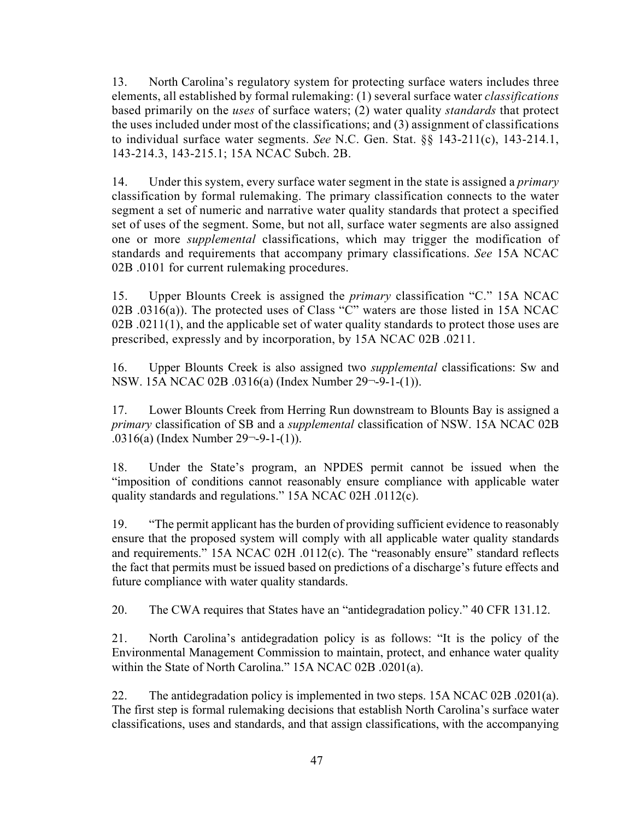13. North Carolina's regulatory system for protecting surface waters includes three elements, all established by formal rulemaking: (1) several surface water *classifications* based primarily on the *uses* of surface waters; (2) water quality *standards* that protect the uses included under most of the classifications; and (3) assignment of classifications to individual surface water segments. *See* N.C. Gen. Stat. §§ 143-211(c), 143-214.1, 143-214.3, 143-215.1; 15A NCAC Subch. 2B.

14. Under this system, every surface water segment in the state is assigned a *primary* classification by formal rulemaking. The primary classification connects to the water segment a set of numeric and narrative water quality standards that protect a specified set of uses of the segment. Some, but not all, surface water segments are also assigned one or more *supplemental* classifications, which may trigger the modification of standards and requirements that accompany primary classifications. *See* 15A NCAC 02B .0101 for current rulemaking procedures.

15. Upper Blounts Creek is assigned the *primary* classification "C." 15A NCAC 02B  $.0316(a)$ ). The protected uses of Class "C" waters are those listed in 15A NCAC 02B .0211(1), and the applicable set of water quality standards to protect those uses are prescribed, expressly and by incorporation, by 15A NCAC 02B .0211.

16. Upper Blounts Creek is also assigned two *supplemental* classifications: Sw and NSW. 15A NCAC 02B .0316(a) (Index Number 29¬-9-1-(1)).

17. Lower Blounts Creek from Herring Run downstream to Blounts Bay is assigned a *primary* classification of SB and a *supplemental* classification of NSW. 15A NCAC 02B .0316(a) (Index Number 29¬-9-1-(1)).

18. Under the State's program, an NPDES permit cannot be issued when the "imposition of conditions cannot reasonably ensure compliance with applicable water quality standards and regulations." 15A NCAC 02H .0112(c).

19. "The permit applicant has the burden of providing sufficient evidence to reasonably ensure that the proposed system will comply with all applicable water quality standards and requirements." 15A NCAC 02H .0112(c). The "reasonably ensure" standard reflects the fact that permits must be issued based on predictions of a discharge's future effects and future compliance with water quality standards.

20. The CWA requires that States have an "antidegradation policy." 40 CFR 131.12.

21. North Carolina's antidegradation policy is as follows: "It is the policy of the Environmental Management Commission to maintain, protect, and enhance water quality within the State of North Carolina." 15A NCAC 02B .0201(a).

22. The antidegradation policy is implemented in two steps. 15A NCAC 02B .0201(a). The first step is formal rulemaking decisions that establish North Carolina's surface water classifications, uses and standards, and that assign classifications, with the accompanying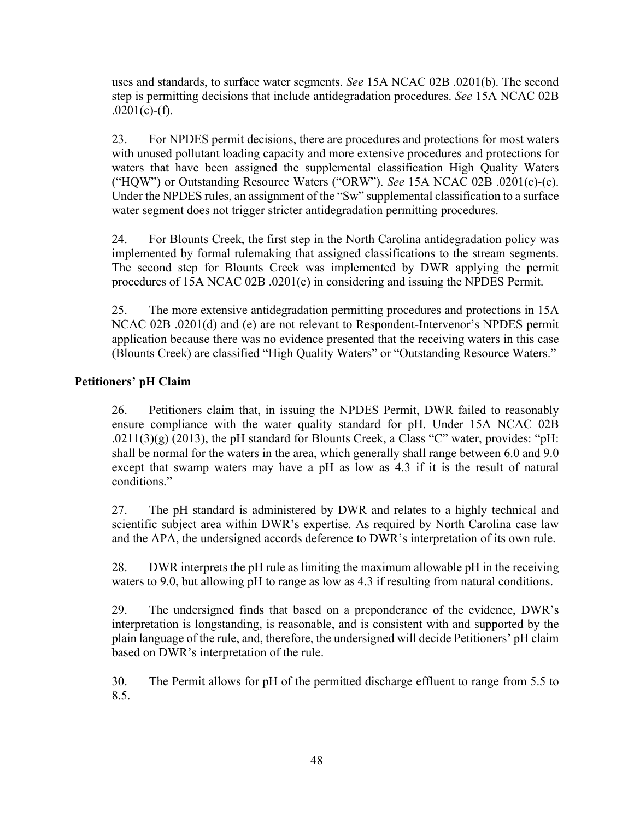uses and standards, to surface water segments. *See* 15A NCAC 02B .0201(b). The second step is permitting decisions that include antidegradation procedures. *See* 15A NCAC 02B  $.0201(c)$ -(f).

23. For NPDES permit decisions, there are procedures and protections for most waters with unused pollutant loading capacity and more extensive procedures and protections for waters that have been assigned the supplemental classification High Quality Waters ("HQW") or Outstanding Resource Waters ("ORW"). *See* 15A NCAC 02B .0201(c)-(e). Under the NPDES rules, an assignment of the "Sw" supplemental classification to a surface water segment does not trigger stricter antidegradation permitting procedures.

24. For Blounts Creek, the first step in the North Carolina antidegradation policy was implemented by formal rulemaking that assigned classifications to the stream segments. The second step for Blounts Creek was implemented by DWR applying the permit procedures of 15A NCAC 02B .0201(c) in considering and issuing the NPDES Permit.

25. The more extensive antidegradation permitting procedures and protections in 15A NCAC 02B .0201(d) and (e) are not relevant to Respondent-Intervenor's NPDES permit application because there was no evidence presented that the receiving waters in this case (Blounts Creek) are classified "High Quality Waters" or "Outstanding Resource Waters."

# **Petitioners' pH Claim**

26. Petitioners claim that, in issuing the NPDES Permit, DWR failed to reasonably ensure compliance with the water quality standard for pH. Under 15A NCAC 02B  $.0211(3)(g)$  (2013), the pH standard for Blounts Creek, a Class "C" water, provides: "pH: shall be normal for the waters in the area, which generally shall range between 6.0 and 9.0 except that swamp waters may have a pH as low as 4.3 if it is the result of natural conditions."

27. The pH standard is administered by DWR and relates to a highly technical and scientific subject area within DWR's expertise. As required by North Carolina case law and the APA, the undersigned accords deference to DWR's interpretation of its own rule.

28. DWR interprets the pH rule as limiting the maximum allowable pH in the receiving waters to 9.0, but allowing pH to range as low as 4.3 if resulting from natural conditions.

29. The undersigned finds that based on a preponderance of the evidence, DWR's interpretation is longstanding, is reasonable, and is consistent with and supported by the plain language of the rule, and, therefore, the undersigned will decide Petitioners' pH claim based on DWR's interpretation of the rule.

30. The Permit allows for pH of the permitted discharge effluent to range from 5.5 to 8.5.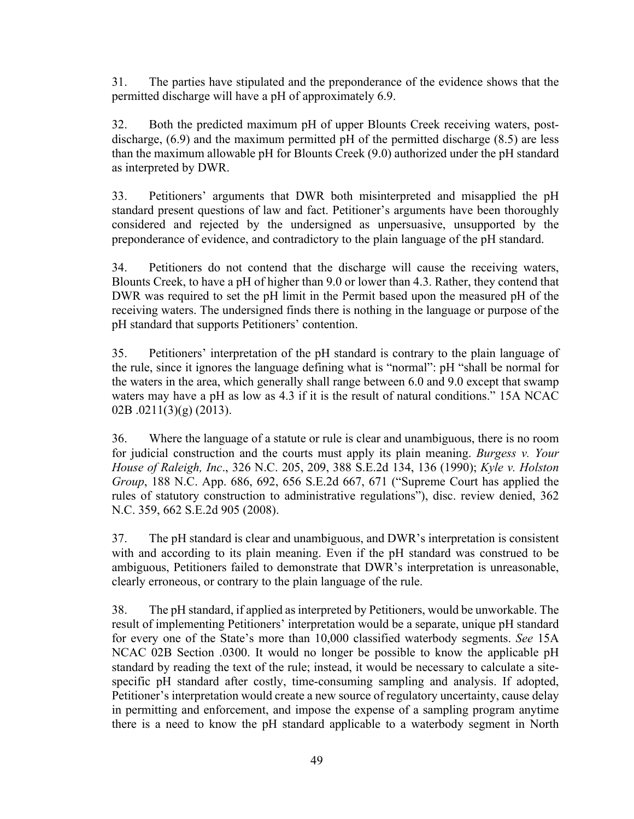31. The parties have stipulated and the preponderance of the evidence shows that the permitted discharge will have a pH of approximately 6.9.

32. Both the predicted maximum pH of upper Blounts Creek receiving waters, postdischarge, (6.9) and the maximum permitted pH of the permitted discharge (8.5) are less than the maximum allowable pH for Blounts Creek (9.0) authorized under the pH standard as interpreted by DWR.

33. Petitioners' arguments that DWR both misinterpreted and misapplied the pH standard present questions of law and fact. Petitioner's arguments have been thoroughly considered and rejected by the undersigned as unpersuasive, unsupported by the preponderance of evidence, and contradictory to the plain language of the pH standard.

34. Petitioners do not contend that the discharge will cause the receiving waters, Blounts Creek, to have a pH of higher than 9.0 or lower than 4.3. Rather, they contend that DWR was required to set the pH limit in the Permit based upon the measured pH of the receiving waters. The undersigned finds there is nothing in the language or purpose of the pH standard that supports Petitioners' contention.

35. Petitioners' interpretation of the pH standard is contrary to the plain language of the rule, since it ignores the language defining what is "normal": pH "shall be normal for the waters in the area, which generally shall range between 6.0 and 9.0 except that swamp waters may have a pH as low as 4.3 if it is the result of natural conditions." 15A NCAC 02B .0211(3)(g) (2013).

36. Where the language of a statute or rule is clear and unambiguous, there is no room for judicial construction and the courts must apply its plain meaning. *Burgess v. Your House of Raleigh, Inc*., 326 N.C. 205, 209, 388 S.E.2d 134, 136 (1990); *Kyle v. Holston Group*, 188 N.C. App. 686, 692, 656 S.E.2d 667, 671 ("Supreme Court has applied the rules of statutory construction to administrative regulations"), disc. review denied, 362 N.C. 359, 662 S.E.2d 905 (2008).

37. The pH standard is clear and unambiguous, and DWR's interpretation is consistent with and according to its plain meaning. Even if the pH standard was construed to be ambiguous, Petitioners failed to demonstrate that DWR's interpretation is unreasonable, clearly erroneous, or contrary to the plain language of the rule.

38. The pH standard, if applied as interpreted by Petitioners, would be unworkable. The result of implementing Petitioners' interpretation would be a separate, unique pH standard for every one of the State's more than 10,000 classified waterbody segments. *See* 15A NCAC 02B Section .0300. It would no longer be possible to know the applicable pH standard by reading the text of the rule; instead, it would be necessary to calculate a sitespecific pH standard after costly, time-consuming sampling and analysis. If adopted, Petitioner's interpretation would create a new source of regulatory uncertainty, cause delay in permitting and enforcement, and impose the expense of a sampling program anytime there is a need to know the pH standard applicable to a waterbody segment in North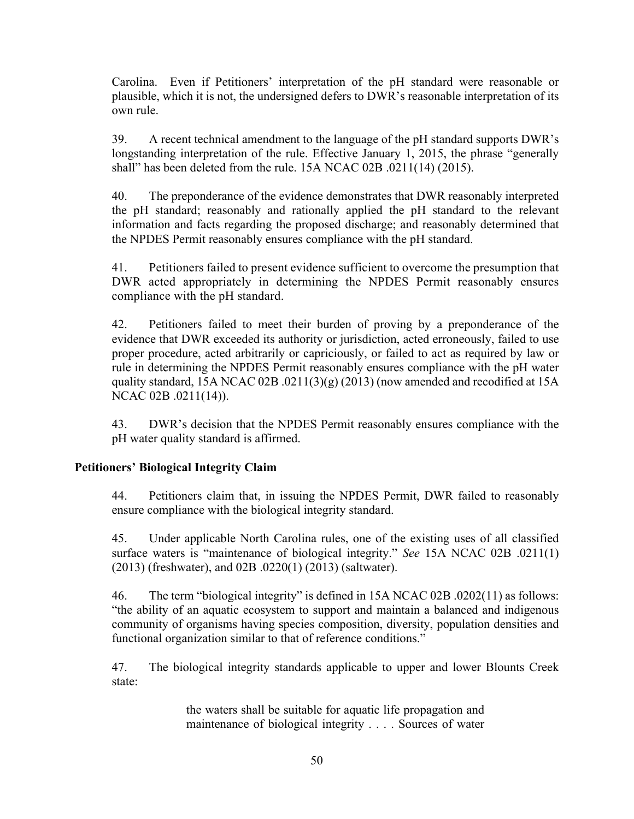Carolina. Even if Petitioners' interpretation of the pH standard were reasonable or plausible, which it is not, the undersigned defers to DWR's reasonable interpretation of its own rule.

39. A recent technical amendment to the language of the pH standard supports DWR's longstanding interpretation of the rule. Effective January 1, 2015, the phrase "generally shall" has been deleted from the rule. 15A NCAC 02B .0211(14) (2015).

40. The preponderance of the evidence demonstrates that DWR reasonably interpreted the pH standard; reasonably and rationally applied the pH standard to the relevant information and facts regarding the proposed discharge; and reasonably determined that the NPDES Permit reasonably ensures compliance with the pH standard.

41. Petitioners failed to present evidence sufficient to overcome the presumption that DWR acted appropriately in determining the NPDES Permit reasonably ensures compliance with the pH standard.

42. Petitioners failed to meet their burden of proving by a preponderance of the evidence that DWR exceeded its authority or jurisdiction, acted erroneously, failed to use proper procedure, acted arbitrarily or capriciously, or failed to act as required by law or rule in determining the NPDES Permit reasonably ensures compliance with the pH water quality standard, 15A NCAC 02B .0211(3)(g) (2013) (now amended and recodified at 15A NCAC 02B .0211(14)).

43. DWR's decision that the NPDES Permit reasonably ensures compliance with the pH water quality standard is affirmed.

# **Petitioners' Biological Integrity Claim**

44. Petitioners claim that, in issuing the NPDES Permit, DWR failed to reasonably ensure compliance with the biological integrity standard.

45. Under applicable North Carolina rules, one of the existing uses of all classified surface waters is "maintenance of biological integrity." *See* 15A NCAC 02B .0211(1) (2013) (freshwater), and 02B .0220(1) (2013) (saltwater).

46. The term "biological integrity" is defined in 15A NCAC 02B .0202(11) as follows: "the ability of an aquatic ecosystem to support and maintain a balanced and indigenous community of organisms having species composition, diversity, population densities and functional organization similar to that of reference conditions."

47. The biological integrity standards applicable to upper and lower Blounts Creek state:

> the waters shall be suitable for aquatic life propagation and maintenance of biological integrity . . . . Sources of water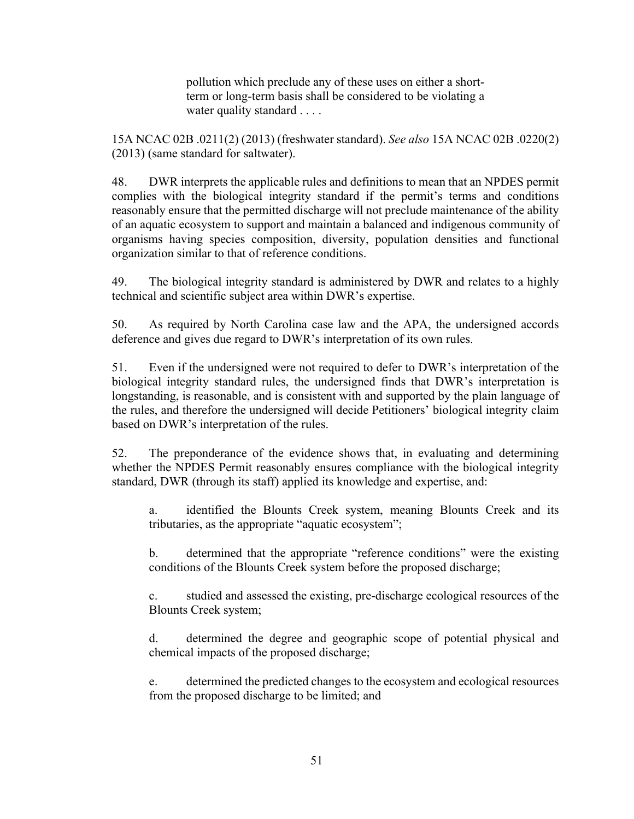pollution which preclude any of these uses on either a shortterm or long-term basis shall be considered to be violating a water quality standard . . . .

15A NCAC 02B .0211(2) (2013) (freshwater standard). *See also* 15A NCAC 02B .0220(2) (2013) (same standard for saltwater).

48. DWR interprets the applicable rules and definitions to mean that an NPDES permit complies with the biological integrity standard if the permit's terms and conditions reasonably ensure that the permitted discharge will not preclude maintenance of the ability of an aquatic ecosystem to support and maintain a balanced and indigenous community of organisms having species composition, diversity, population densities and functional organization similar to that of reference conditions.

49. The biological integrity standard is administered by DWR and relates to a highly technical and scientific subject area within DWR's expertise.

50. As required by North Carolina case law and the APA, the undersigned accords deference and gives due regard to DWR's interpretation of its own rules.

51. Even if the undersigned were not required to defer to DWR's interpretation of the biological integrity standard rules, the undersigned finds that DWR's interpretation is longstanding, is reasonable, and is consistent with and supported by the plain language of the rules, and therefore the undersigned will decide Petitioners' biological integrity claim based on DWR's interpretation of the rules.

52. The preponderance of the evidence shows that, in evaluating and determining whether the NPDES Permit reasonably ensures compliance with the biological integrity standard, DWR (through its staff) applied its knowledge and expertise, and:

a. identified the Blounts Creek system, meaning Blounts Creek and its tributaries, as the appropriate "aquatic ecosystem";

b. determined that the appropriate "reference conditions" were the existing conditions of the Blounts Creek system before the proposed discharge;

c. studied and assessed the existing, pre-discharge ecological resources of the Blounts Creek system;

d. determined the degree and geographic scope of potential physical and chemical impacts of the proposed discharge;

e. determined the predicted changes to the ecosystem and ecological resources from the proposed discharge to be limited; and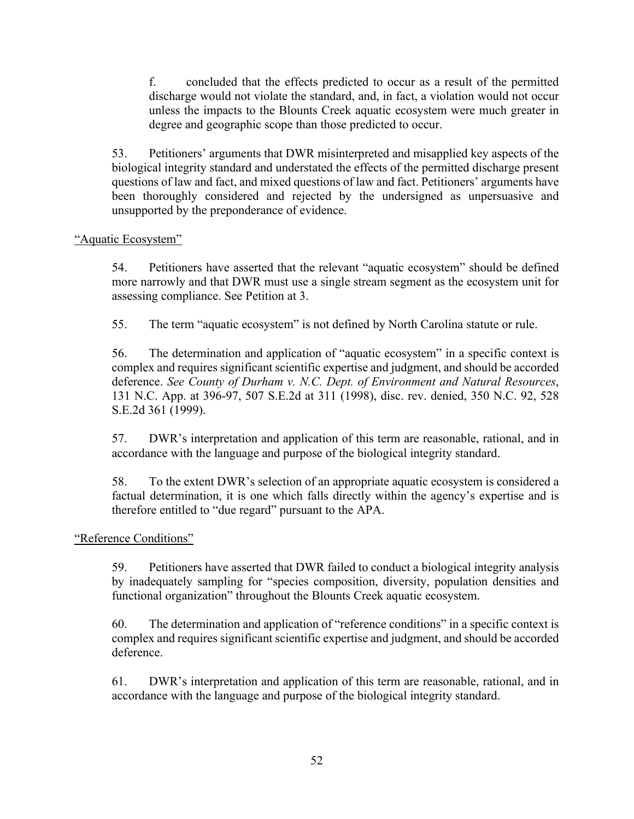f. concluded that the effects predicted to occur as a result of the permitted discharge would not violate the standard, and, in fact, a violation would not occur unless the impacts to the Blounts Creek aquatic ecosystem were much greater in degree and geographic scope than those predicted to occur.

53. Petitioners' arguments that DWR misinterpreted and misapplied key aspects of the biological integrity standard and understated the effects of the permitted discharge present questions of law and fact, and mixed questions of law and fact. Petitioners' arguments have been thoroughly considered and rejected by the undersigned as unpersuasive and unsupported by the preponderance of evidence.

# "Aquatic Ecosystem"

54. Petitioners have asserted that the relevant "aquatic ecosystem" should be defined more narrowly and that DWR must use a single stream segment as the ecosystem unit for assessing compliance. See Petition at 3.

55. The term "aquatic ecosystem" is not defined by North Carolina statute or rule.

56. The determination and application of "aquatic ecosystem" in a specific context is complex and requires significant scientific expertise and judgment, and should be accorded deference. *See County of Durham v. N.C. Dept. of Environment and Natural Resources*, 131 N.C. App. at 396-97, 507 S.E.2d at 311 (1998), disc. rev. denied, 350 N.C. 92, 528 S.E.2d 361 (1999).

57. DWR's interpretation and application of this term are reasonable, rational, and in accordance with the language and purpose of the biological integrity standard.

58. To the extent DWR's selection of an appropriate aquatic ecosystem is considered a factual determination, it is one which falls directly within the agency's expertise and is therefore entitled to "due regard" pursuant to the APA.

"Reference Conditions"

59. Petitioners have asserted that DWR failed to conduct a biological integrity analysis by inadequately sampling for "species composition, diversity, population densities and functional organization" throughout the Blounts Creek aquatic ecosystem.

60. The determination and application of "reference conditions" in a specific context is complex and requires significant scientific expertise and judgment, and should be accorded deference.

61. DWR's interpretation and application of this term are reasonable, rational, and in accordance with the language and purpose of the biological integrity standard.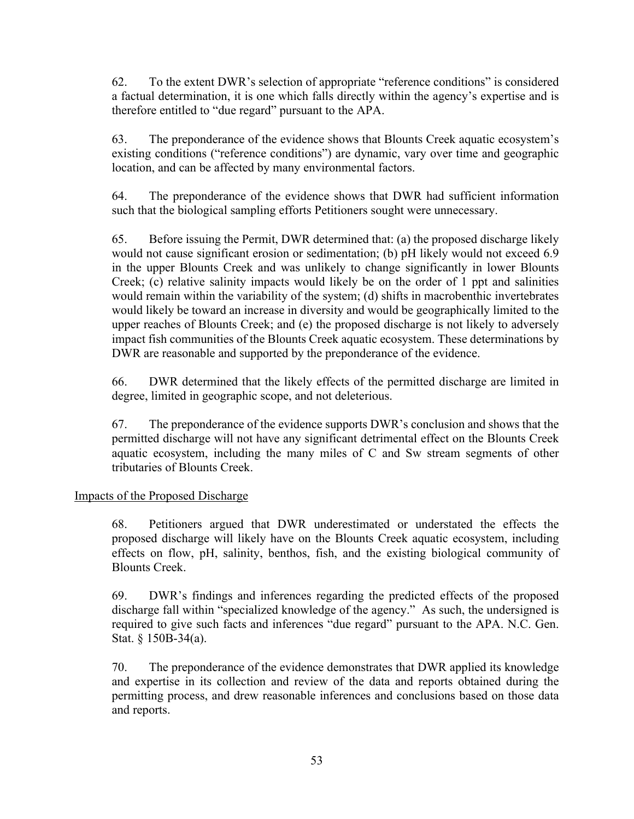62. To the extent DWR's selection of appropriate "reference conditions" is considered a factual determination, it is one which falls directly within the agency's expertise and is therefore entitled to "due regard" pursuant to the APA.

63. The preponderance of the evidence shows that Blounts Creek aquatic ecosystem's existing conditions ("reference conditions") are dynamic, vary over time and geographic location, and can be affected by many environmental factors.

64. The preponderance of the evidence shows that DWR had sufficient information such that the biological sampling efforts Petitioners sought were unnecessary.

65. Before issuing the Permit, DWR determined that: (a) the proposed discharge likely would not cause significant erosion or sedimentation; (b) pH likely would not exceed 6.9 in the upper Blounts Creek and was unlikely to change significantly in lower Blounts Creek; (c) relative salinity impacts would likely be on the order of 1 ppt and salinities would remain within the variability of the system; (d) shifts in macrobenthic invertebrates would likely be toward an increase in diversity and would be geographically limited to the upper reaches of Blounts Creek; and (e) the proposed discharge is not likely to adversely impact fish communities of the Blounts Creek aquatic ecosystem. These determinations by DWR are reasonable and supported by the preponderance of the evidence.

66. DWR determined that the likely effects of the permitted discharge are limited in degree, limited in geographic scope, and not deleterious.

67. The preponderance of the evidence supports DWR's conclusion and shows that the permitted discharge will not have any significant detrimental effect on the Blounts Creek aquatic ecosystem, including the many miles of C and Sw stream segments of other tributaries of Blounts Creek.

# Impacts of the Proposed Discharge

68. Petitioners argued that DWR underestimated or understated the effects the proposed discharge will likely have on the Blounts Creek aquatic ecosystem, including effects on flow, pH, salinity, benthos, fish, and the existing biological community of Blounts Creek.

69. DWR's findings and inferences regarding the predicted effects of the proposed discharge fall within "specialized knowledge of the agency." As such, the undersigned is required to give such facts and inferences "due regard" pursuant to the APA. N.C. Gen. Stat. § 150B-34(a).

70. The preponderance of the evidence demonstrates that DWR applied its knowledge and expertise in its collection and review of the data and reports obtained during the permitting process, and drew reasonable inferences and conclusions based on those data and reports.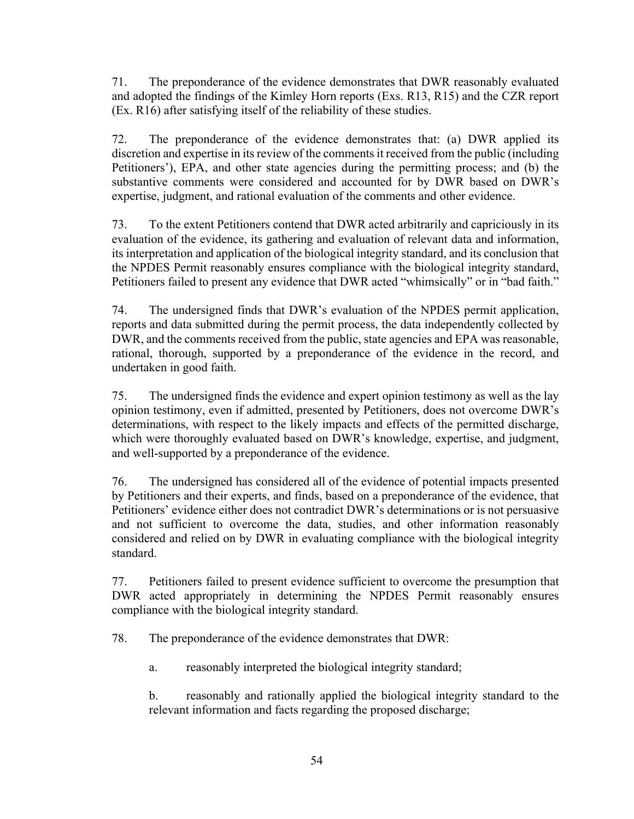71. The preponderance of the evidence demonstrates that DWR reasonably evaluated and adopted the findings of the Kimley Horn reports (Exs. R13, R15) and the CZR report (Ex. R16) after satisfying itself of the reliability of these studies.

72. The preponderance of the evidence demonstrates that: (a) DWR applied its discretion and expertise in its review of the comments it received from the public (including Petitioners'), EPA, and other state agencies during the permitting process; and (b) the substantive comments were considered and accounted for by DWR based on DWR's expertise, judgment, and rational evaluation of the comments and other evidence.

73. To the extent Petitioners contend that DWR acted arbitrarily and capriciously in its evaluation of the evidence, its gathering and evaluation of relevant data and information, its interpretation and application of the biological integrity standard, and its conclusion that the NPDES Permit reasonably ensures compliance with the biological integrity standard, Petitioners failed to present any evidence that DWR acted "whimsically" or in "bad faith."

74. The undersigned finds that DWR's evaluation of the NPDES permit application, reports and data submitted during the permit process, the data independently collected by DWR, and the comments received from the public, state agencies and EPA was reasonable, rational, thorough, supported by a preponderance of the evidence in the record, and undertaken in good faith.

75. The undersigned finds the evidence and expert opinion testimony as well as the lay opinion testimony, even if admitted, presented by Petitioners, does not overcome DWR's determinations, with respect to the likely impacts and effects of the permitted discharge, which were thoroughly evaluated based on DWR's knowledge, expertise, and judgment, and well-supported by a preponderance of the evidence.

76. The undersigned has considered all of the evidence of potential impacts presented by Petitioners and their experts, and finds, based on a preponderance of the evidence, that Petitioners' evidence either does not contradict DWR's determinations or is not persuasive and not sufficient to overcome the data, studies, and other information reasonably considered and relied on by DWR in evaluating compliance with the biological integrity standard.

77. Petitioners failed to present evidence sufficient to overcome the presumption that DWR acted appropriately in determining the NPDES Permit reasonably ensures compliance with the biological integrity standard.

78. The preponderance of the evidence demonstrates that DWR:

a. reasonably interpreted the biological integrity standard;

b. reasonably and rationally applied the biological integrity standard to the relevant information and facts regarding the proposed discharge;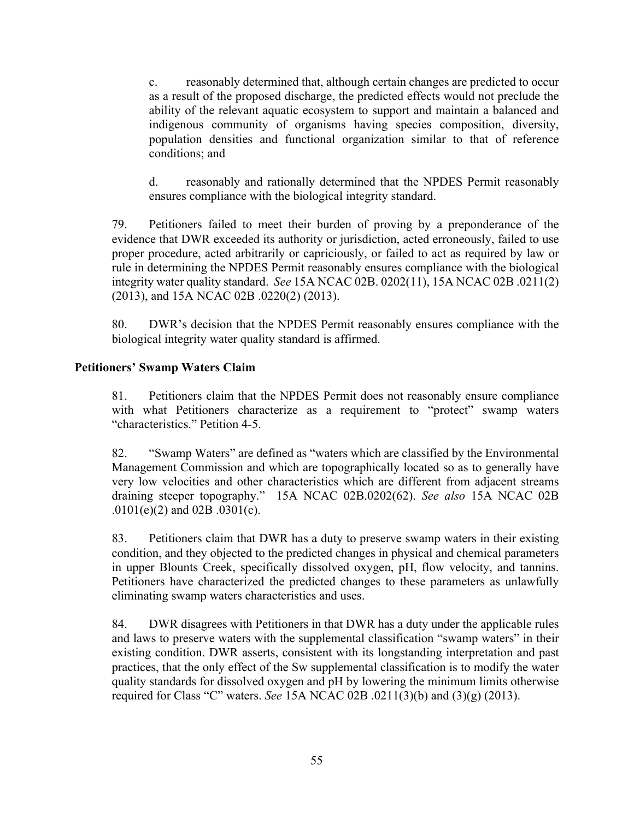c. reasonably determined that, although certain changes are predicted to occur as a result of the proposed discharge, the predicted effects would not preclude the ability of the relevant aquatic ecosystem to support and maintain a balanced and indigenous community of organisms having species composition, diversity, population densities and functional organization similar to that of reference conditions; and

d. reasonably and rationally determined that the NPDES Permit reasonably ensures compliance with the biological integrity standard.

79. Petitioners failed to meet their burden of proving by a preponderance of the evidence that DWR exceeded its authority or jurisdiction, acted erroneously, failed to use proper procedure, acted arbitrarily or capriciously, or failed to act as required by law or rule in determining the NPDES Permit reasonably ensures compliance with the biological integrity water quality standard. *See* 15A NCAC 02B. 0202(11), 15A NCAC 02B .0211(2) (2013), and 15A NCAC 02B .0220(2) (2013).

80. DWR's decision that the NPDES Permit reasonably ensures compliance with the biological integrity water quality standard is affirmed.

# **Petitioners' Swamp Waters Claim**

81. Petitioners claim that the NPDES Permit does not reasonably ensure compliance with what Petitioners characterize as a requirement to "protect" swamp waters "characteristics." Petition 4-5.

82. "Swamp Waters" are defined as "waters which are classified by the Environmental Management Commission and which are topographically located so as to generally have very low velocities and other characteristics which are different from adjacent streams draining steeper topography." 15A NCAC 02B.0202(62). *See also* 15A NCAC 02B .0101(e)(2) and 02B .0301(c).

83. Petitioners claim that DWR has a duty to preserve swamp waters in their existing condition, and they objected to the predicted changes in physical and chemical parameters in upper Blounts Creek, specifically dissolved oxygen, pH, flow velocity, and tannins. Petitioners have characterized the predicted changes to these parameters as unlawfully eliminating swamp waters characteristics and uses.

84. DWR disagrees with Petitioners in that DWR has a duty under the applicable rules and laws to preserve waters with the supplemental classification "swamp waters" in their existing condition. DWR asserts, consistent with its longstanding interpretation and past practices, that the only effect of the Sw supplemental classification is to modify the water quality standards for dissolved oxygen and pH by lowering the minimum limits otherwise required for Class "C" waters. *See* 15A NCAC 02B .0211(3)(b) and (3)(g) (2013).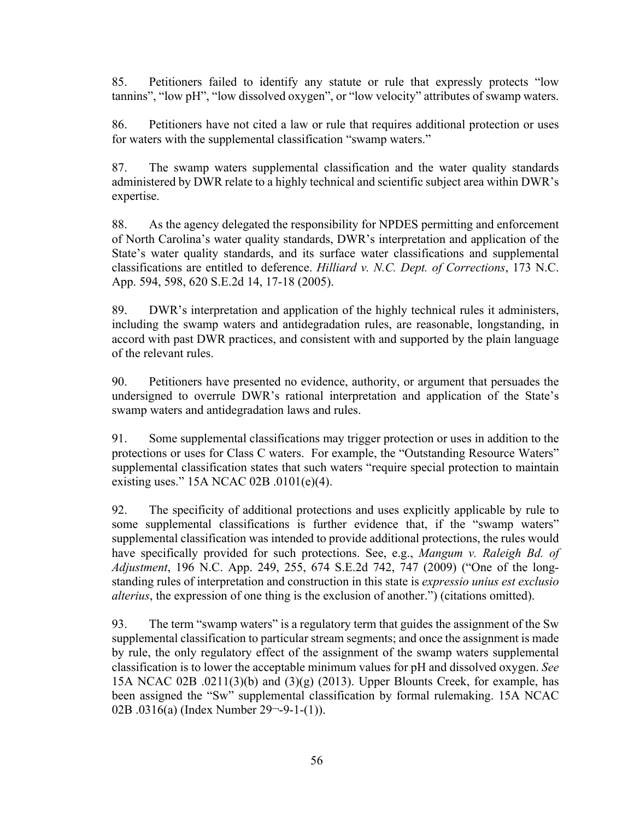85. Petitioners failed to identify any statute or rule that expressly protects "low tannins", "low pH", "low dissolved oxygen", or "low velocity" attributes of swamp waters.

86. Petitioners have not cited a law or rule that requires additional protection or uses for waters with the supplemental classification "swamp waters."

87. The swamp waters supplemental classification and the water quality standards administered by DWR relate to a highly technical and scientific subject area within DWR's expertise.

88. As the agency delegated the responsibility for NPDES permitting and enforcement of North Carolina's water quality standards, DWR's interpretation and application of the State's water quality standards, and its surface water classifications and supplemental classifications are entitled to deference. *Hilliard v. N.C. Dept. of Corrections*, 173 N.C. App. 594, 598, 620 S.E.2d 14, 17-18 (2005).

89. DWR's interpretation and application of the highly technical rules it administers, including the swamp waters and antidegradation rules, are reasonable, longstanding, in accord with past DWR practices, and consistent with and supported by the plain language of the relevant rules.

90. Petitioners have presented no evidence, authority, or argument that persuades the undersigned to overrule DWR's rational interpretation and application of the State's swamp waters and antidegradation laws and rules.

91. Some supplemental classifications may trigger protection or uses in addition to the protections or uses for Class C waters. For example, the "Outstanding Resource Waters" supplemental classification states that such waters "require special protection to maintain existing uses." 15A NCAC 02B .0101(e)(4).

92. The specificity of additional protections and uses explicitly applicable by rule to some supplemental classifications is further evidence that, if the "swamp waters" supplemental classification was intended to provide additional protections, the rules would have specifically provided for such protections. See, e.g., *Mangum v. Raleigh Bd. of Adjustment*, 196 N.C. App. 249, 255, 674 S.E.2d 742, 747 (2009) ("One of the longstanding rules of interpretation and construction in this state is *expressio unius est exclusio alterius*, the expression of one thing is the exclusion of another.") (citations omitted).

93. The term "swamp waters" is a regulatory term that guides the assignment of the Sw supplemental classification to particular stream segments; and once the assignment is made by rule, the only regulatory effect of the assignment of the swamp waters supplemental classification is to lower the acceptable minimum values for pH and dissolved oxygen. *See* 15A NCAC 02B .0211(3)(b) and (3)(g) (2013). Upper Blounts Creek, for example, has been assigned the "Sw" supplemental classification by formal rulemaking. 15A NCAC 02B .0316(a) (Index Number 29¬-9-1-(1)).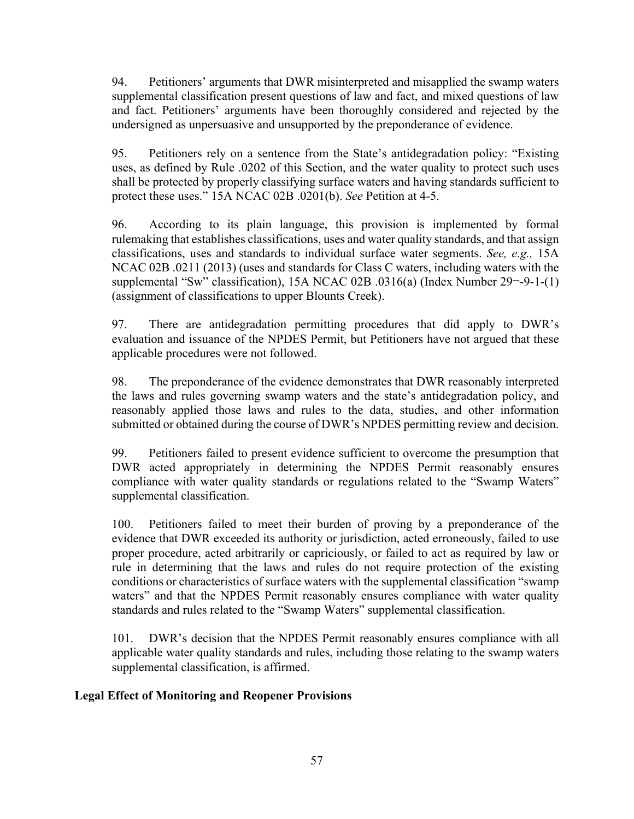94. Petitioners' arguments that DWR misinterpreted and misapplied the swamp waters supplemental classification present questions of law and fact, and mixed questions of law and fact. Petitioners' arguments have been thoroughly considered and rejected by the undersigned as unpersuasive and unsupported by the preponderance of evidence.

95. Petitioners rely on a sentence from the State's antidegradation policy: "Existing uses, as defined by Rule .0202 of this Section, and the water quality to protect such uses shall be protected by properly classifying surface waters and having standards sufficient to protect these uses." 15A NCAC 02B .0201(b). *See* Petition at 4-5.

96. According to its plain language, this provision is implemented by formal rulemaking that establishes classifications, uses and water quality standards, and that assign classifications, uses and standards to individual surface water segments. *See, e.g.,* 15A NCAC 02B .0211 (2013) (uses and standards for Class C waters, including waters with the supplemental "Sw" classification), 15A NCAC 02B .0316(a) (Index Number 29¬-9-1-(1) (assignment of classifications to upper Blounts Creek).

97. There are antidegradation permitting procedures that did apply to DWR's evaluation and issuance of the NPDES Permit, but Petitioners have not argued that these applicable procedures were not followed.

98. The preponderance of the evidence demonstrates that DWR reasonably interpreted the laws and rules governing swamp waters and the state's antidegradation policy, and reasonably applied those laws and rules to the data, studies, and other information submitted or obtained during the course of DWR's NPDES permitting review and decision.

99. Petitioners failed to present evidence sufficient to overcome the presumption that DWR acted appropriately in determining the NPDES Permit reasonably ensures compliance with water quality standards or regulations related to the "Swamp Waters" supplemental classification.

100. Petitioners failed to meet their burden of proving by a preponderance of the evidence that DWR exceeded its authority or jurisdiction, acted erroneously, failed to use proper procedure, acted arbitrarily or capriciously, or failed to act as required by law or rule in determining that the laws and rules do not require protection of the existing conditions or characteristics of surface waters with the supplemental classification "swamp waters" and that the NPDES Permit reasonably ensures compliance with water quality standards and rules related to the "Swamp Waters" supplemental classification.

101. DWR's decision that the NPDES Permit reasonably ensures compliance with all applicable water quality standards and rules, including those relating to the swamp waters supplemental classification, is affirmed.

# **Legal Effect of Monitoring and Reopener Provisions**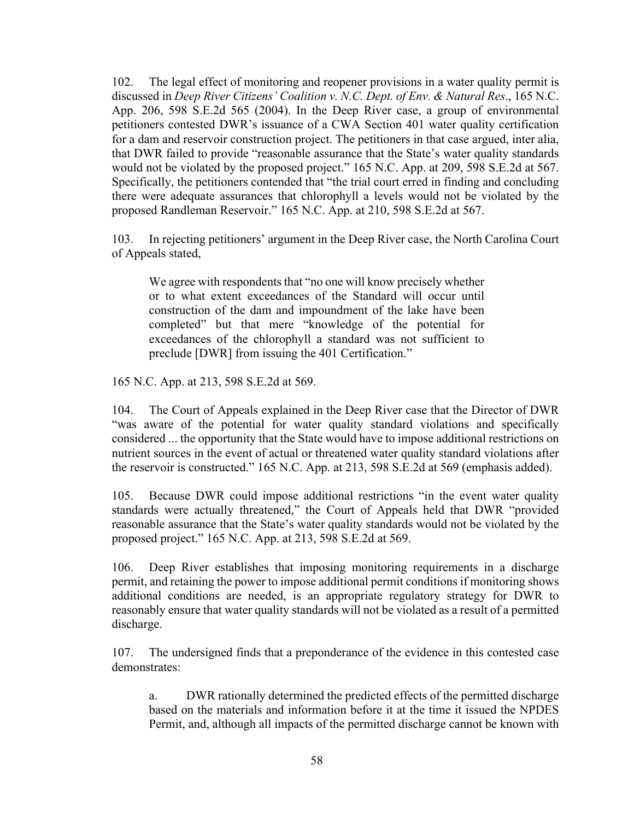102. The legal effect of monitoring and reopener provisions in a water quality permit is discussed in *Deep River Citizens' Coalition v. N.C. Dept. of Env. & Natural Res*., 165 N.C. App. 206, 598 S.E.2d 565 (2004). In the Deep River case, a group of environmental petitioners contested DWR's issuance of a CWA Section 401 water quality certification for a dam and reservoir construction project. The petitioners in that case argued, inter alia, that DWR failed to provide "reasonable assurance that the State's water quality standards would not be violated by the proposed project." 165 N.C. App. at 209, 598 S.E.2d at 567. Specifically, the petitioners contended that "the trial court erred in finding and concluding there were adequate assurances that chlorophyll a levels would not be violated by the proposed Randleman Reservoir." 165 N.C. App. at 210, 598 S.E.2d at 567.

103. In rejecting petitioners' argument in the Deep River case, the North Carolina Court of Appeals stated,

We agree with respondents that "no one will know precisely whether or to what extent exceedances of the Standard will occur until construction of the dam and impoundment of the lake have been completed" but that mere "knowledge of the potential for exceedances of the chlorophyll a standard was not sufficient to preclude [DWR] from issuing the 401 Certification."

165 N.C. App. at 213, 598 S.E.2d at 569.

104. The Court of Appeals explained in the Deep River case that the Director of DWR "was aware of the potential for water quality standard violations and specifically considered ... the opportunity that the State would have to impose additional restrictions on nutrient sources in the event of actual or threatened water quality standard violations after the reservoir is constructed." 165 N.C. App. at 213, 598 S.E.2d at 569 (emphasis added).

105. Because DWR could impose additional restrictions "in the event water quality standards were actually threatened," the Court of Appeals held that DWR "provided reasonable assurance that the State's water quality standards would not be violated by the proposed project." 165 N.C. App. at 213, 598 S.E.2d at 569.

106. Deep River establishes that imposing monitoring requirements in a discharge permit, and retaining the power to impose additional permit conditions if monitoring shows additional conditions are needed, is an appropriate regulatory strategy for DWR to reasonably ensure that water quality standards will not be violated as a result of a permitted discharge.

107. The undersigned finds that a preponderance of the evidence in this contested case demonstrates:

a. DWR rationally determined the predicted effects of the permitted discharge based on the materials and information before it at the time it issued the NPDES Permit, and, although all impacts of the permitted discharge cannot be known with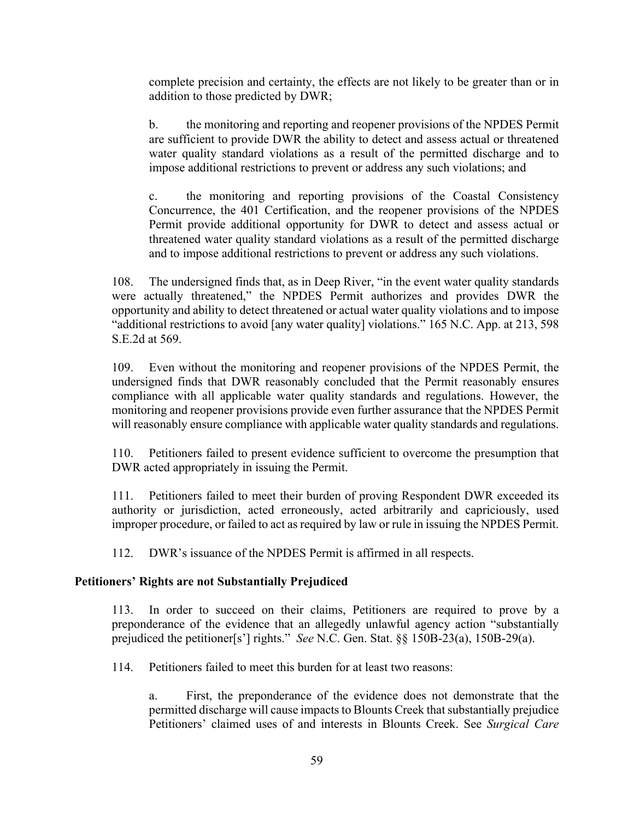complete precision and certainty, the effects are not likely to be greater than or in addition to those predicted by DWR;

b. the monitoring and reporting and reopener provisions of the NPDES Permit are sufficient to provide DWR the ability to detect and assess actual or threatened water quality standard violations as a result of the permitted discharge and to impose additional restrictions to prevent or address any such violations; and

c. the monitoring and reporting provisions of the Coastal Consistency Concurrence, the 401 Certification, and the reopener provisions of the NPDES Permit provide additional opportunity for DWR to detect and assess actual or threatened water quality standard violations as a result of the permitted discharge and to impose additional restrictions to prevent or address any such violations.

108. The undersigned finds that, as in Deep River, "in the event water quality standards were actually threatened," the NPDES Permit authorizes and provides DWR the opportunity and ability to detect threatened or actual water quality violations and to impose "additional restrictions to avoid [any water quality] violations." 165 N.C. App. at 213, 598 S.E.2d at 569.

109. Even without the monitoring and reopener provisions of the NPDES Permit, the undersigned finds that DWR reasonably concluded that the Permit reasonably ensures compliance with all applicable water quality standards and regulations. However, the monitoring and reopener provisions provide even further assurance that the NPDES Permit will reasonably ensure compliance with applicable water quality standards and regulations.

110. Petitioners failed to present evidence sufficient to overcome the presumption that DWR acted appropriately in issuing the Permit.

111. Petitioners failed to meet their burden of proving Respondent DWR exceeded its authority or jurisdiction, acted erroneously, acted arbitrarily and capriciously, used improper procedure, or failed to act as required by law or rule in issuing the NPDES Permit.

112. DWR's issuance of the NPDES Permit is affirmed in all respects.

#### **Petitioners' Rights are not Substantially Prejudiced**

113. In order to succeed on their claims, Petitioners are required to prove by a preponderance of the evidence that an allegedly unlawful agency action "substantially prejudiced the petitioner[s'] rights." *See* N.C. Gen. Stat. §§ 150B-23(a), 150B-29(a).

114. Petitioners failed to meet this burden for at least two reasons:

a. First, the preponderance of the evidence does not demonstrate that the permitted discharge will cause impacts to Blounts Creek that substantially prejudice Petitioners' claimed uses of and interests in Blounts Creek. See *Surgical Care*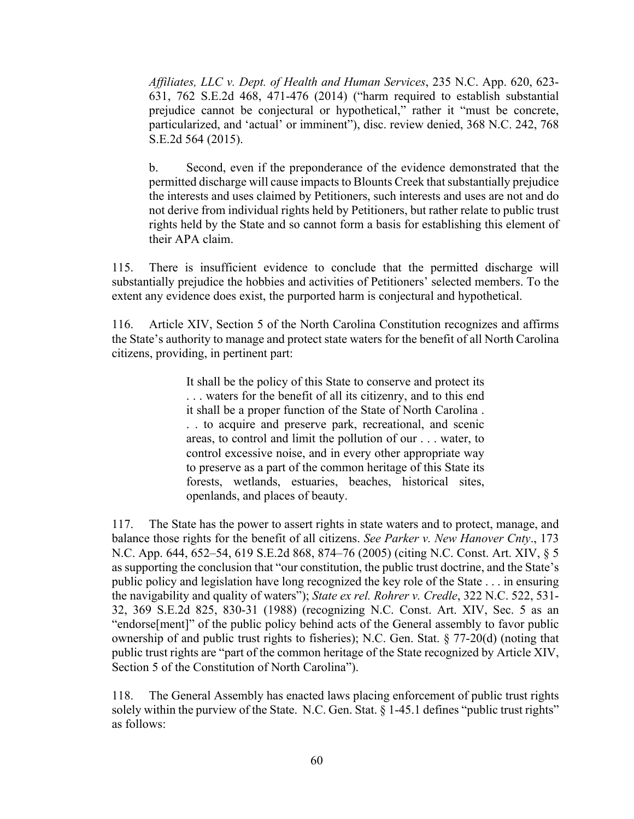*Affiliates, LLC v. Dept. of Health and Human Services*, 235 N.C. App. 620, 623- 631, 762 S.E.2d 468, 471-476 (2014) ("harm required to establish substantial prejudice cannot be conjectural or hypothetical," rather it "must be concrete, particularized, and 'actual' or imminent"), disc. review denied, 368 N.C. 242, 768 S.E.2d 564 (2015).

b. Second, even if the preponderance of the evidence demonstrated that the permitted discharge will cause impacts to Blounts Creek that substantially prejudice the interests and uses claimed by Petitioners, such interests and uses are not and do not derive from individual rights held by Petitioners, but rather relate to public trust rights held by the State and so cannot form a basis for establishing this element of their APA claim.

115. There is insufficient evidence to conclude that the permitted discharge will substantially prejudice the hobbies and activities of Petitioners' selected members. To the extent any evidence does exist, the purported harm is conjectural and hypothetical.

116. Article XIV, Section 5 of the North Carolina Constitution recognizes and affirms the State's authority to manage and protect state waters for the benefit of all North Carolina citizens, providing, in pertinent part:

> It shall be the policy of this State to conserve and protect its . . . waters for the benefit of all its citizenry, and to this end it shall be a proper function of the State of North Carolina . . . to acquire and preserve park, recreational, and scenic areas, to control and limit the pollution of our . . . water, to control excessive noise, and in every other appropriate way to preserve as a part of the common heritage of this State its forests, wetlands, estuaries, beaches, historical sites, openlands, and places of beauty.

117. The State has the power to assert rights in state waters and to protect, manage, and balance those rights for the benefit of all citizens. *See Parker v. New Hanover Cnty*., 173 N.C. App. 644, 652–54, 619 S.E.2d 868, 874–76 (2005) (citing N.C. Const. Art. XIV, § 5 as supporting the conclusion that "our constitution, the public trust doctrine, and the State's public policy and legislation have long recognized the key role of the State . . . in ensuring the navigability and quality of waters"); *State ex rel. Rohrer v. Credle*, 322 N.C. 522, 531- 32, 369 S.E.2d 825, 830-31 (1988) (recognizing N.C. Const. Art. XIV, Sec. 5 as an "endorse[ment]" of the public policy behind acts of the General assembly to favor public ownership of and public trust rights to fisheries); N.C. Gen. Stat. § 77-20(d) (noting that public trust rights are "part of the common heritage of the State recognized by Article XIV, Section 5 of the Constitution of North Carolina").

118. The General Assembly has enacted laws placing enforcement of public trust rights solely within the purview of the State. N.C. Gen. Stat. § 1-45.1 defines "public trust rights" as follows: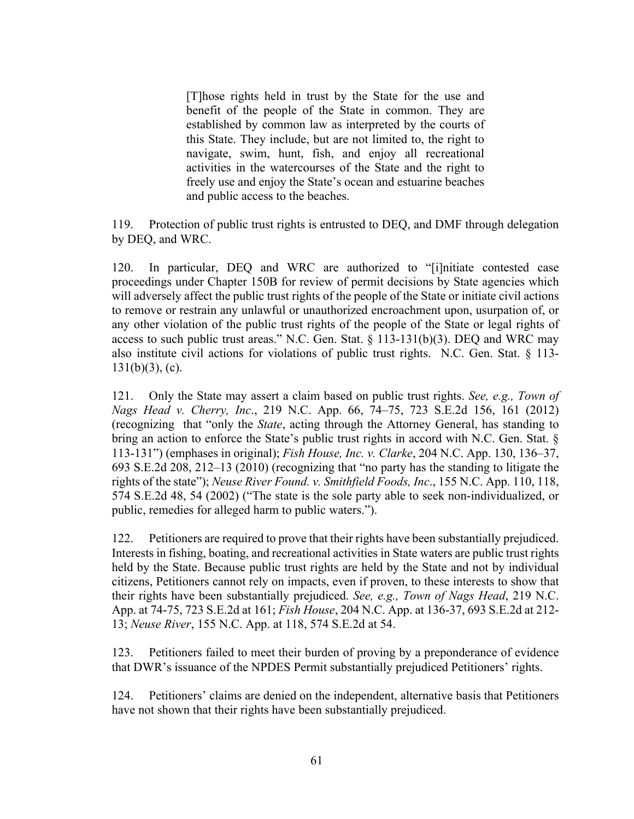[T]hose rights held in trust by the State for the use and benefit of the people of the State in common. They are established by common law as interpreted by the courts of this State. They include, but are not limited to, the right to navigate, swim, hunt, fish, and enjoy all recreational activities in the watercourses of the State and the right to freely use and enjoy the State's ocean and estuarine beaches and public access to the beaches.

119. Protection of public trust rights is entrusted to DEQ, and DMF through delegation by DEQ, and WRC.

120. In particular, DEQ and WRC are authorized to "[i]nitiate contested case proceedings under Chapter 150B for review of permit decisions by State agencies which will adversely affect the public trust rights of the people of the State or initiate civil actions to remove or restrain any unlawful or unauthorized encroachment upon, usurpation of, or any other violation of the public trust rights of the people of the State or legal rights of access to such public trust areas." N.C. Gen. Stat. § 113-131(b)(3). DEQ and WRC may also institute civil actions for violations of public trust rights. N.C. Gen. Stat. § 113-  $131(b)(3)$ , (c).

121. Only the State may assert a claim based on public trust rights. *See, e.g., Town of Nags Head v. Cherry, Inc*., 219 N.C. App. 66, 74–75, 723 S.E.2d 156, 161 (2012) (recognizing that "only the *State*, acting through the Attorney General, has standing to bring an action to enforce the State's public trust rights in accord with N.C. Gen. Stat. § 113-131") (emphases in original); *Fish House, Inc. v. Clarke*, 204 N.C. App. 130, 136–37, 693 S.E.2d 208, 212–13 (2010) (recognizing that "no party has the standing to litigate the rights of the state"); *Neuse River Found. v. Smithfield Foods, Inc*., 155 N.C. App. 110, 118, 574 S.E.2d 48, 54 (2002) ("The state is the sole party able to seek non-individualized, or public, remedies for alleged harm to public waters.").

122. Petitioners are required to prove that their rights have been substantially prejudiced. Interests in fishing, boating, and recreational activities in State waters are public trust rights held by the State. Because public trust rights are held by the State and not by individual citizens, Petitioners cannot rely on impacts, even if proven, to these interests to show that their rights have been substantially prejudiced. *See, e.g., Town of Nags Head*, 219 N.C. App. at 74-75, 723 S.E.2d at 161; *Fish House*, 204 N.C. App. at 136-37, 693 S.E.2d at 212- 13; *Neuse River*, 155 N.C. App. at 118, 574 S.E.2d at 54.

123. Petitioners failed to meet their burden of proving by a preponderance of evidence that DWR's issuance of the NPDES Permit substantially prejudiced Petitioners' rights.

124. Petitioners' claims are denied on the independent, alternative basis that Petitioners have not shown that their rights have been substantially prejudiced.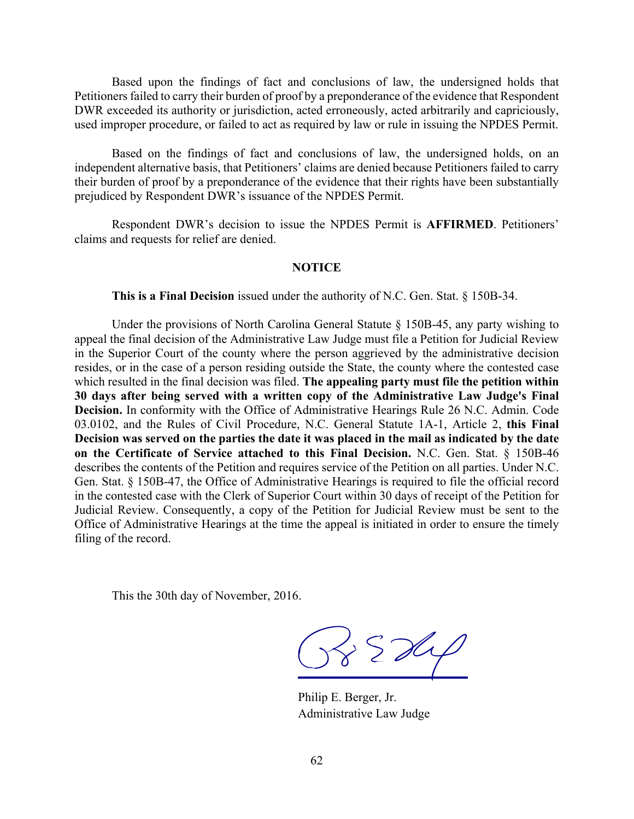Based upon the findings of fact and conclusions of law, the undersigned holds that Petitioners failed to carry their burden of proof by a preponderance of the evidence that Respondent DWR exceeded its authority or jurisdiction, acted erroneously, acted arbitrarily and capriciously, used improper procedure, or failed to act as required by law or rule in issuing the NPDES Permit.

Based on the findings of fact and conclusions of law, the undersigned holds, on an independent alternative basis, that Petitioners' claims are denied because Petitioners failed to carry their burden of proof by a preponderance of the evidence that their rights have been substantially prejudiced by Respondent DWR's issuance of the NPDES Permit.

Respondent DWR's decision to issue the NPDES Permit is **AFFIRMED**. Petitioners' claims and requests for relief are denied.

#### **NOTICE**

**This is a Final Decision** issued under the authority of N.C. Gen. Stat. § 150B-34.

Under the provisions of North Carolina General Statute  $\S$  150B-45, any party wishing to appeal the final decision of the Administrative Law Judge must file a Petition for Judicial Review in the Superior Court of the county where the person aggrieved by the administrative decision resides, or in the case of a person residing outside the State, the county where the contested case which resulted in the final decision was filed. **The appealing party must file the petition within 30 days after being served with a written copy of the Administrative Law Judge's Final Decision.** In conformity with the Office of Administrative Hearings Rule 26 N.C. Admin. Code 03.0102, and the Rules of Civil Procedure, N.C. General Statute 1A-1, Article 2, **this Final** Decision was served on the parties the date it was placed in the mail as indicated by the date **on the Certificate of Service attached to this Final Decision.** N.C. Gen. Stat. § 150B-46 describes the contents of the Petition and requires service of the Petition on all parties. Under N.C. Gen. Stat. § 150B-47, the Office of Administrative Hearings is required to file the official record in the contested case with the Clerk of Superior Court within 30 days of receipt of the Petition for Judicial Review. Consequently, a copy of the Petition for Judicial Review must be sent to the Office of Administrative Hearings at the time the appeal is initiated in order to ensure the timely filing of the record.

This the 30th day of November, 2016.

 $\frac{1}{8}$  SD4

Philip E. Berger, Jr. Administrative Law Judge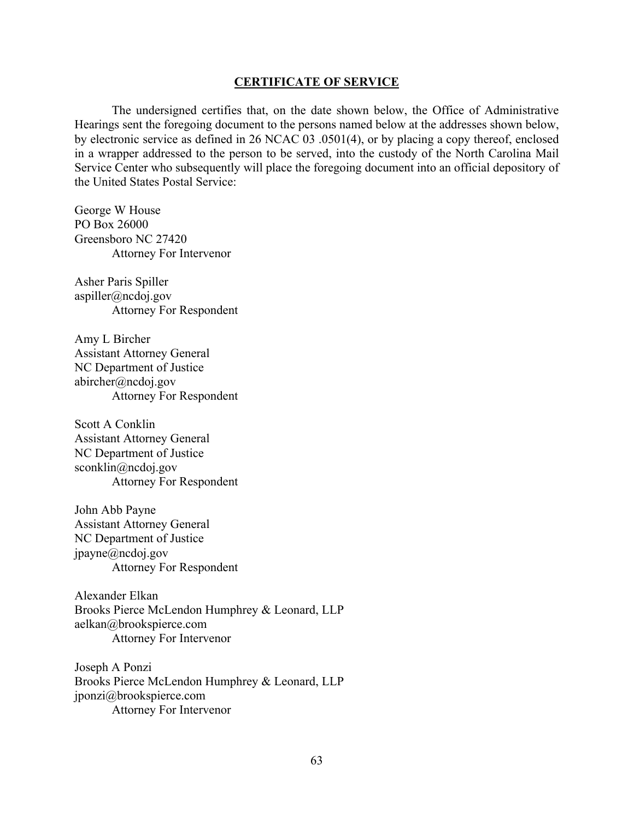#### **CERTIFICATE OF SERVICE**

The undersigned certifies that, on the date shown below, the Office of Administrative Hearings sent the foregoing document to the persons named below at the addresses shown below, by electronic service as defined in 26 NCAC 03 .0501(4), or by placing a copy thereof, enclosed in a wrapper addressed to the person to be served, into the custody of the North Carolina Mail Service Center who subsequently will place the foregoing document into an official depository of the United States Postal Service:

George W House PO Box 26000 Greensboro NC 27420 Attorney For Intervenor

Asher Paris Spiller aspiller@ncdoj.gov Attorney For Respondent

Amy L Bircher Assistant Attorney General NC Department of Justice abircher@ncdoj.gov Attorney For Respondent

Scott A Conklin Assistant Attorney General NC Department of Justice sconklin@ncdoj.gov Attorney For Respondent

John Abb Payne Assistant Attorney General NC Department of Justice jpayne@ncdoj.gov Attorney For Respondent

Alexander Elkan Brooks Pierce McLendon Humphrey & Leonard, LLP aelkan@brookspierce.com Attorney For Intervenor

Joseph A Ponzi Brooks Pierce McLendon Humphrey & Leonard, LLP jponzi@brookspierce.com Attorney For Intervenor